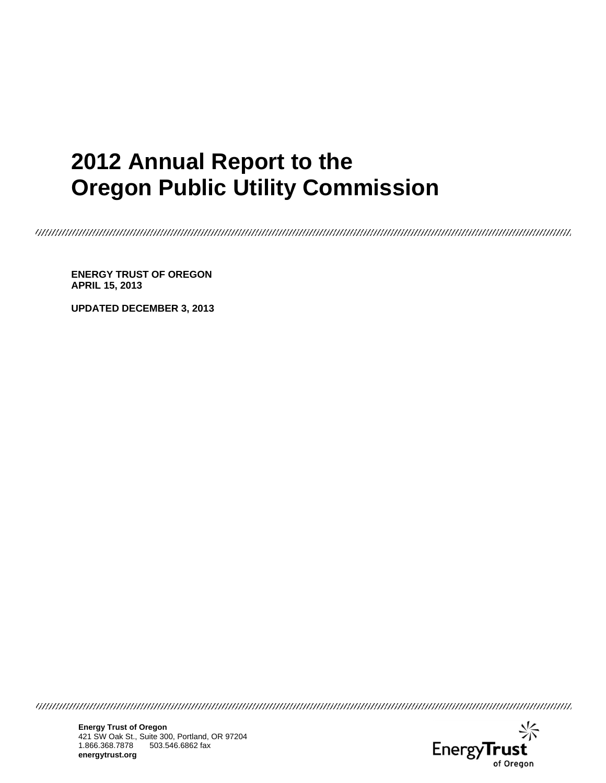# **2012 Annual Report to the Oregon Public Utility Commission**

**ENERGY TRUST OF OREGON APRIL 15, 2013** 

**UPDATED DECEMBER 3, 2013** 

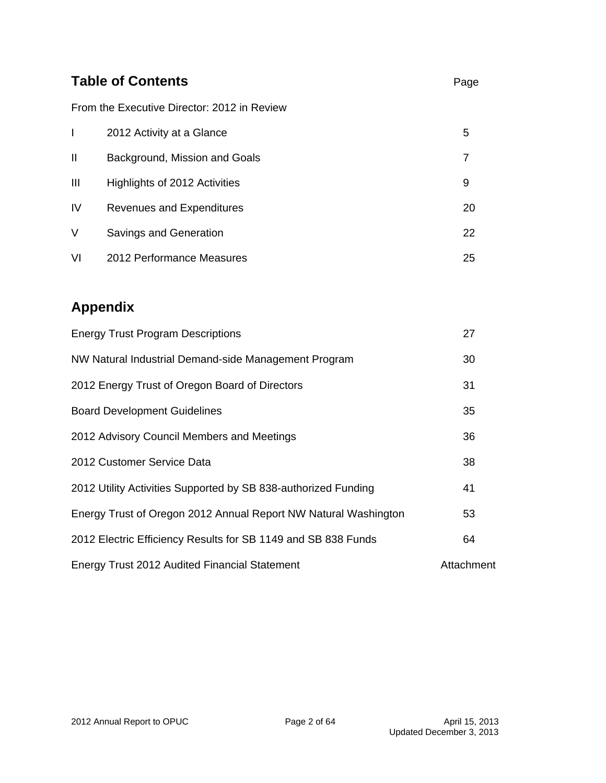|    | <b>Table of Contents</b>                    |    |  |  |  |  |
|----|---------------------------------------------|----|--|--|--|--|
|    | From the Executive Director: 2012 in Review |    |  |  |  |  |
|    | 2012 Activity at a Glance                   | 5  |  |  |  |  |
| П  | Background, Mission and Goals               | 7  |  |  |  |  |
| Ш  | Highlights of 2012 Activities               | 9  |  |  |  |  |
| IV | <b>Revenues and Expenditures</b>            | 20 |  |  |  |  |
| V  | Savings and Generation                      | 22 |  |  |  |  |
| VI | 2012 Performance Measures                   | 25 |  |  |  |  |

## **Appendix**

| <b>Energy Trust Program Descriptions</b>                        | 27         |
|-----------------------------------------------------------------|------------|
| NW Natural Industrial Demand-side Management Program            | 30         |
| 2012 Energy Trust of Oregon Board of Directors                  | 31         |
| <b>Board Development Guidelines</b>                             | 35         |
| 2012 Advisory Council Members and Meetings                      | 36         |
| 2012 Customer Service Data                                      | 38         |
| 2012 Utility Activities Supported by SB 838-authorized Funding  | 41         |
| Energy Trust of Oregon 2012 Annual Report NW Natural Washington | 53         |
| 2012 Electric Efficiency Results for SB 1149 and SB 838 Funds   | 64         |
| <b>Energy Trust 2012 Audited Financial Statement</b>            | Attachment |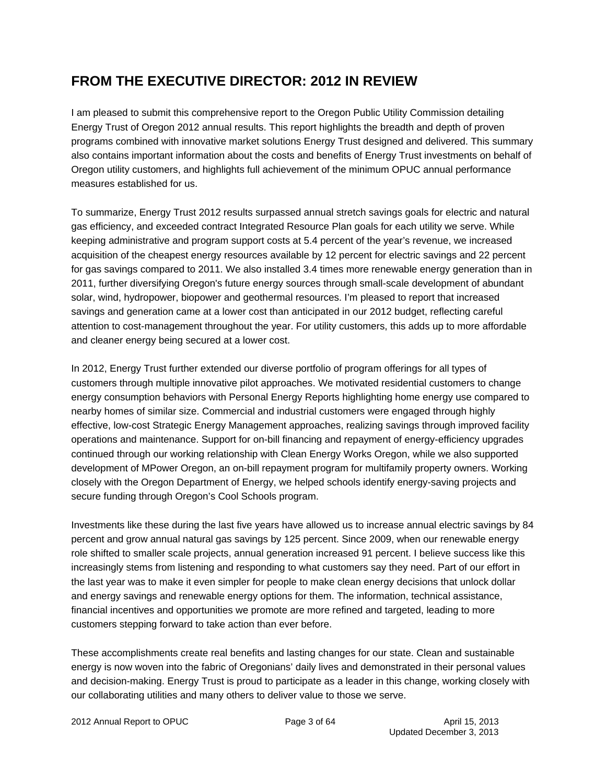## **FROM THE EXECUTIVE DIRECTOR: 2012 IN REVIEW**

I am pleased to submit this comprehensive report to the Oregon Public Utility Commission detailing Energy Trust of Oregon 2012 annual results. This report highlights the breadth and depth of proven programs combined with innovative market solutions Energy Trust designed and delivered. This summary also contains important information about the costs and benefits of Energy Trust investments on behalf of Oregon utility customers, and highlights full achievement of the minimum OPUC annual performance measures established for us.

To summarize, Energy Trust 2012 results surpassed annual stretch savings goals for electric and natural gas efficiency, and exceeded contract Integrated Resource Plan goals for each utility we serve. While keeping administrative and program support costs at 5.4 percent of the year's revenue, we increased acquisition of the cheapest energy resources available by 12 percent for electric savings and 22 percent for gas savings compared to 2011. We also installed 3.4 times more renewable energy generation than in 2011, further diversifying Oregon's future energy sources through small-scale development of abundant solar, wind, hydropower, biopower and geothermal resources. I'm pleased to report that increased savings and generation came at a lower cost than anticipated in our 2012 budget, reflecting careful attention to cost-management throughout the year. For utility customers, this adds up to more affordable and cleaner energy being secured at a lower cost.

In 2012, Energy Trust further extended our diverse portfolio of program offerings for all types of customers through multiple innovative pilot approaches. We motivated residential customers to change energy consumption behaviors with Personal Energy Reports highlighting home energy use compared to nearby homes of similar size. Commercial and industrial customers were engaged through highly effective, low-cost Strategic Energy Management approaches, realizing savings through improved facility operations and maintenance. Support for on-bill financing and repayment of energy-efficiency upgrades continued through our working relationship with Clean Energy Works Oregon, while we also supported development of MPower Oregon, an on-bill repayment program for multifamily property owners. Working closely with the Oregon Department of Energy, we helped schools identify energy-saving projects and secure funding through Oregon's Cool Schools program.

Investments like these during the last five years have allowed us to increase annual electric savings by 84 percent and grow annual natural gas savings by 125 percent. Since 2009, when our renewable energy role shifted to smaller scale projects, annual generation increased 91 percent. I believe success like this increasingly stems from listening and responding to what customers say they need. Part of our effort in the last year was to make it even simpler for people to make clean energy decisions that unlock dollar and energy savings and renewable energy options for them. The information, technical assistance, financial incentives and opportunities we promote are more refined and targeted, leading to more customers stepping forward to take action than ever before.

These accomplishments create real benefits and lasting changes for our state. Clean and sustainable energy is now woven into the fabric of Oregonians' daily lives and demonstrated in their personal values and decision-making. Energy Trust is proud to participate as a leader in this change, working closely with our collaborating utilities and many others to deliver value to those we serve.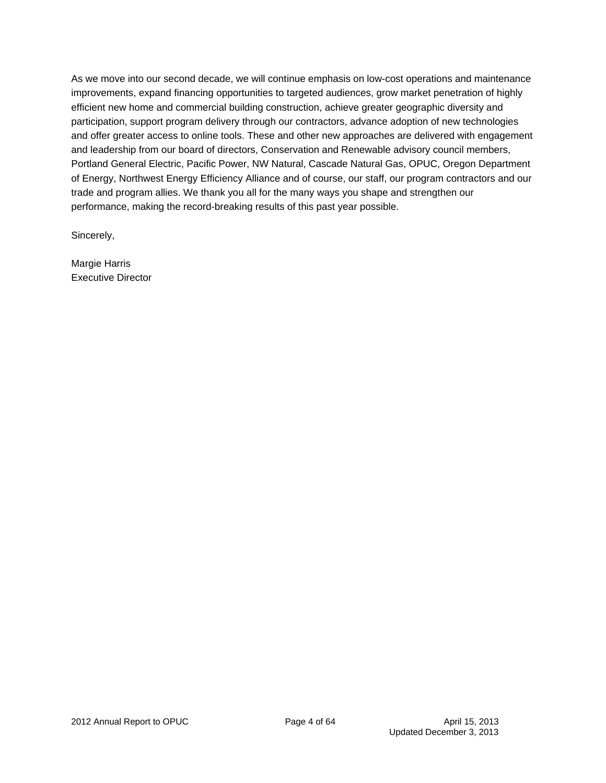As we move into our second decade, we will continue emphasis on low-cost operations and maintenance improvements, expand financing opportunities to targeted audiences, grow market penetration of highly efficient new home and commercial building construction, achieve greater geographic diversity and participation, support program delivery through our contractors, advance adoption of new technologies and offer greater access to online tools. These and other new approaches are delivered with engagement and leadership from our board of directors, Conservation and Renewable advisory council members, Portland General Electric, Pacific Power, NW Natural, Cascade Natural Gas, OPUC, Oregon Department of Energy, Northwest Energy Efficiency Alliance and of course, our staff, our program contractors and our trade and program allies. We thank you all for the many ways you shape and strengthen our performance, making the record-breaking results of this past year possible.

Sincerely,

Margie Harris Executive Director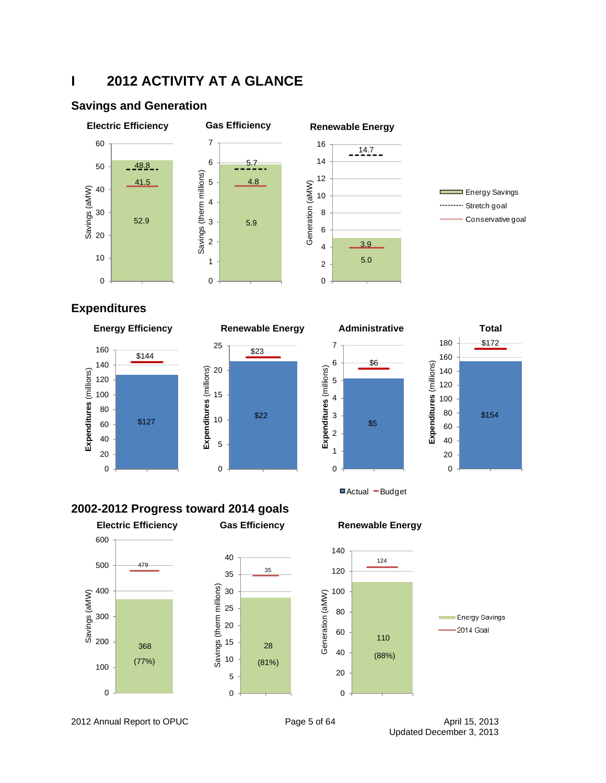## **I 2012 ACTIVITY AT A GLANCE**

### **Savings and Generation**



## **Expenditures**









Actual - Budget

### **2002-2012 Progress toward 2014 goals**







2012 Annual Report to OPUC **Page 5 of 64** April 15, 2013

Updated December 3, 2013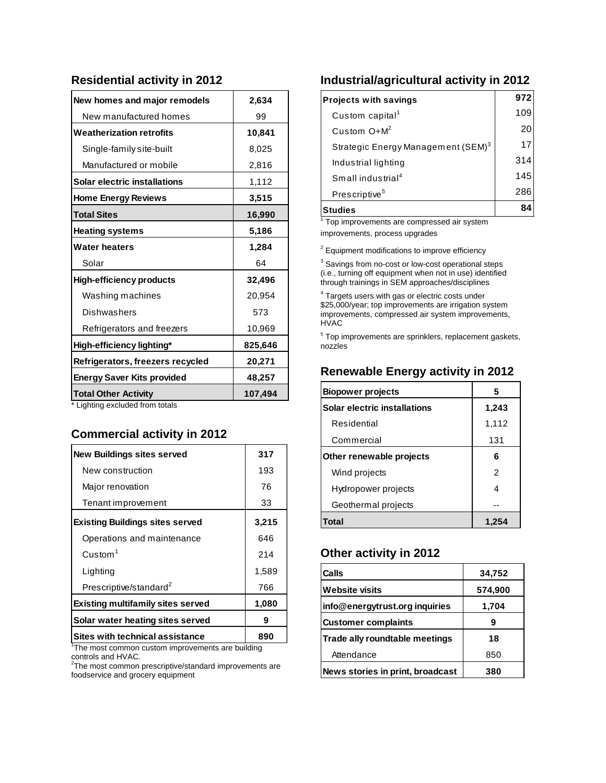### **Residential activity in 2012**

| New homes and major remodels      | 2,634   |
|-----------------------------------|---------|
| New manufactured homes            | 99      |
| <b>Weatherization retrofits</b>   | 10,841  |
| Single-family site-built          | 8,025   |
| Manufactured or mobile            | 2,816   |
| Solar electric installations      | 1,112   |
| <b>Home Energy Reviews</b>        | 3,515   |
| <b>Total Sites</b>                | 16,990  |
| <b>Heating systems</b>            | 5,186   |
| <b>Water heaters</b>              | 1,284   |
| Solar                             | 64      |
| <b>High-efficiency products</b>   | 32,496  |
| Washing machines                  | 20,954  |
| Dishwashers                       | 573     |
| Refrigerators and freezers        | 10,969  |
| High-efficiency lighting*         | 825,646 |
| Refrigerators, freezers recycled  | 20,271  |
| <b>Energy Saver Kits provided</b> | 48,257  |
| <b>Total Other Activity</b>       | 107,494 |

Lighting excluded from totals

### **Commercial activity in 2012**

| <b>New Buildings sites served</b>        | 317   |
|------------------------------------------|-------|
| New construction                         | 193   |
| Major renovation                         | 76    |
| Tenant improvement                       | 33    |
| <b>Existing Buildings sites served</b>   | 3,215 |
| Operations and maintenance               | 646   |
| $C$ ustom $1$                            | 214   |
| Lighting                                 | 1,589 |
| Prescriptive/standard <sup>2</sup>       | 766   |
| <b>Existing multifamily sites served</b> | 1,080 |
| Solar water heating sites served         | 9     |
| Sites with technical assistance          | 890   |

<sup>1</sup>The most common custom improvements are building

controls and HVAC.<br><sup>2</sup>The most common prescriptive/standard improvements are foodservice and grocery equipment

### **Industrial/agricultural activity in 2012**

| <b>Projects with savings</b>                   | 972 |
|------------------------------------------------|-----|
| Custom capital <sup>1</sup>                    | 109 |
| Custom $O+M^2$                                 | 20  |
| Strategic Energy Management (SEM) <sup>3</sup> | 17  |
| Industrial lighting                            | 314 |
| Small industrial <sup>4</sup>                  | 145 |
| Prescriptive <sup>5</sup>                      | 286 |
| <b>Studies</b>                                 |     |

 $1$  Top improvements are compressed air system

improvements, process upgrades

<sup>2</sup> Equipment modifications to improve efficiency

 $3$  Savings from no-cost or low-cost operational steps (i.e., turning off equipment when not in use) identified through trainings in SEM approaches/disciplines

<sup>4</sup> Targets users with gas or electric costs under \$25,000/year; top improvements are irrigation system improvements, compressed air system improvements, HVAC

<sup>5</sup> Top improvements are sprinklers, replacement gaskets, nozzles

## **Renewable Energy activity in 2012**

| <b>Biopower projects</b>     | 5     |
|------------------------------|-------|
| Solar electric installations | 1,243 |
| Residential                  | 1,112 |
| Commercial                   | 131   |
| Other renewable projects     | 6     |
| Wind projects                | 2     |
| Hydropower projects          | 4     |
| Geothermal projects          |       |
| <b>Total</b>                 | 1.254 |

### **Other activity in 2012**

| <b>Calls</b>                     | 34,752  |
|----------------------------------|---------|
| <b>Website visits</b>            | 574,900 |
| info@energytrust.org inquiries   | 1,704   |
| <b>Customer complaints</b>       | g       |
| Trade ally roundtable meetings   | 18      |
| Attendance                       | 850     |
| News stories in print, broadcast | 380     |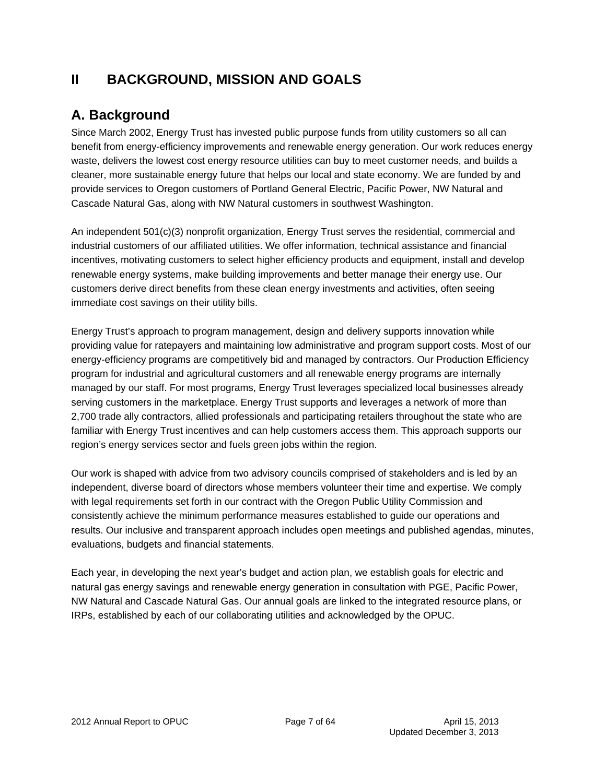## **II BACKGROUND, MISSION AND GOALS**

## **A. Background**

Since March 2002, Energy Trust has invested public purpose funds from utility customers so all can benefit from energy-efficiency improvements and renewable energy generation. Our work reduces energy waste, delivers the lowest cost energy resource utilities can buy to meet customer needs, and builds a cleaner, more sustainable energy future that helps our local and state economy. We are funded by and provide services to Oregon customers of Portland General Electric, Pacific Power, NW Natural and Cascade Natural Gas, along with NW Natural customers in southwest Washington.

An independent 501(c)(3) nonprofit organization, Energy Trust serves the residential, commercial and industrial customers of our affiliated utilities. We offer information, technical assistance and financial incentives, motivating customers to select higher efficiency products and equipment, install and develop renewable energy systems, make building improvements and better manage their energy use. Our customers derive direct benefits from these clean energy investments and activities, often seeing immediate cost savings on their utility bills.

Energy Trust's approach to program management, design and delivery supports innovation while providing value for ratepayers and maintaining low administrative and program support costs. Most of our energy-efficiency programs are competitively bid and managed by contractors. Our Production Efficiency program for industrial and agricultural customers and all renewable energy programs are internally managed by our staff. For most programs, Energy Trust leverages specialized local businesses already serving customers in the marketplace. Energy Trust supports and leverages a network of more than 2,700 trade ally contractors, allied professionals and participating retailers throughout the state who are familiar with Energy Trust incentives and can help customers access them. This approach supports our region's energy services sector and fuels green jobs within the region.

Our work is shaped with advice from two advisory councils comprised of stakeholders and is led by an independent, diverse board of directors whose members volunteer their time and expertise. We comply with legal requirements set forth in our contract with the Oregon Public Utility Commission and consistently achieve the minimum performance measures established to guide our operations and results. Our inclusive and transparent approach includes open meetings and published agendas, minutes, evaluations, budgets and financial statements.

Each year, in developing the next year's budget and action plan, we establish goals for electric and natural gas energy savings and renewable energy generation in consultation with PGE, Pacific Power, NW Natural and Cascade Natural Gas. Our annual goals are linked to the integrated resource plans, or IRPs, established by each of our collaborating utilities and acknowledged by the OPUC.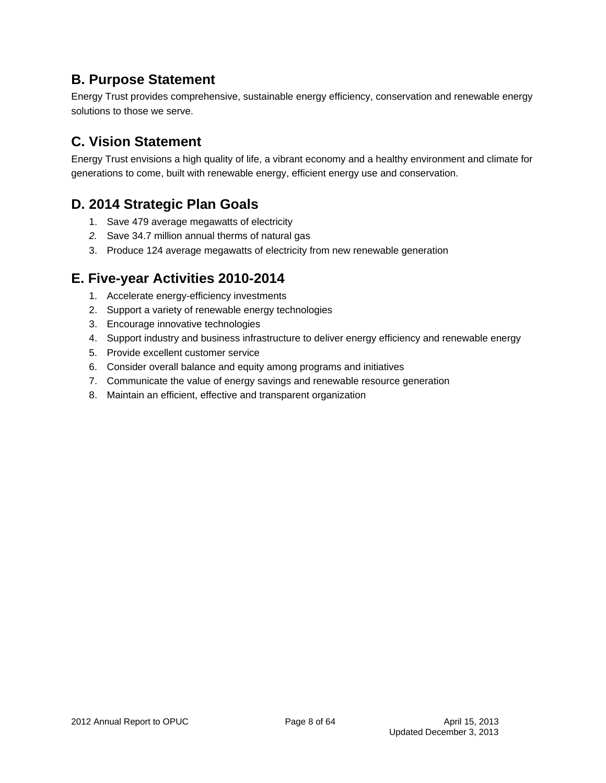## **B. Purpose Statement**

Energy Trust provides comprehensive, sustainable energy efficiency, conservation and renewable energy solutions to those we serve.

## **C. Vision Statement**

Energy Trust envisions a high quality of life, a vibrant economy and a healthy environment and climate for generations to come, built with renewable energy, efficient energy use and conservation.

## **D. 2014 Strategic Plan Goals**

- 1. Save 479 average megawatts of electricity
- *2.* Save 34.7 million annual therms of natural gas
- 3. Produce 124 average megawatts of electricity from new renewable generation

## **E. Five-year Activities 2010-2014**

- 1. Accelerate energy-efficiency investments
- 2. Support a variety of renewable energy technologies
- 3. Encourage innovative technologies
- 4. Support industry and business infrastructure to deliver energy efficiency and renewable energy
- 5. Provide excellent customer service
- 6. Consider overall balance and equity among programs and initiatives
- 7. Communicate the value of energy savings and renewable resource generation
- 8. Maintain an efficient, effective and transparent organization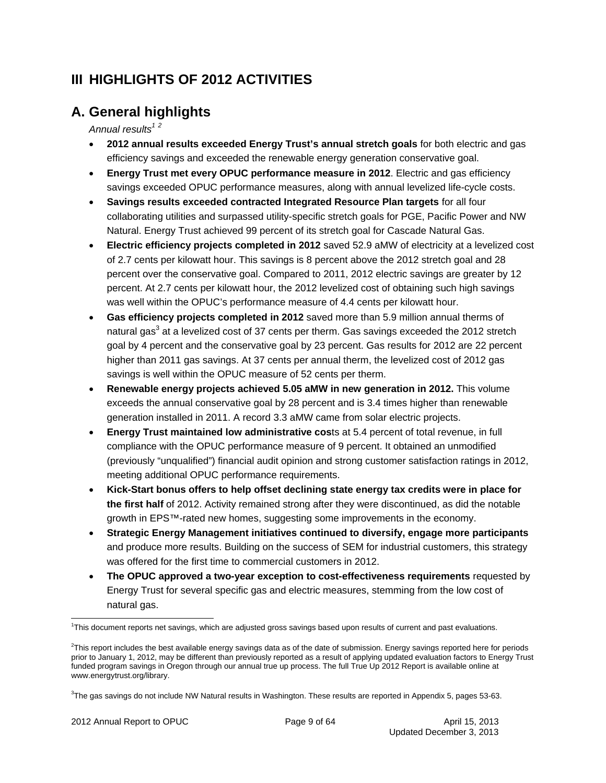## **III HIGHLIGHTS OF 2012 ACTIVITIES**

## **A. General highlights**

Annual results<sup>12</sup>

- **2012 annual results exceeded Energy Trust's annual stretch goals** for both electric and gas efficiency savings and exceeded the renewable energy generation conservative goal.
- **Energy Trust met every OPUC performance measure in 2012**. Electric and gas efficiency savings exceeded OPUC performance measures, along with annual levelized life-cycle costs.
- **Savings results exceeded contracted Integrated Resource Plan targets** for all four collaborating utilities and surpassed utility-specific stretch goals for PGE, Pacific Power and NW Natural. Energy Trust achieved 99 percent of its stretch goal for Cascade Natural Gas.
- **Electric efficiency projects completed in 2012** saved 52.9 aMW of electricity at a levelized cost of 2.7 cents per kilowatt hour. This savings is 8 percent above the 2012 stretch goal and 28 percent over the conservative goal. Compared to 2011, 2012 electric savings are greater by 12 percent. At 2.7 cents per kilowatt hour, the 2012 levelized cost of obtaining such high savings was well within the OPUC's performance measure of 4.4 cents per kilowatt hour.
- **Gas efficiency projects completed in 2012** saved more than 5.9 million annual therms of natural gas<sup>3</sup> at a levelized cost of 37 cents per therm. Gas savings exceeded the 2012 stretch goal by 4 percent and the conservative goal by 23 percent. Gas results for 2012 are 22 percent higher than 2011 gas savings. At 37 cents per annual therm, the levelized cost of 2012 gas savings is well within the OPUC measure of 52 cents per therm.
- **Renewable energy projects achieved 5.05 aMW in new generation in 2012.** This volume exceeds the annual conservative goal by 28 percent and is 3.4 times higher than renewable generation installed in 2011. A record 3.3 aMW came from solar electric projects.
- **Energy Trust maintained low administrative cos**ts at 5.4 percent of total revenue, in full compliance with the OPUC performance measure of 9 percent. It obtained an unmodified (previously "unqualified") financial audit opinion and strong customer satisfaction ratings in 2012, meeting additional OPUC performance requirements.
- **Kick-Start bonus offers to help offset declining state energy tax credits were in place for the first half** of 2012. Activity remained strong after they were discontinued, as did the notable growth in EPS™-rated new homes, suggesting some improvements in the economy.
- **Strategic Energy Management initiatives continued to diversify, engage more participants**  and produce more results. Building on the success of SEM for industrial customers, this strategy was offered for the first time to commercial customers in 2012.
- **The OPUC approved a two-year exception to cost-effectiveness requirements** requested by Energy Trust for several specific gas and electric measures, stemming from the low cost of natural gas.

<sup>1</sup> This document reports net savings, which are adjusted gross savings based upon results of current and past evaluations.

<sup>&</sup>lt;sup>2</sup>This report includes the best available energy savings data as of the date of submission. Energy savings reported here for periods prior to January 1, 2012, may be different than previously reported as a result of applying updated evaluation factors to Energy Trust funded program savings in Oregon through our annual true up process. The full True Up 2012 Report is available online at www.energytrust.org/library.

<sup>3</sup> The gas savings do not include NW Natural results in Washington. These results are reported in Appendix 5, pages 53-63.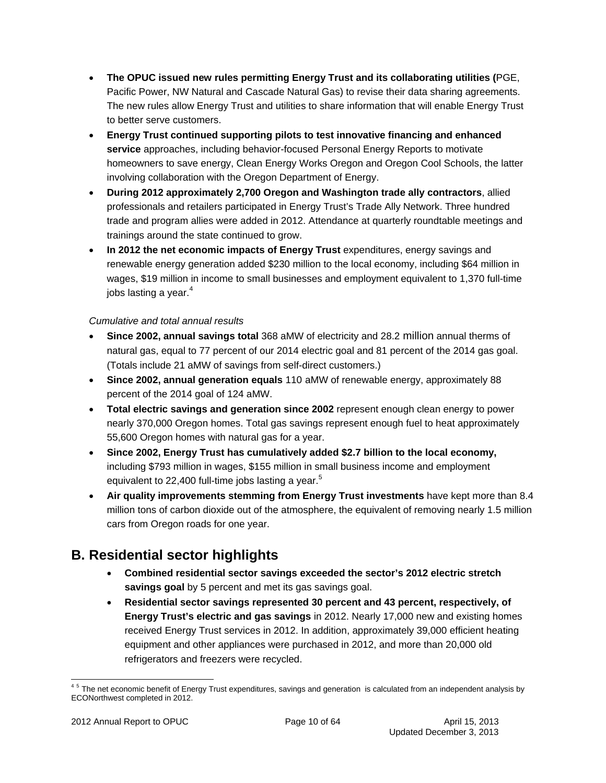- **The OPUC issued new rules permitting Energy Trust and its collaborating utilities (**PGE, Pacific Power, NW Natural and Cascade Natural Gas) to revise their data sharing agreements. The new rules allow Energy Trust and utilities to share information that will enable Energy Trust to better serve customers.
- **Energy Trust continued supporting pilots to test innovative financing and enhanced service** approaches, including behavior-focused Personal Energy Reports to motivate homeowners to save energy, Clean Energy Works Oregon and Oregon Cool Schools, the latter involving collaboration with the Oregon Department of Energy.
- **During 2012 approximately 2,700 Oregon and Washington trade ally contractors**, allied professionals and retailers participated in Energy Trust's Trade Ally Network. Three hundred trade and program allies were added in 2012. Attendance at quarterly roundtable meetings and trainings around the state continued to grow.
- **In 2012 the net economic impacts of Energy Trust** expenditures, energy savings and renewable energy generation added \$230 million to the local economy, including \$64 million in wages, \$19 million in income to small businesses and employment equivalent to 1,370 full-time jobs lasting a year. $4$

### *Cumulative and total annual results*

- **Since 2002, annual savings total** 368 aMW of electricity and 28.2 million annual therms of natural gas, equal to 77 percent of our 2014 electric goal and 81 percent of the 2014 gas goal. (Totals include 21 aMW of savings from self-direct customers.)
- **Since 2002, annual generation equals** 110 aMW of renewable energy, approximately 88 percent of the 2014 goal of 124 aMW.
- **Total electric savings and generation since 2002** represent enough clean energy to power nearly 370,000 Oregon homes. Total gas savings represent enough fuel to heat approximately 55,600 Oregon homes with natural gas for a year.
- **Since 2002, Energy Trust has cumulatively added \$2.7 billion to the local economy,**  including \$793 million in wages, \$155 million in small business income and employment equivalent to 22,400 full-time jobs lasting a year.<sup>5</sup>
- **Air quality improvements stemming from Energy Trust investments** have kept more than 8.4 million tons of carbon dioxide out of the atmosphere, the equivalent of removing nearly 1.5 million cars from Oregon roads for one year.

## **B. Residential sector highlights**

- **Combined residential sector savings exceeded the sector's 2012 electric stretch savings goal** by 5 percent and met its gas savings goal.
- **Residential sector savings represented 30 percent and 43 percent, respectively, of Energy Trust's electric and gas savings** in 2012. Nearly 17,000 new and existing homes received Energy Trust services in 2012. In addition, approximately 39,000 efficient heating equipment and other appliances were purchased in 2012, and more than 20,000 old refrigerators and freezers were recycled.

 <sup>45</sup> The net economic benefit of Energy Trust expenditures, savings and generation is calculated from an independent analysis by ECONorthwest completed in 2012.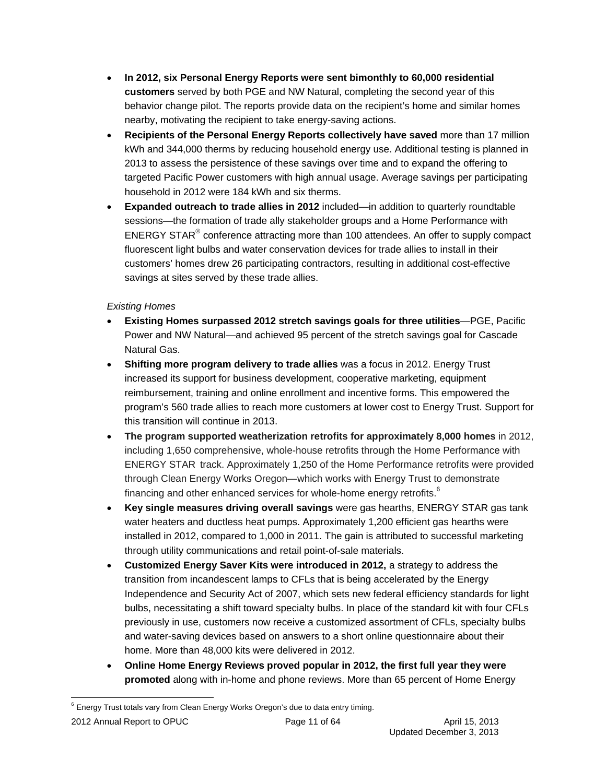- **In 2012, six Personal Energy Reports were sent bimonthly to 60,000 residential customers** served by both PGE and NW Natural, completing the second year of this behavior change pilot. The reports provide data on the recipient's home and similar homes nearby, motivating the recipient to take energy-saving actions.
- **Recipients of the Personal Energy Reports collectively have saved** more than 17 million kWh and 344,000 therms by reducing household energy use. Additional testing is planned in 2013 to assess the persistence of these savings over time and to expand the offering to targeted Pacific Power customers with high annual usage. Average savings per participating household in 2012 were 184 kWh and six therms.
- **Expanded outreach to trade allies in 2012** included—in addition to quarterly roundtable sessions—the formation of trade ally stakeholder groups and a Home Performance with ENERGY STAR<sup>®</sup> conference attracting more than 100 attendees. An offer to supply compact fluorescent light bulbs and water conservation devices for trade allies to install in their customers' homes drew 26 participating contractors, resulting in additional cost-effective savings at sites served by these trade allies.

### *Existing Homes*

- **Existing Homes surpassed 2012 stretch savings goals for three utilities**—PGE, Pacific Power and NW Natural—and achieved 95 percent of the stretch savings goal for Cascade Natural Gas.
- **Shifting more program delivery to trade allies** was a focus in 2012. Energy Trust increased its support for business development, cooperative marketing, equipment reimbursement, training and online enrollment and incentive forms. This empowered the program's 560 trade allies to reach more customers at lower cost to Energy Trust. Support for this transition will continue in 2013.
- **The program supported weatherization retrofits for approximately 8,000 homes** in 2012, including 1,650 comprehensive, whole-house retrofits through the Home Performance with ENERGY STAR track. Approximately 1,250 of the Home Performance retrofits were provided through Clean Energy Works Oregon—which works with Energy Trust to demonstrate financing and other enhanced services for whole-home energy retrofits.<sup>6</sup>
- **Key single measures driving overall savings** were gas hearths, ENERGY STAR gas tank water heaters and ductless heat pumps. Approximately 1,200 efficient gas hearths were installed in 2012, compared to 1,000 in 2011. The gain is attributed to successful marketing through utility communications and retail point-of-sale materials.
- **Customized Energy Saver Kits were introduced in 2012, a strategy to address the** transition from incandescent lamps to CFLs that is being accelerated by the Energy Independence and Security Act of 2007, which sets new federal efficiency standards for light bulbs, necessitating a shift toward specialty bulbs. In place of the standard kit with four CFLs previously in use, customers now receive a customized assortment of CFLs, specialty bulbs and water-saving devices based on answers to a short online questionnaire about their home. More than 48,000 kits were delivered in 2012.
- **Online Home Energy Reviews proved popular in 2012, the first full year they were promoted** along with in-home and phone reviews. More than 65 percent of Home Energy

  $6$  Energy Trust totals vary from Clean Energy Works Oregon's due to data entry timing.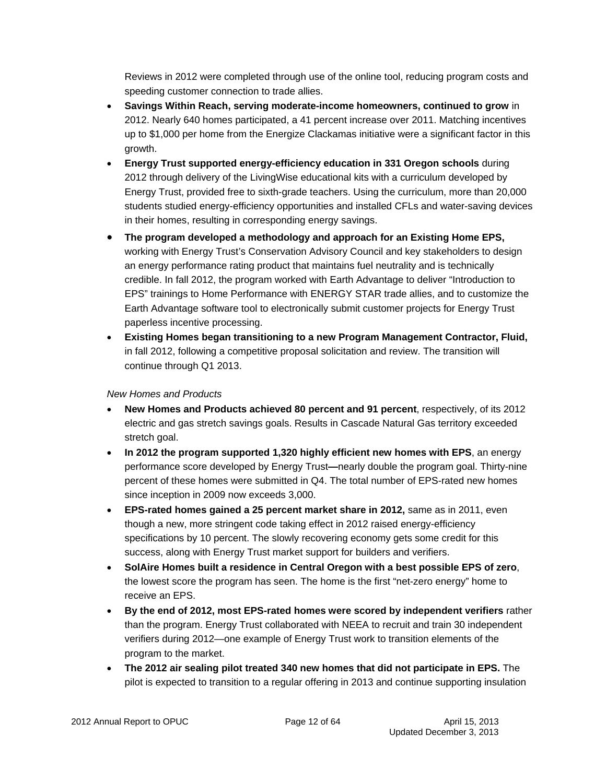Reviews in 2012 were completed through use of the online tool, reducing program costs and speeding customer connection to trade allies.

- **Savings Within Reach, serving moderate-income homeowners, continued to grow** in 2012. Nearly 640 homes participated, a 41 percent increase over 2011. Matching incentives up to \$1,000 per home from the Energize Clackamas initiative were a significant factor in this growth.
- **Energy Trust supported energy-efficiency education in 331 Oregon schools** during 2012 through delivery of the LivingWise educational kits with a curriculum developed by Energy Trust, provided free to sixth-grade teachers. Using the curriculum, more than 20,000 students studied energy-efficiency opportunities and installed CFLs and water-saving devices in their homes, resulting in corresponding energy savings.
- **The program developed a methodology and approach for an Existing Home EPS,**  working with Energy Trust's Conservation Advisory Council and key stakeholders to design an energy performance rating product that maintains fuel neutrality and is technically credible. In fall 2012, the program worked with Earth Advantage to deliver "Introduction to EPS" trainings to Home Performance with ENERGY STAR trade allies, and to customize the Earth Advantage software tool to electronically submit customer projects for Energy Trust paperless incentive processing.
- **Existing Homes began transitioning to a new Program Management Contractor, Fluid,**  in fall 2012, following a competitive proposal solicitation and review. The transition will continue through Q1 2013.

#### *New Homes and Products*

- **New Homes and Products achieved 80 percent and 91 percent**, respectively, of its 2012 electric and gas stretch savings goals. Results in Cascade Natural Gas territory exceeded stretch goal.
- **In 2012 the program supported 1,320 highly efficient new homes with EPS**, an energy performance score developed by Energy Trust**—**nearly double the program goal. Thirty-nine percent of these homes were submitted in Q4. The total number of EPS-rated new homes since inception in 2009 now exceeds 3,000.
- **EPS-rated homes gained a 25 percent market share in 2012, same as in 2011, even** though a new, more stringent code taking effect in 2012 raised energy-efficiency specifications by 10 percent. The slowly recovering economy gets some credit for this success, along with Energy Trust market support for builders and verifiers.
- **SolAire Homes built a residence in Central Oregon with a best possible EPS of zero**, the lowest score the program has seen. The home is the first "net-zero energy" home to receive an EPS.
- **By the end of 2012, most EPS-rated homes were scored by independent verifiers** rather than the program. Energy Trust collaborated with NEEA to recruit and train 30 independent verifiers during 2012—one example of Energy Trust work to transition elements of the program to the market.
- **The 2012 air sealing pilot treated 340 new homes that did not participate in EPS.** The pilot is expected to transition to a regular offering in 2013 and continue supporting insulation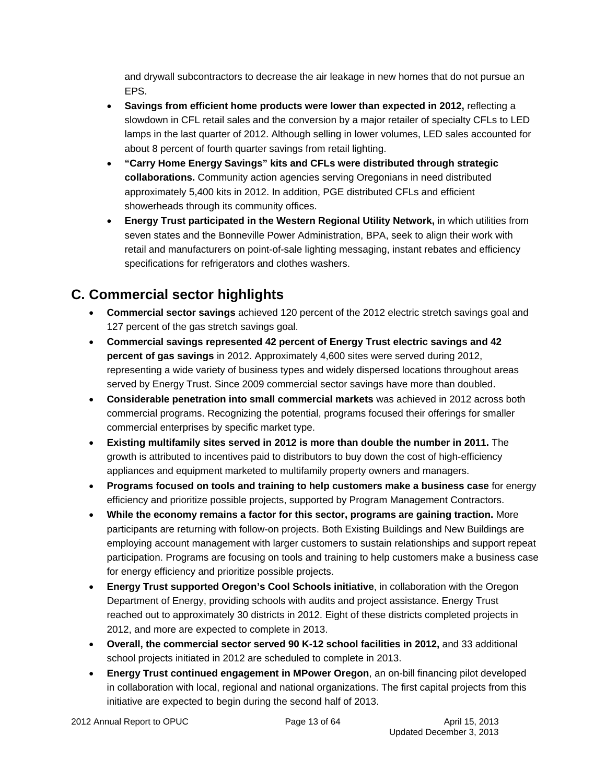and drywall subcontractors to decrease the air leakage in new homes that do not pursue an EPS.

- **Savings from efficient home products were lower than expected in 2012, reflecting a** slowdown in CFL retail sales and the conversion by a major retailer of specialty CFLs to LED lamps in the last quarter of 2012. Although selling in lower volumes, LED sales accounted for about 8 percent of fourth quarter savings from retail lighting.
- **"Carry Home Energy Savings" kits and CFLs were distributed through strategic collaborations.** Community action agencies serving Oregonians in need distributed approximately 5,400 kits in 2012. In addition, PGE distributed CFLs and efficient showerheads through its community offices.
- **Energy Trust participated in the Western Regional Utility Network,** in which utilities from seven states and the Bonneville Power Administration, BPA, seek to align their work with retail and manufacturers on point-of-sale lighting messaging, instant rebates and efficiency specifications for refrigerators and clothes washers.

## **C. Commercial sector highlights**

- **Commercial sector savings** achieved 120 percent of the 2012 electric stretch savings goal and 127 percent of the gas stretch savings goal.
- **Commercial savings represented 42 percent of Energy Trust electric savings and 42 percent of gas savings** in 2012. Approximately 4,600 sites were served during 2012, representing a wide variety of business types and widely dispersed locations throughout areas served by Energy Trust. Since 2009 commercial sector savings have more than doubled.
- **Considerable penetration into small commercial markets** was achieved in 2012 across both commercial programs. Recognizing the potential, programs focused their offerings for smaller commercial enterprises by specific market type.
- **Existing multifamily sites served in 2012 is more than double the number in 2011.** The growth is attributed to incentives paid to distributors to buy down the cost of high-efficiency appliances and equipment marketed to multifamily property owners and managers.
- **Programs focused on tools and training to help customers make a business case** for energy efficiency and prioritize possible projects, supported by Program Management Contractors.
- **While the economy remains a factor for this sector, programs are gaining traction.** More participants are returning with follow-on projects. Both Existing Buildings and New Buildings are employing account management with larger customers to sustain relationships and support repeat participation. Programs are focusing on tools and training to help customers make a business case for energy efficiency and prioritize possible projects.
- **Energy Trust supported Oregon's Cool Schools initiative**, in collaboration with the Oregon Department of Energy, providing schools with audits and project assistance. Energy Trust reached out to approximately 30 districts in 2012. Eight of these districts completed projects in 2012, and more are expected to complete in 2013.
- **Overall, the commercial sector served 90 K-12 school facilities in 2012,** and 33 additional school projects initiated in 2012 are scheduled to complete in 2013.
- **Energy Trust continued engagement in MPower Oregon**, an on-bill financing pilot developed in collaboration with local, regional and national organizations. The first capital projects from this initiative are expected to begin during the second half of 2013.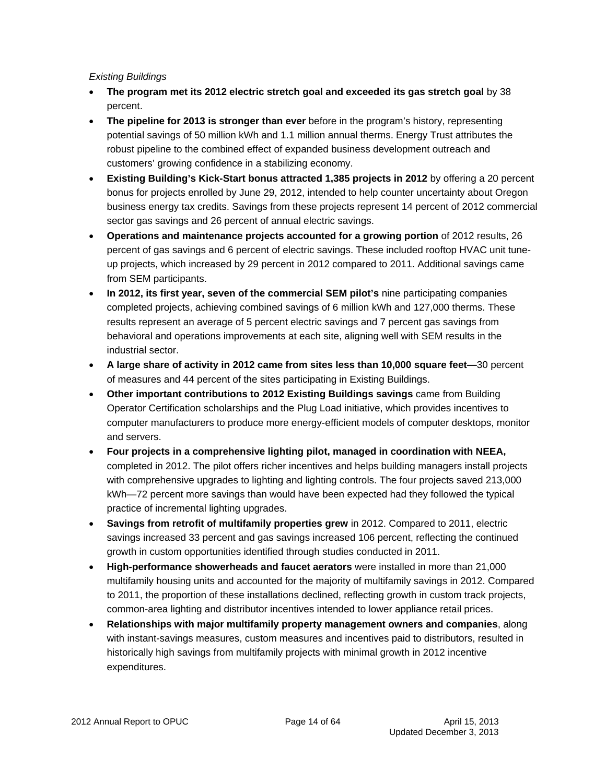#### *Existing Buildings*

- **The program met its 2012 electric stretch goal and exceeded its gas stretch goal** by 38 percent.
- **The pipeline for 2013 is stronger than ever** before in the program's history, representing potential savings of 50 million kWh and 1.1 million annual therms. Energy Trust attributes the robust pipeline to the combined effect of expanded business development outreach and customers' growing confidence in a stabilizing economy.
- **Existing Building's Kick-Start bonus attracted 1,385 projects in 2012** by offering a 20 percent bonus for projects enrolled by June 29, 2012, intended to help counter uncertainty about Oregon business energy tax credits. Savings from these projects represent 14 percent of 2012 commercial sector gas savings and 26 percent of annual electric savings.
- **Operations and maintenance projects accounted for a growing portion** of 2012 results, 26 percent of gas savings and 6 percent of electric savings. These included rooftop HVAC unit tuneup projects, which increased by 29 percent in 2012 compared to 2011. Additional savings came from SEM participants.
- **In 2012, its first year, seven of the commercial SEM pilot's** nine participating companies completed projects, achieving combined savings of 6 million kWh and 127,000 therms. These results represent an average of 5 percent electric savings and 7 percent gas savings from behavioral and operations improvements at each site, aligning well with SEM results in the industrial sector.
- **A large share of activity in 2012 came from sites less than 10,000 square feet—**30 percent of measures and 44 percent of the sites participating in Existing Buildings.
- **Other important contributions to 2012 Existing Buildings savings** came from Building Operator Certification scholarships and the Plug Load initiative, which provides incentives to computer manufacturers to produce more energy-efficient models of computer desktops, monitor and servers.
- **Four projects in a comprehensive lighting pilot, managed in coordination with NEEA,** completed in 2012. The pilot offers richer incentives and helps building managers install projects with comprehensive upgrades to lighting and lighting controls. The four projects saved 213,000 kWh—72 percent more savings than would have been expected had they followed the typical practice of incremental lighting upgrades.
- **Savings from retrofit of multifamily properties grew** in 2012. Compared to 2011, electric savings increased 33 percent and gas savings increased 106 percent, reflecting the continued growth in custom opportunities identified through studies conducted in 2011.
- **High-performance showerheads and faucet aerators** were installed in more than 21,000 multifamily housing units and accounted for the majority of multifamily savings in 2012. Compared to 2011, the proportion of these installations declined, reflecting growth in custom track projects, common-area lighting and distributor incentives intended to lower appliance retail prices.
- **Relationships with major multifamily property management owners and companies**, along with instant-savings measures, custom measures and incentives paid to distributors, resulted in historically high savings from multifamily projects with minimal growth in 2012 incentive expenditures.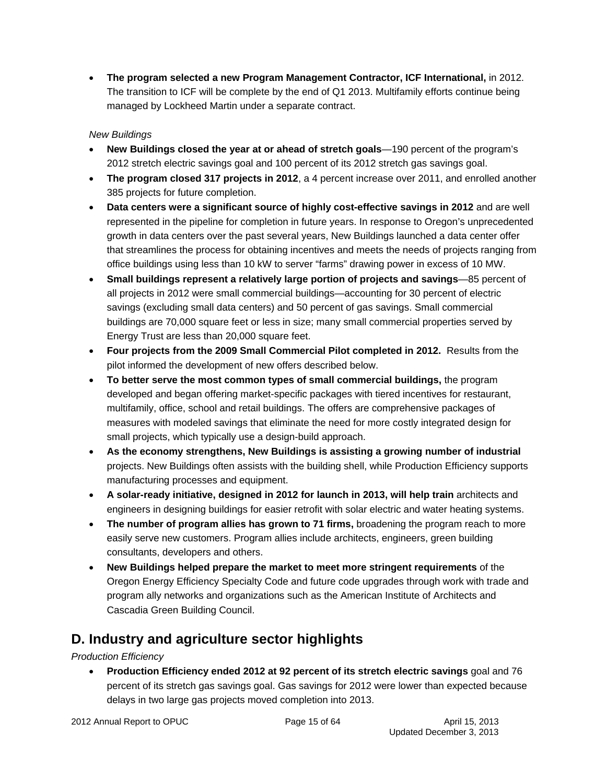**The program selected a new Program Management Contractor, ICF International,** in 2012. The transition to ICF will be complete by the end of Q1 2013. Multifamily efforts continue being managed by Lockheed Martin under a separate contract.

### *New Buildings*

- **New Buildings closed the year at or ahead of stretch goals**—190 percent of the program's 2012 stretch electric savings goal and 100 percent of its 2012 stretch gas savings goal.
- **The program closed 317 projects in 2012**, a 4 percent increase over 2011, and enrolled another 385 projects for future completion.
- **Data centers were a significant source of highly cost-effective savings in 2012** and are well represented in the pipeline for completion in future years. In response to Oregon's unprecedented growth in data centers over the past several years, New Buildings launched a data center offer that streamlines the process for obtaining incentives and meets the needs of projects ranging from office buildings using less than 10 kW to server "farms" drawing power in excess of 10 MW.
- **Small buildings represent a relatively large portion of projects and savings**—85 percent of all projects in 2012 were small commercial buildings—accounting for 30 percent of electric savings (excluding small data centers) and 50 percent of gas savings. Small commercial buildings are 70,000 square feet or less in size; many small commercial properties served by Energy Trust are less than 20,000 square feet.
- **Four projects from the 2009 Small Commercial Pilot completed in 2012.** Results from the pilot informed the development of new offers described below.
- **To better serve the most common types of small commercial buildings,** the program developed and began offering market-specific packages with tiered incentives for restaurant, multifamily, office, school and retail buildings. The offers are comprehensive packages of measures with modeled savings that eliminate the need for more costly integrated design for small projects, which typically use a design-build approach.
- **As the economy strengthens, New Buildings is assisting a growing number of industrial**  projects. New Buildings often assists with the building shell, while Production Efficiency supports manufacturing processes and equipment.
- **A solar-ready initiative, designed in 2012 for launch in 2013, will help train** architects and engineers in designing buildings for easier retrofit with solar electric and water heating systems.
- **The number of program allies has grown to 71 firms,** broadening the program reach to more easily serve new customers. Program allies include architects, engineers, green building consultants, developers and others.
- **New Buildings helped prepare the market to meet more stringent requirements** of the Oregon Energy Efficiency Specialty Code and future code upgrades through work with trade and program ally networks and organizations such as the American Institute of Architects and Cascadia Green Building Council.

## **D. Industry and agriculture sector highlights**

*Production Efficiency* 

 **Production Efficiency ended 2012 at 92 percent of its stretch electric savings** goal and 76 percent of its stretch gas savings goal. Gas savings for 2012 were lower than expected because delays in two large gas projects moved completion into 2013.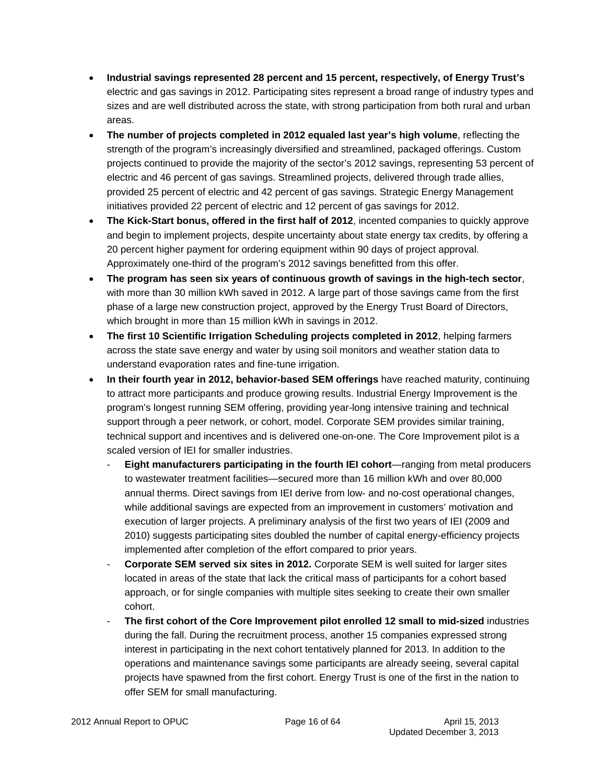- **Industrial savings represented 28 percent and 15 percent, respectively, of Energy Trust's**  electric and gas savings in 2012. Participating sites represent a broad range of industry types and sizes and are well distributed across the state, with strong participation from both rural and urban areas.
- **The number of projects completed in 2012 equaled last year's high volume**, reflecting the strength of the program's increasingly diversified and streamlined, packaged offerings. Custom projects continued to provide the majority of the sector's 2012 savings, representing 53 percent of electric and 46 percent of gas savings. Streamlined projects, delivered through trade allies, provided 25 percent of electric and 42 percent of gas savings. Strategic Energy Management initiatives provided 22 percent of electric and 12 percent of gas savings for 2012.
- **The Kick-Start bonus, offered in the first half of 2012**, incented companies to quickly approve and begin to implement projects, despite uncertainty about state energy tax credits, by offering a 20 percent higher payment for ordering equipment within 90 days of project approval. Approximately one-third of the program's 2012 savings benefitted from this offer.
- **The program has seen six years of continuous growth of savings in the high-tech sector**, with more than 30 million kWh saved in 2012. A large part of those savings came from the first phase of a large new construction project, approved by the Energy Trust Board of Directors, which brought in more than 15 million kWh in savings in 2012.
- **The first 10 Scientific Irrigation Scheduling projects completed in 2012**, helping farmers across the state save energy and water by using soil monitors and weather station data to understand evaporation rates and fine-tune irrigation.
- **In their fourth year in 2012, behavior-based SEM offerings** have reached maturity, continuing to attract more participants and produce growing results. Industrial Energy Improvement is the program's longest running SEM offering, providing year-long intensive training and technical support through a peer network, or cohort, model. Corporate SEM provides similar training, technical support and incentives and is delivered one-on-one. The Core Improvement pilot is a scaled version of IEI for smaller industries.
	- **Eight manufacturers participating in the fourth IEI cohort**—ranging from metal producers to wastewater treatment facilities—secured more than 16 million kWh and over 80,000 annual therms. Direct savings from IEI derive from low- and no-cost operational changes, while additional savings are expected from an improvement in customers' motivation and execution of larger projects. A preliminary analysis of the first two years of IEI (2009 and 2010) suggests participating sites doubled the number of capital energy-efficiency projects implemented after completion of the effort compared to prior years.
	- **Corporate SEM served six sites in 2012.** Corporate SEM is well suited for larger sites located in areas of the state that lack the critical mass of participants for a cohort based approach, or for single companies with multiple sites seeking to create their own smaller cohort.
	- **The first cohort of the Core Improvement pilot enrolled 12 small to mid-sized** industries during the fall. During the recruitment process, another 15 companies expressed strong interest in participating in the next cohort tentatively planned for 2013. In addition to the operations and maintenance savings some participants are already seeing, several capital projects have spawned from the first cohort. Energy Trust is one of the first in the nation to offer SEM for small manufacturing.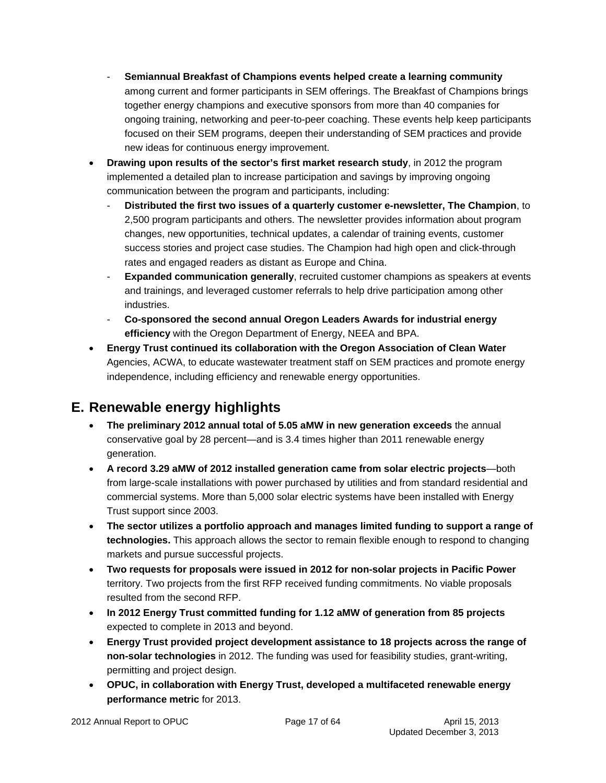- **Semiannual Breakfast of Champions events helped create a learning community** among current and former participants in SEM offerings. The Breakfast of Champions brings together energy champions and executive sponsors from more than 40 companies for ongoing training, networking and peer-to-peer coaching. These events help keep participants focused on their SEM programs, deepen their understanding of SEM practices and provide new ideas for continuous energy improvement.
- **Drawing upon results of the sector's first market research study**, in 2012 the program implemented a detailed plan to increase participation and savings by improving ongoing communication between the program and participants, including:
	- **Distributed the first two issues of a quarterly customer e-newsletter, The Champion**, to 2,500 program participants and others. The newsletter provides information about program changes, new opportunities, technical updates, a calendar of training events, customer success stories and project case studies. The Champion had high open and click-through rates and engaged readers as distant as Europe and China.
	- **Expanded communication generally**, recruited customer champions as speakers at events and trainings, and leveraged customer referrals to help drive participation among other industries.
	- **Co-sponsored the second annual Oregon Leaders Awards for industrial energy efficiency** with the Oregon Department of Energy, NEEA and BPA.
- **Energy Trust continued its collaboration with the Oregon Association of Clean Water**  Agencies, ACWA, to educate wastewater treatment staff on SEM practices and promote energy independence, including efficiency and renewable energy opportunities.

## **E. Renewable energy highlights**

- **The preliminary 2012 annual total of 5.05 aMW in new generation exceeds** the annual conservative goal by 28 percent—and is 3.4 times higher than 2011 renewable energy generation.
- **A record 3.29 aMW of 2012 installed generation came from solar electric projects**—both from large-scale installations with power purchased by utilities and from standard residential and commercial systems. More than 5,000 solar electric systems have been installed with Energy Trust support since 2003.
- **The sector utilizes a portfolio approach and manages limited funding to support a range of technologies.** This approach allows the sector to remain flexible enough to respond to changing markets and pursue successful projects.
- **Two requests for proposals were issued in 2012 for non-solar projects in Pacific Power** territory. Two projects from the first RFP received funding commitments. No viable proposals resulted from the second RFP.
- **In 2012 Energy Trust committed funding for 1.12 aMW of generation from 85 projects** expected to complete in 2013 and beyond.
- **Energy Trust provided project development assistance to 18 projects across the range of non-solar technologies** in 2012. The funding was used for feasibility studies, grant-writing, permitting and project design.
- **OPUC, in collaboration with Energy Trust, developed a multifaceted renewable energy performance metric** for 2013.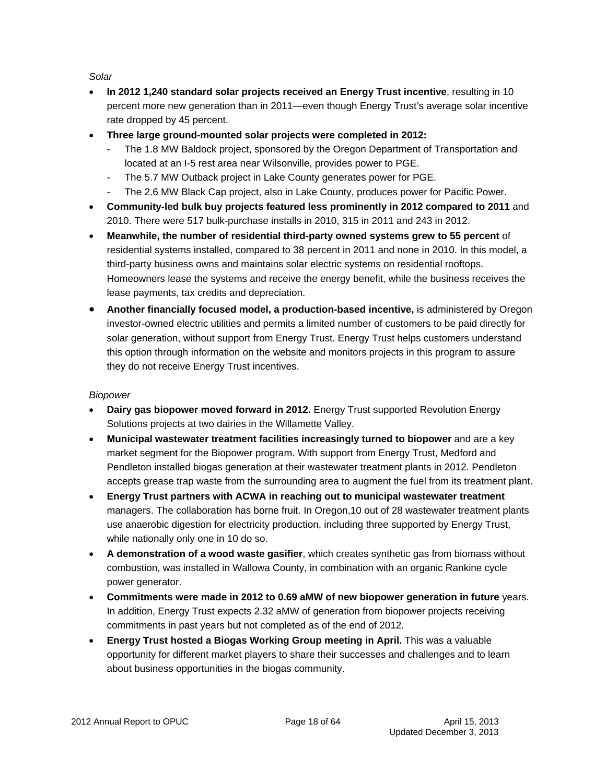*Solar* 

- **In 2012 1,240 standard solar projects received an Energy Trust incentive**, resulting in 10 percent more new generation than in 2011—even though Energy Trust's average solar incentive rate dropped by 45 percent.
- **Three large ground-mounted solar projects were completed in 2012:** 
	- The 1.8 MW Baldock project, sponsored by the Oregon Department of Transportation and located at an I-5 rest area near Wilsonville, provides power to PGE.
	- The 5.7 MW Outback project in Lake County generates power for PGE.
	- The 2.6 MW Black Cap project, also in Lake County, produces power for Pacific Power.
- **Community-led bulk buy projects featured less prominently in 2012 compared to 2011** and 2010. There were 517 bulk-purchase installs in 2010, 315 in 2011 and 243 in 2012.
- **Meanwhile, the number of residential third-party owned systems grew to 55 percent** of residential systems installed, compared to 38 percent in 2011 and none in 2010. In this model, a third-party business owns and maintains solar electric systems on residential rooftops. Homeowners lease the systems and receive the energy benefit, while the business receives the lease payments, tax credits and depreciation.
- **Another financially focused model, a production-based incentive,** is administered by Oregon investor-owned electric utilities and permits a limited number of customers to be paid directly for solar generation, without support from Energy Trust. Energy Trust helps customers understand this option through information on the website and monitors projects in this program to assure they do not receive Energy Trust incentives.

#### *Biopower*

- **Dairy gas biopower moved forward in 2012.** Energy Trust supported Revolution Energy Solutions projects at two dairies in the Willamette Valley.
- **Municipal wastewater treatment facilities increasingly turned to biopower** and are a key market segment for the Biopower program. With support from Energy Trust, Medford and Pendleton installed biogas generation at their wastewater treatment plants in 2012. Pendleton accepts grease trap waste from the surrounding area to augment the fuel from its treatment plant.
- **Energy Trust partners with ACWA in reaching out to municipal wastewater treatment** managers. The collaboration has borne fruit. In Oregon,10 out of 28 wastewater treatment plants use anaerobic digestion for electricity production, including three supported by Energy Trust, while nationally only one in 10 do so.
- **A demonstration of a wood waste gasifier**, which creates synthetic gas from biomass without combustion, was installed in Wallowa County, in combination with an organic Rankine cycle power generator.
- **Commitments were made in 2012 to 0.69 aMW of new biopower generation in future** years. In addition, Energy Trust expects 2.32 aMW of generation from biopower projects receiving commitments in past years but not completed as of the end of 2012.
- **Energy Trust hosted a Biogas Working Group meeting in April.** This was a valuable opportunity for different market players to share their successes and challenges and to learn about business opportunities in the biogas community.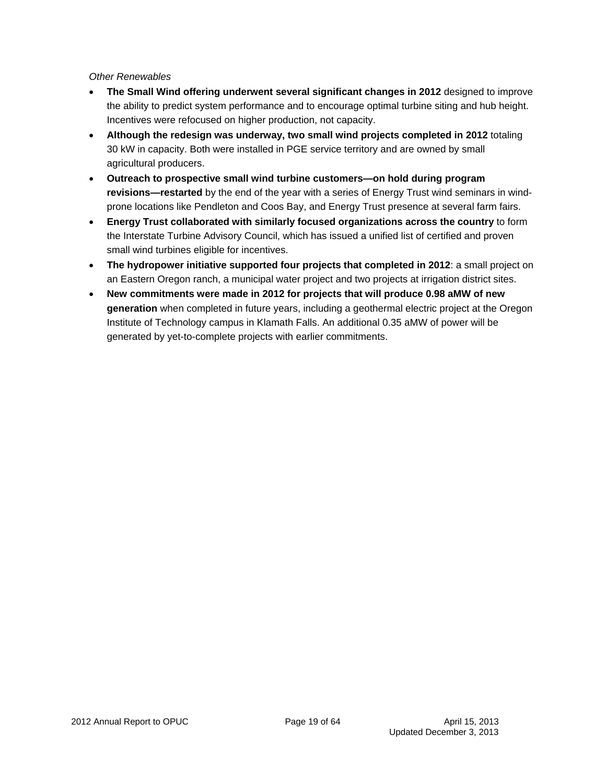#### *Other Renewables*

- **The Small Wind offering underwent several significant changes in 2012** designed to improve the ability to predict system performance and to encourage optimal turbine siting and hub height. Incentives were refocused on higher production, not capacity.
- **Although the redesign was underway, two small wind projects completed in 2012** totaling 30 kW in capacity. Both were installed in PGE service territory and are owned by small agricultural producers.
- **Outreach to prospective small wind turbine customers—on hold during program revisions—restarted** by the end of the year with a series of Energy Trust wind seminars in windprone locations like Pendleton and Coos Bay, and Energy Trust presence at several farm fairs.
- **Energy Trust collaborated with similarly focused organizations across the country** to form the Interstate Turbine Advisory Council, which has issued a unified list of certified and proven small wind turbines eligible for incentives.
- **The hydropower initiative supported four projects that completed in 2012**: a small project on an Eastern Oregon ranch, a municipal water project and two projects at irrigation district sites.
- **New commitments were made in 2012 for projects that will produce 0.98 aMW of new generation** when completed in future years, including a geothermal electric project at the Oregon Institute of Technology campus in Klamath Falls. An additional 0.35 aMW of power will be generated by yet-to-complete projects with earlier commitments.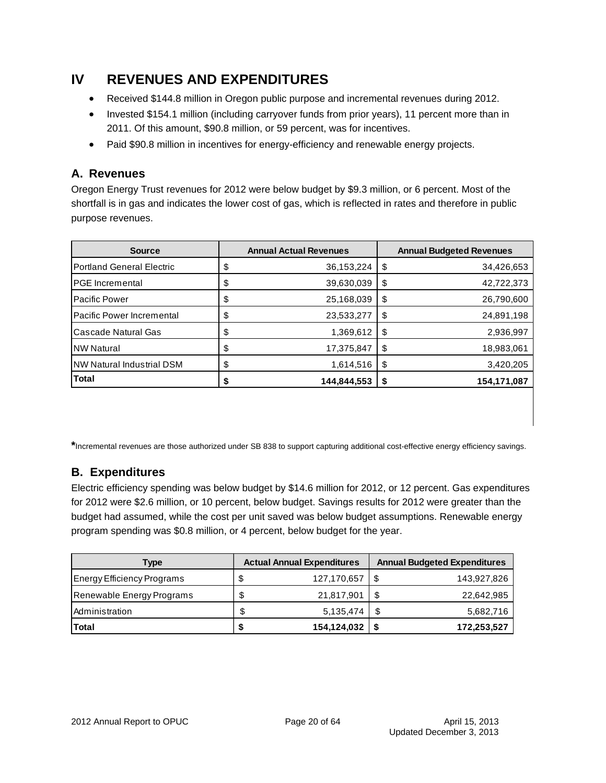## **IV REVENUES AND EXPENDITURES**

- Received \$144.8 million in Oregon public purpose and incremental revenues during 2012.
- Invested \$154.1 million (including carryover funds from prior years), 11 percent more than in 2011. Of this amount, \$90.8 million, or 59 percent, was for incentives.
- Paid \$90.8 million in incentives for energy-efficiency and renewable energy projects.

## **A. Revenues**

Oregon Energy Trust revenues for 2012 were below budget by \$9.3 million, or 6 percent. Most of the shortfall is in gas and indicates the lower cost of gas, which is reflected in rates and therefore in public purpose revenues.

| <b>Source</b>                    |    | <b>Annual Actual Revenues</b> | <b>Annual Budgeted Revenues</b> |             |  |
|----------------------------------|----|-------------------------------|---------------------------------|-------------|--|
| <b>Portland General Electric</b> | \$ | 36,153,224                    | \$                              | 34,426,653  |  |
| <b>I</b> PGE Incremental         | Φ  | 39,630,039                    | \$                              | 42,722,373  |  |
| <b>Pacific Power</b>             | Φ  | 25,168,039                    | \$                              | 26,790,600  |  |
| Pacific Power Incremental        | Φ  | 23,533,277                    | \$                              | 24,891,198  |  |
| Cascade Natural Gas              | \$ | 1,369,612                     | \$                              | 2,936,997   |  |
| <b>INW Natural</b>               | \$ | 17,375,847                    | \$                              | 18,983,061  |  |
| <b>NW Natural Industrial DSM</b> | \$ | 1,614,516                     | \$                              | 3,420,205   |  |
| <b>Total</b>                     |    | 144,844,553                   | S                               | 154,171,087 |  |

**\***Incremental revenues are those authorized under SB 838 to support capturing additional cost-effective energy efficiency savings.

## **B. Expenditures**

Electric efficiency spending was below budget by \$14.6 million for 2012, or 12 percent. Gas expenditures for 2012 were \$2.6 million, or 10 percent, below budget. Savings results for 2012 were greater than the budget had assumed, while the cost per unit saved was below budget assumptions. Renewable energy program spending was \$0.8 million, or 4 percent, below budget for the year.

| Type                              | <b>Actual Annual Expenditures</b> |             |      | <b>Annual Budgeted Expenditures</b> |  |  |
|-----------------------------------|-----------------------------------|-------------|------|-------------------------------------|--|--|
| <b>Energy Efficiency Programs</b> | \$                                | 127,170,657 |      | 143,927,826                         |  |  |
| Renewable Energy Programs         | \$                                | 21,817,901  | - \$ | 22,642,985                          |  |  |
| Administration                    | \$.                               | 5,135,474   | - \$ | 5,682,716                           |  |  |
| <b>Total</b>                      | S                                 | 154,124,032 |      | 172,253,527                         |  |  |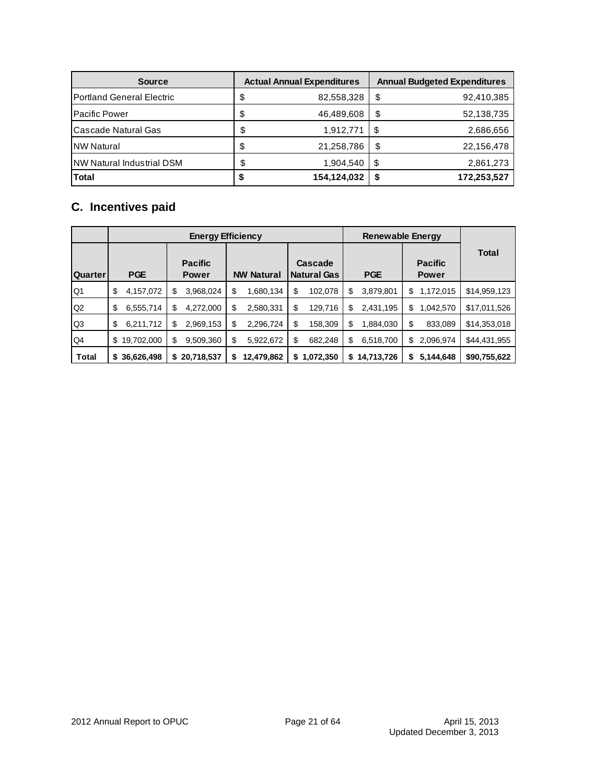| <b>Source</b>                     |    | <b>Actual Annual Expenditures</b> | <b>Annual Budgeted Expenditures</b> |             |  |
|-----------------------------------|----|-----------------------------------|-------------------------------------|-------------|--|
| <b>IPortland General Electric</b> | \$ | 82,558,328                        | \$                                  | 92,410,385  |  |
| <b>Pacific Power</b>              | \$ | 46,489,608                        | \$                                  | 52,138,735  |  |
| Cascade Natural Gas               | \$ | 1,912,771                         | - \$                                | 2,686,656   |  |
| <b>NW Natural</b>                 | \$ | 21,258,786                        | \$                                  | 22,156,478  |  |
| <b>INW Natural Industrial DSM</b> | \$ | 1,904,540                         | S                                   | 2,861,273   |  |
| <b>Total</b>                      | S  | 154,124,032                       |                                     | 172,253,527 |  |

## **C. Incentives paid**

|                |              |            |    |                                |    | <b>Energy Efficiency</b> |    |                               |     |            |    | <b>Renewable Energy</b>        |              |  |  |  |  |
|----------------|--------------|------------|----|--------------------------------|----|--------------------------|----|-------------------------------|-----|------------|----|--------------------------------|--------------|--|--|--|--|
| <b>Quarter</b> | <b>PGE</b>   |            |    | <b>Pacific</b><br><b>Power</b> |    | <b>NW Natural</b>        |    | Cascade<br><b>Natural Gas</b> |     | <b>PGE</b> |    | <b>Pacific</b><br><b>Power</b> | <b>Total</b> |  |  |  |  |
| Q1             | \$           | 4,157,072  | \$ | 3,968,024                      | \$ | 1,680,134                | \$ | 102,078                       | \$. | 3,879,801  | S  | 1,172,015                      | \$14,959,123 |  |  |  |  |
| Q <sub>2</sub> | \$           | 6,555,714  | S  | 4,272,000                      | S  | 2,580,331                | \$ | 129,716                       | \$  | 2,431,195  | S  | 1,042,570                      | \$17,011,526 |  |  |  |  |
| Q3             | \$           | 6,211,712  | \$ | 2,969,153                      | \$ | 2,296,724                | \$ | 158,309                       | \$  | 1,884,030  | \$ | 833,089                        | \$14,353,018 |  |  |  |  |
| Q4             | \$           | 19,702,000 | \$ | 9,509,360                      | \$ | 5,922,672                | \$ | 682,248                       | \$  | 6,518,700  | \$ | 2,096,974                      | \$44,431,955 |  |  |  |  |
| <b>Total</b>   | \$36,626,498 |            | S  | 20,718,537                     | S  | 12,479,862               | S. | 1,072,350                     | S.  | 14,713,726 | S  | 5,144,648                      | \$90,755,622 |  |  |  |  |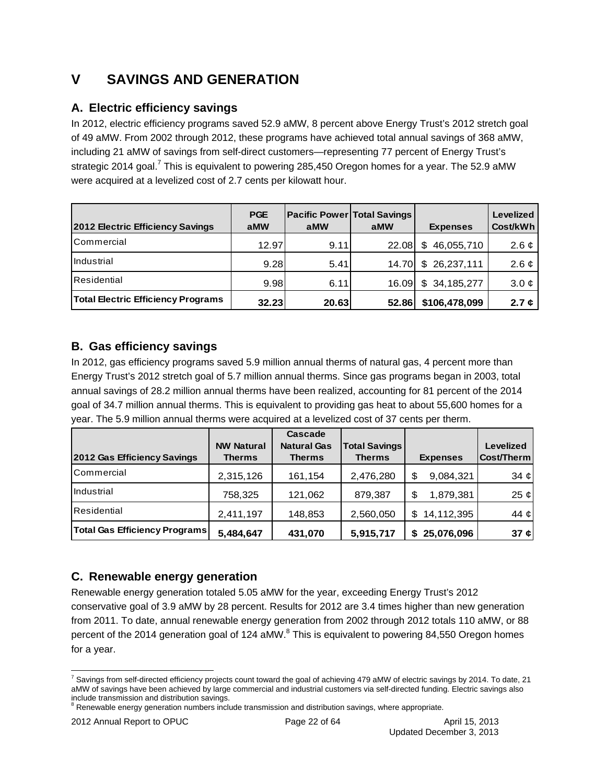## **V SAVINGS AND GENERATION**

## **A. Electric efficiency savings**

In 2012, electric efficiency programs saved 52.9 aMW, 8 percent above Energy Trust's 2012 stretch goal of 49 aMW. From 2002 through 2012, these programs have achieved total annual savings of 368 aMW, including 21 aMW of savings from self-direct customers—representing 77 percent of Energy Trust's strategic 2014 goal.<sup>7</sup> This is equivalent to powering 285,450 Oregon homes for a year. The 52.9 aMW were acquired at a levelized cost of 2.7 cents per kilowatt hour.

| 2012 Electric Efficiency Savings          | <b>PGE</b><br>aMW | <b>Pacific Power Total Savings</b><br>aMW | aMW   | <b>Expenses</b>  | <b>Levelized</b><br>Cost/kWh |
|-------------------------------------------|-------------------|-------------------------------------------|-------|------------------|------------------------------|
| <b>ICommercial</b>                        | 12.97             | 9.11                                      | 22.08 | 46,055,710<br>\$ | 2.6 $\phi$                   |
| <b>Industrial</b>                         | 9.28              | 5.41                                      | 14.70 | \$26,237,111     | 2.6 $\phi$                   |
| Residential                               | 9.98              | 6.11                                      | 16.09 | \$34,185,277     | $3.0 \, \phi$                |
| <b>Total Electric Efficiency Programs</b> | 32.23             | 20.63                                     | 52.86 | \$106,478,099    | 2.7 $\phi$                   |

## **B. Gas efficiency savings**

In 2012, gas efficiency programs saved 5.9 million annual therms of natural gas, 4 percent more than Energy Trust's 2012 stretch goal of 5.7 million annual therms. Since gas programs began in 2003, total annual savings of 28.2 million annual therms have been realized, accounting for 81 percent of the 2014 goal of 34.7 million annual therms. This is equivalent to providing gas heat to about 55,600 homes for a year. The 5.9 million annual therms were acquired at a levelized cost of 37 cents per therm.

|                                      | <b>NW Natural</b> | Cascade<br><b>Natural Gas</b> | <b>Total Savings</b> |                 | <b>Levelized</b> |
|--------------------------------------|-------------------|-------------------------------|----------------------|-----------------|------------------|
| 2012 Gas Efficiency Savings          | Therms            | <b>Therms</b>                 | <b>Therms</b>        | <b>Expenses</b> | Cost/Therm       |
| <b>ICommercial</b>                   | 2,315,126         | 161,154                       | 2,476,280            | 9,084,321       | 34 $\phi$        |
| <b>Industrial</b>                    | 758,325           | 121,062                       | 879,387              | 1,879,381<br>S  | 25 $\phi$        |
| <b>Residential</b>                   | 2,411,197         | 148,853                       | 2,560,050            | 14,112,395<br>S | 44 $\phi$        |
| <b>Total Gas Efficiency Programs</b> | 5,484,647         | 431,070                       | 5,915,717            | 25,076,096      | 37 $\phi$        |

## **C. Renewable energy generation**

Renewable energy generation totaled 5.05 aMW for the year, exceeding Energy Trust's 2012 conservative goal of 3.9 aMW by 28 percent. Results for 2012 are 3.4 times higher than new generation from 2011. To date, annual renewable energy generation from 2002 through 2012 totals 110 aMW, or 88 percent of the 2014 generation goal of 124 aMW. $^8$  This is equivalent to powering 84,550 Oregon homes for a year.

 7 Savings from self-directed efficiency projects count toward the goal of achieving 479 aMW of electric savings by 2014. To date, 21 aMW of savings have been achieved by large commercial and industrial customers via self-directed funding. Electric savings also include transmission and distribution savings.

 $8$  Renewable energy generation numbers include transmission and distribution savings, where appropriate.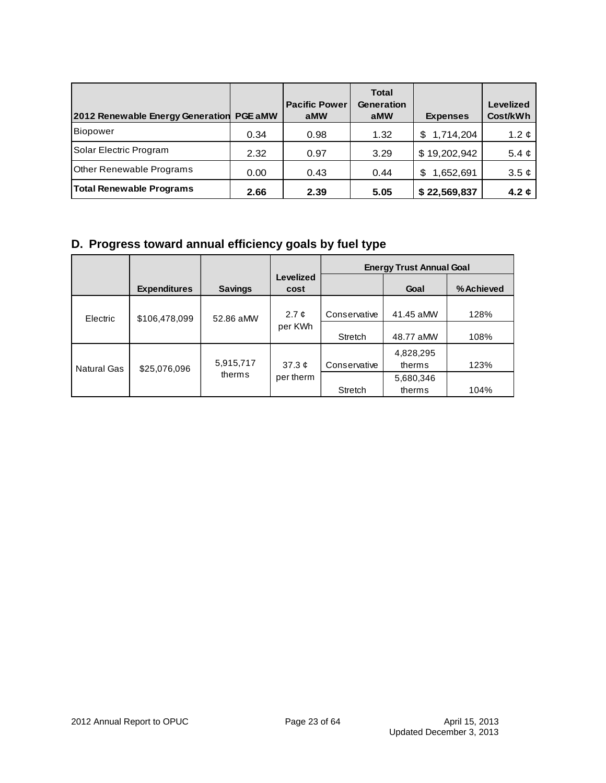| 2012 Renewable Energy Generation | <b>PGE aMW</b> | <b>Pacific Power</b><br>aMW | <b>Total</b><br><b>Generation</b><br>aMW | <b>Expenses</b> | <b>Levelized</b><br>Cost/kWh |
|----------------------------------|----------------|-----------------------------|------------------------------------------|-----------------|------------------------------|
| Biopower                         | 0.34           | 0.98                        | 1.32                                     | 1,714,204<br>S  | 1.2 $\phi$                   |
| Solar Electric Program           | 2.32           | 0.97                        | 3.29                                     | \$19,202,942    | 5.4 $\phi$                   |
| <b>Other Renewable Programs</b>  | 0.00           | 0.43                        | 0.44                                     | 1,652,691<br>\$ | $3.5 \; \mathfrak{C}$        |
| <b>Total Renewable Programs</b>  | 2.66           | 2.39                        | 5.05                                     | \$22,569,837    | 4.2 $\phi$                   |

## **D. Progress toward annual efficiency goals by fuel type**

|                    |                     |                |                     |              | <b>Energy Trust Annual Goal</b> |            |
|--------------------|---------------------|----------------|---------------------|--------------|---------------------------------|------------|
|                    | <b>Expenditures</b> | <b>Savings</b> | Levelized<br>cost   |              | Goal                            | % Achieved |
| Electric           | \$106,478,099       | 52.86 aMW      | 2.7 $\mathfrak{C}$  | Conservative | 41.45 aMW                       | 128%       |
|                    |                     |                | per KWh             | Stretch      | 48.77 aMW                       | 108%       |
| <b>Natural Gas</b> | \$25,076,096        | 5,915,717      | 37.3 $\mathfrak{c}$ | Conservative | 4,828,295<br>therms             | 123%       |
|                    |                     | therms         | per therm           | Stretch      | 5,680,346<br>therms             | 104%       |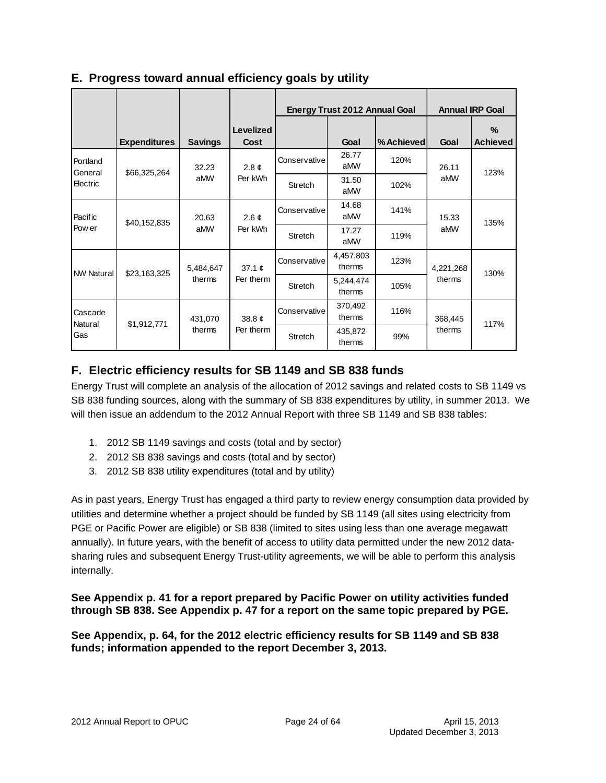|                     |                        |                                    |                       | <b>Energy Trust 2012 Annual Goal</b> |                     |                     | <b>Annual IRP Goal</b> |                         |         |              |      |     |  |
|---------------------|------------------------|------------------------------------|-----------------------|--------------------------------------|---------------------|---------------------|------------------------|-------------------------|---------|--------------|------|-----|--|
|                     | <b>Expenditures</b>    | <b>Savings</b>                     | Levelized<br>Cost     |                                      | Goal                | %Achieved           | Goal                   | $\%$<br><b>Achieved</b> |         |              |      |     |  |
| Portland<br>General | \$66,325,264           | 32.23                              | $2.8 \; \mathfrak{C}$ | Conservative                         | 26.77<br>aMW        | 120%                | 26.11                  | 123%                    |         |              |      |     |  |
| Electric            |                        | aMW                                | Per kWh               | Stretch                              | 31.50<br>aMW        | 102%                | aMW                    |                         |         |              |      |     |  |
| Pacific             | 20.63<br>\$40,152,835  | 2.6 $\phi$                         | Conservative          | 14.68<br>aMW                         | 141%                | 15.33               | 135%                   |                         |         |              |      |     |  |
| Pow er              |                        |                                    | aMW                   |                                      |                     | Per kWh             |                        |                         | Stretch | 17.27<br>aMW | 119% | aMW |  |
| <b>NW Natural</b>   | \$23,163,325           | 5,484,647<br>37.1 $\phi$<br>therms |                       | Conservative                         | 4,457,803<br>therms | 123%                | 4,221,268              | 130%                    |         |              |      |     |  |
|                     |                        |                                    |                       | Per therm                            | Stretch             | 5,244,474<br>therms | 105%                   | therms                  |         |              |      |     |  |
| Cascade<br>Natural  | 431,070<br>\$1,912,771 | 38.8¢                              | Conservative          | 370,492<br>therms                    | 116%                | 368,445             | 117%                   |                         |         |              |      |     |  |
| Gas                 |                        | therms                             | Per therm             | Stretch                              | 435,872<br>therms   | 99%                 | therms                 |                         |         |              |      |     |  |

### **E. Progress toward annual efficiency goals by utility**

## **F. Electric efficiency results for SB 1149 and SB 838 funds**

Energy Trust will complete an analysis of the allocation of 2012 savings and related costs to SB 1149 vs SB 838 funding sources, along with the summary of SB 838 expenditures by utility, in summer 2013. We will then issue an addendum to the 2012 Annual Report with three SB 1149 and SB 838 tables:

- 1. 2012 SB 1149 savings and costs (total and by sector)
- 2. 2012 SB 838 savings and costs (total and by sector)
- 3. 2012 SB 838 utility expenditures (total and by utility)

As in past years, Energy Trust has engaged a third party to review energy consumption data provided by utilities and determine whether a project should be funded by SB 1149 (all sites using electricity from PGE or Pacific Power are eligible) or SB 838 (limited to sites using less than one average megawatt annually). In future years, with the benefit of access to utility data permitted under the new 2012 datasharing rules and subsequent Energy Trust-utility agreements, we will be able to perform this analysis internally.

**See Appendix p. 41 for a report prepared by Pacific Power on utility activities funded through SB 838. See Appendix p. 47 for a report on the same topic prepared by PGE.** 

**See Appendix, p. 64, for the 2012 electric efficiency results for SB 1149 and SB 838 funds; information appended to the report December 3, 2013.**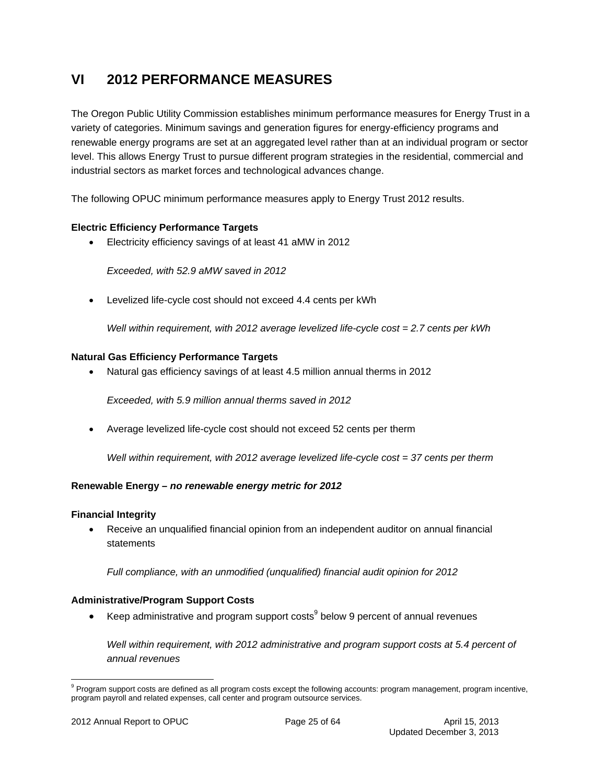## **VI 2012 PERFORMANCE MEASURES**

The Oregon Public Utility Commission establishes minimum performance measures for Energy Trust in a variety of categories. Minimum savings and generation figures for energy-efficiency programs and renewable energy programs are set at an aggregated level rather than at an individual program or sector level. This allows Energy Trust to pursue different program strategies in the residential, commercial and industrial sectors as market forces and technological advances change.

The following OPUC minimum performance measures apply to Energy Trust 2012 results.

#### **Electric Efficiency Performance Targets**

Electricity efficiency savings of at least 41 aMW in 2012

*Exceeded, with 52.9 aMW saved in 2012* 

Levelized life-cycle cost should not exceed 4.4 cents per kWh

*Well within requirement, with 2012 average levelized life-cycle cost = 2.7 cents per kWh*

#### **Natural Gas Efficiency Performance Targets**

Natural gas efficiency savings of at least 4.5 million annual therms in 2012

*Exceeded, with 5.9 million annual therms saved in 2012* 

Average levelized life-cycle cost should not exceed 52 cents per therm

*Well within requirement, with 2012 average levelized life-cycle cost = 37 cents per therm*

#### **Renewable Energy –** *no renewable energy metric for 2012*

#### **Financial Integrity**

 Receive an unqualified financial opinion from an independent auditor on annual financial statements

*Full compliance, with an unmodified (unqualified) financial audit opinion for 2012* 

#### **Administrative/Program Support Costs**

EXEP administrative and program support costs below 9 percent of annual revenues

*Well within requirement, with 2012 administrative and program support costs at 5.4 percent of annual revenues* 

<sup>&</sup>lt;sup>9</sup> Program support costs are defined as all program costs except the following accounts: program management, program incentive, program payroll and related expenses, call center and program outsource services.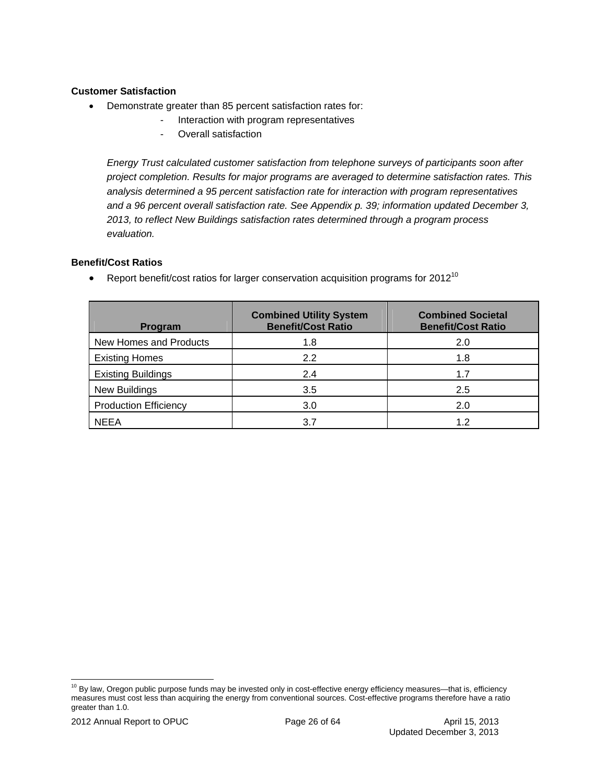#### **Customer Satisfaction**

- Demonstrate greater than 85 percent satisfaction rates for:
	- Interaction with program representatives
	- Overall satisfaction

*Energy Trust calculated customer satisfaction from telephone surveys of participants soon after project completion. Results for major programs are averaged to determine satisfaction rates. This analysis determined a 95 percent satisfaction rate for interaction with program representatives and a 96 percent overall satisfaction rate. See Appendix p. 39; information updated December 3, 2013, to reflect New Buildings satisfaction rates determined through a program process evaluation.* 

#### **Benefit/Cost Ratios**

| Program                      | <b>Combined Utility System</b><br><b>Benefit/Cost Ratio</b> | <b>Combined Societal</b><br><b>Benefit/Cost Ratio</b> |
|------------------------------|-------------------------------------------------------------|-------------------------------------------------------|
| New Homes and Products       | 1.8                                                         | 2.0                                                   |
| <b>Existing Homes</b>        | 2.2                                                         | 1.8                                                   |
| <b>Existing Buildings</b>    | 2.4                                                         | 1.7                                                   |
| New Buildings                | 3.5                                                         | 2.5                                                   |
| <b>Production Efficiency</b> | 3.0                                                         | 2.0                                                   |
| <b>NEEA</b>                  | 3.7                                                         | 1.2                                                   |

**•** Report benefit/cost ratios for larger conservation acquisition programs for 2012<sup>10</sup>

  $10$  By law, Oregon public purpose funds may be invested only in cost-effective energy efficiency measures—that is, efficiency measures must cost less than acquiring the energy from conventional sources. Cost-effective programs therefore have a ratio greater than 1.0.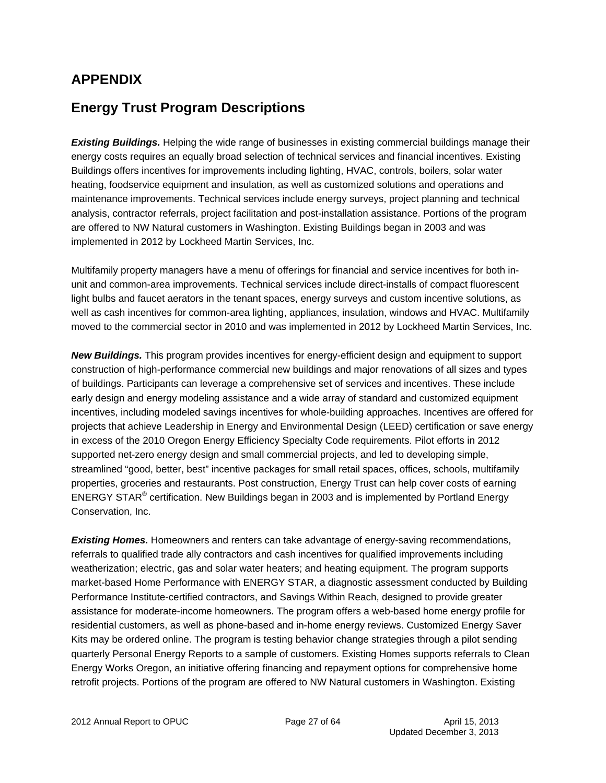## **APPENDIX**

## **Energy Trust Program Descriptions**

**Existing Buildings.** Helping the wide range of businesses in existing commercial buildings manage their energy costs requires an equally broad selection of technical services and financial incentives. Existing Buildings offers incentives for improvements including lighting, HVAC, controls, boilers, solar water heating, foodservice equipment and insulation, as well as customized solutions and operations and maintenance improvements. Technical services include energy surveys, project planning and technical analysis, contractor referrals, project facilitation and post-installation assistance. Portions of the program are offered to NW Natural customers in Washington. Existing Buildings began in 2003 and was implemented in 2012 by Lockheed Martin Services, Inc.

Multifamily property managers have a menu of offerings for financial and service incentives for both inunit and common-area improvements. Technical services include direct-installs of compact fluorescent light bulbs and faucet aerators in the tenant spaces, energy surveys and custom incentive solutions, as well as cash incentives for common-area lighting, appliances, insulation, windows and HVAC. Multifamily moved to the commercial sector in 2010 and was implemented in 2012 by Lockheed Martin Services, Inc.

**New Buildings.** This program provides incentives for energy-efficient design and equipment to support construction of high-performance commercial new buildings and major renovations of all sizes and types of buildings. Participants can leverage a comprehensive set of services and incentives. These include early design and energy modeling assistance and a wide array of standard and customized equipment incentives, including modeled savings incentives for whole-building approaches. Incentives are offered for projects that achieve Leadership in Energy and Environmental Design (LEED) certification or save energy in excess of the 2010 Oregon Energy Efficiency Specialty Code requirements. Pilot efforts in 2012 supported net-zero energy design and small commercial projects, and led to developing simple, streamlined "good, better, best" incentive packages for small retail spaces, offices, schools, multifamily properties, groceries and restaurants. Post construction, Energy Trust can help cover costs of earning ENERGY STAR<sup>®</sup> certification. New Buildings began in 2003 and is implemented by Portland Energy Conservation, Inc.

**Existing Homes.** Homeowners and renters can take advantage of energy-saving recommendations, referrals to qualified trade ally contractors and cash incentives for qualified improvements including weatherization; electric, gas and solar water heaters; and heating equipment. The program supports market-based Home Performance with ENERGY STAR, a diagnostic assessment conducted by Building Performance Institute-certified contractors, and Savings Within Reach, designed to provide greater assistance for moderate-income homeowners. The program offers a web-based home energy profile for residential customers, as well as phone-based and in-home energy reviews. Customized Energy Saver Kits may be ordered online. The program is testing behavior change strategies through a pilot sending quarterly Personal Energy Reports to a sample of customers. Existing Homes supports referrals to Clean Energy Works Oregon, an initiative offering financing and repayment options for comprehensive home retrofit projects. Portions of the program are offered to NW Natural customers in Washington. Existing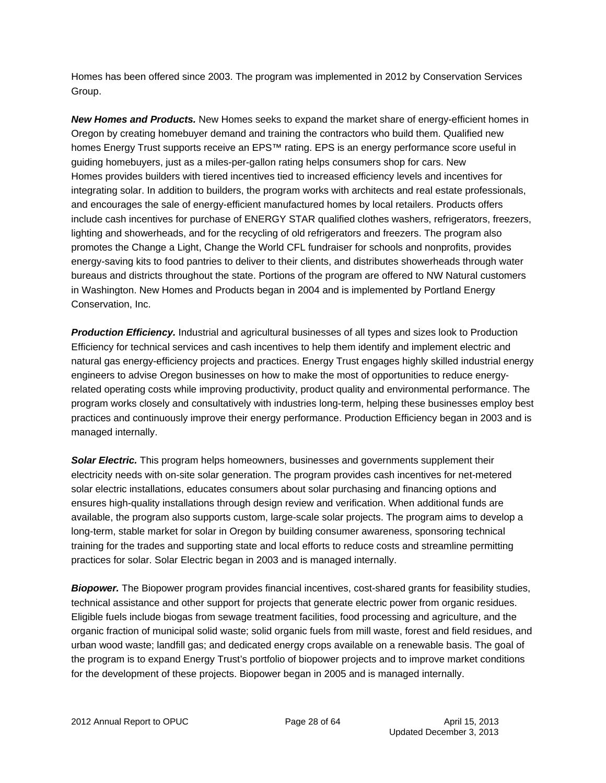Homes has been offered since 2003. The program was implemented in 2012 by Conservation Services Group.

*New Homes and Products.* New Homes seeks to expand the market share of energy-efficient homes in Oregon by creating homebuyer demand and training the contractors who build them. Qualified new homes Energy Trust supports receive an EPS™ rating. EPS is an energy performance score useful in guiding homebuyers, just as a miles-per-gallon rating helps consumers shop for cars. New Homes provides builders with tiered incentives tied to increased efficiency levels and incentives for integrating solar. In addition to builders, the program works with architects and real estate professionals, and encourages the sale of energy-efficient manufactured homes by local retailers. Products offers include cash incentives for purchase of ENERGY STAR qualified clothes washers, refrigerators, freezers, lighting and showerheads, and for the recycling of old refrigerators and freezers. The program also promotes the Change a Light, Change the World CFL fundraiser for schools and nonprofits, provides energy-saving kits to food pantries to deliver to their clients, and distributes showerheads through water bureaus and districts throughout the state. Portions of the program are offered to NW Natural customers in Washington. New Homes and Products began in 2004 and is implemented by Portland Energy Conservation, Inc.

**Production Efficiency.** Industrial and agricultural businesses of all types and sizes look to Production Efficiency for technical services and cash incentives to help them identify and implement electric and natural gas energy-efficiency projects and practices. Energy Trust engages highly skilled industrial energy engineers to advise Oregon businesses on how to make the most of opportunities to reduce energyrelated operating costs while improving productivity, product quality and environmental performance. The program works closely and consultatively with industries long-term, helping these businesses employ best practices and continuously improve their energy performance. Production Efficiency began in 2003 and is managed internally.

**Solar Electric.** This program helps homeowners, businesses and governments supplement their electricity needs with on-site solar generation. The program provides cash incentives for net-metered solar electric installations, educates consumers about solar purchasing and financing options and ensures high-quality installations through design review and verification. When additional funds are available, the program also supports custom, large-scale solar projects. The program aims to develop a long-term, stable market for solar in Oregon by building consumer awareness, sponsoring technical training for the trades and supporting state and local efforts to reduce costs and streamline permitting practices for solar. Solar Electric began in 2003 and is managed internally.

*Biopower.* The Biopower program provides financial incentives, cost-shared grants for feasibility studies, technical assistance and other support for projects that generate electric power from organic residues. Eligible fuels include biogas from sewage treatment facilities, food processing and agriculture, and the organic fraction of municipal solid waste; solid organic fuels from mill waste, forest and field residues, and urban wood waste; landfill gas; and dedicated energy crops available on a renewable basis. The goal of the program is to expand Energy Trust's portfolio of biopower projects and to improve market conditions for the development of these projects. Biopower began in 2005 and is managed internally.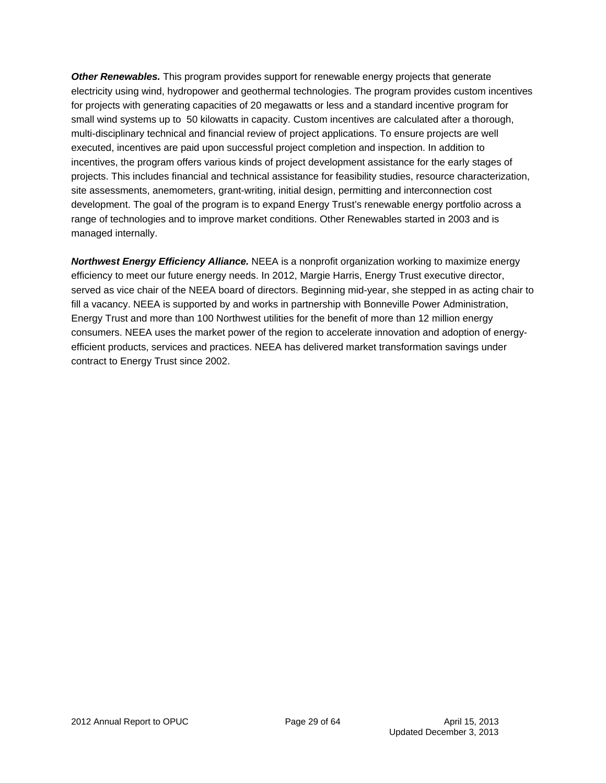*Other Renewables.* This program provides support for renewable energy projects that generate electricity using wind, hydropower and geothermal technologies. The program provides custom incentives for projects with generating capacities of 20 megawatts or less and a standard incentive program for small wind systems up to 50 kilowatts in capacity. Custom incentives are calculated after a thorough, multi-disciplinary technical and financial review of project applications. To ensure projects are well executed, incentives are paid upon successful project completion and inspection. In addition to incentives, the program offers various kinds of project development assistance for the early stages of projects. This includes financial and technical assistance for feasibility studies, resource characterization, site assessments, anemometers, grant-writing, initial design, permitting and interconnection cost development. The goal of the program is to expand Energy Trust's renewable energy portfolio across a range of technologies and to improve market conditions. Other Renewables started in 2003 and is managed internally.

*Northwest Energy Efficiency Alliance.* NEEA is a nonprofit organization working to maximize energy efficiency to meet our future energy needs. In 2012, Margie Harris, Energy Trust executive director, served as vice chair of the NEEA board of directors. Beginning mid-year, she stepped in as acting chair to fill a vacancy. NEEA is supported by and works in partnership with Bonneville Power Administration, Energy Trust and more than 100 Northwest utilities for the benefit of more than 12 million energy consumers. NEEA uses the market power of the region to accelerate innovation and adoption of energyefficient products, services and practices. NEEA has delivered market transformation savings under contract to Energy Trust since 2002.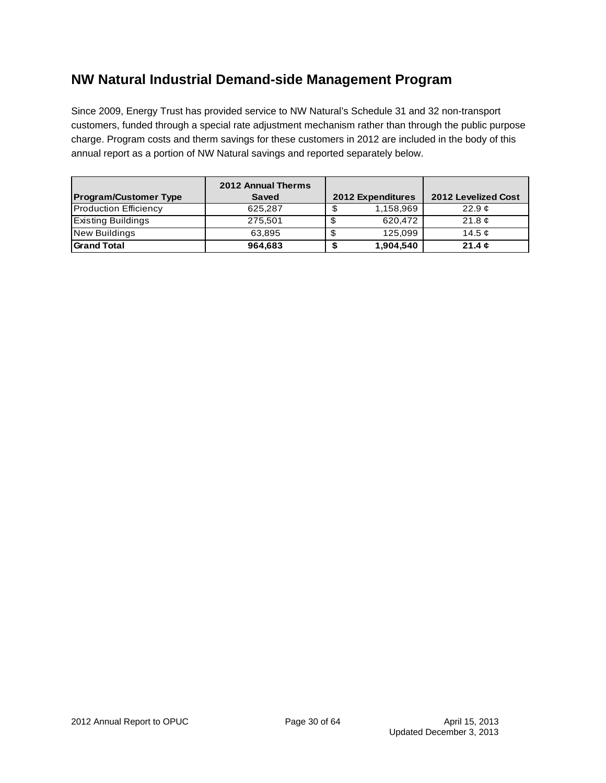## **NW Natural Industrial Demand-side Management Program**

Since 2009, Energy Trust has provided service to NW Natural's Schedule 31 and 32 non-transport customers, funded through a special rate adjustment mechanism rather than through the public purpose charge. Program costs and therm savings for these customers in 2012 are included in the body of this annual report as a portion of NW Natural savings and reported separately below.

| <b>Program/Customer Type</b> | <b>2012 Annual Therms</b><br><b>Saved</b> |              | <b>2012 Expenditures</b> | <b>2012 Levelized Cost</b> |
|------------------------------|-------------------------------------------|--------------|--------------------------|----------------------------|
| <b>Production Efficiency</b> | 625.287                                   |              | 1,158,969                | 22.9c                      |
| <b>Existing Buildings</b>    | 275.501                                   |              | 620.472                  | 21.8 $\mathfrak{C}$        |
| <b>New Buildings</b>         | 63.895                                    | $\mathbf{C}$ | 125.099                  | 14.5 $\sigma$              |
| <b>Grand Total</b>           | 964,683                                   |              | 1,904,540                | 21.4 $\epsilon$            |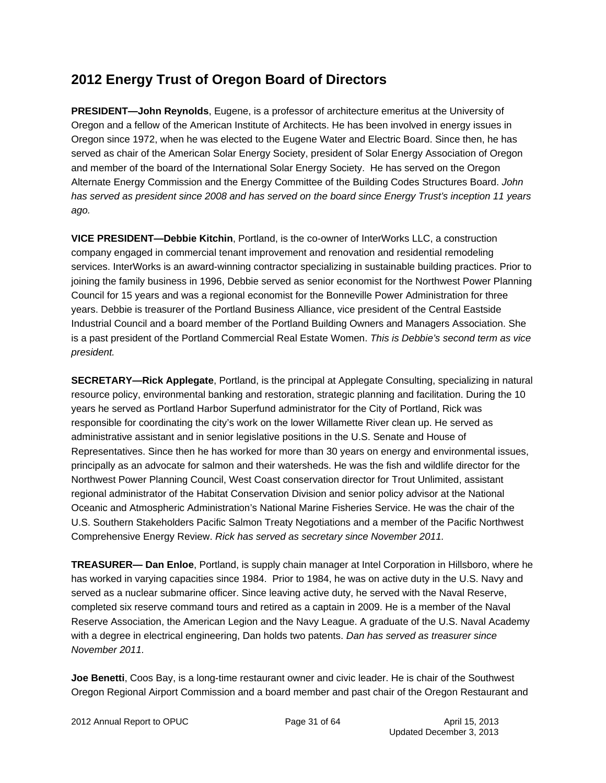## **2012 Energy Trust of Oregon Board of Directors**

**PRESIDENT—John Reynolds**, Eugene, is a professor of architecture emeritus at the University of Oregon and a fellow of the American Institute of Architects. He has been involved in energy issues in Oregon since 1972, when he was elected to the Eugene Water and Electric Board. Since then, he has served as chair of the American Solar Energy Society, president of Solar Energy Association of Oregon and member of the board of the International Solar Energy Society. He has served on the Oregon Alternate Energy Commission and the Energy Committee of the Building Codes Structures Board. *John has served as president since 2008 and has served on the board since Energy Trust's inception 11 years ago.* 

**VICE PRESIDENT—Debbie Kitchin**, Portland, is the co-owner of InterWorks LLC, a construction company engaged in commercial tenant improvement and renovation and residential remodeling services. InterWorks is an award-winning contractor specializing in sustainable building practices. Prior to joining the family business in 1996, Debbie served as senior economist for the Northwest Power Planning Council for 15 years and was a regional economist for the Bonneville Power Administration for three years. Debbie is treasurer of the Portland Business Alliance, vice president of the Central Eastside Industrial Council and a board member of the Portland Building Owners and Managers Association. She is a past president of the Portland Commercial Real Estate Women. *This is Debbie's second term as vice president.*

**SECRETARY—Rick Applegate**, Portland, is the principal at Applegate Consulting, specializing in natural resource policy, environmental banking and restoration, strategic planning and facilitation. During the 10 years he served as Portland Harbor Superfund administrator for the City of Portland, Rick was responsible for coordinating the city's work on the lower Willamette River clean up. He served as administrative assistant and in senior legislative positions in the U.S. Senate and House of Representatives. Since then he has worked for more than 30 years on energy and environmental issues, principally as an advocate for salmon and their watersheds. He was the fish and wildlife director for the Northwest Power Planning Council, West Coast conservation director for Trout Unlimited, assistant regional administrator of the Habitat Conservation Division and senior policy advisor at the National Oceanic and Atmospheric Administration's National Marine Fisheries Service. He was the chair of the U.S. Southern Stakeholders Pacific Salmon Treaty Negotiations and a member of the Pacific Northwest Comprehensive Energy Review. *Rick has served as secretary since November 2011.* 

**TREASURER— Dan Enloe**, Portland, is supply chain manager at Intel Corporation in Hillsboro, where he has worked in varying capacities since 1984. Prior to 1984, he was on active duty in the U.S. Navy and served as a nuclear submarine officer. Since leaving active duty, he served with the Naval Reserve, completed six reserve command tours and retired as a captain in 2009. He is a member of the Naval Reserve Association, the American Legion and the Navy League. A graduate of the U.S. Naval Academy with a degree in electrical engineering, Dan holds two patents. *Dan has served as treasurer since November 2011.*

**Joe Benetti**, Coos Bay, is a long-time restaurant owner and civic leader. He is chair of the Southwest Oregon Regional Airport Commission and a board member and past chair of the Oregon Restaurant and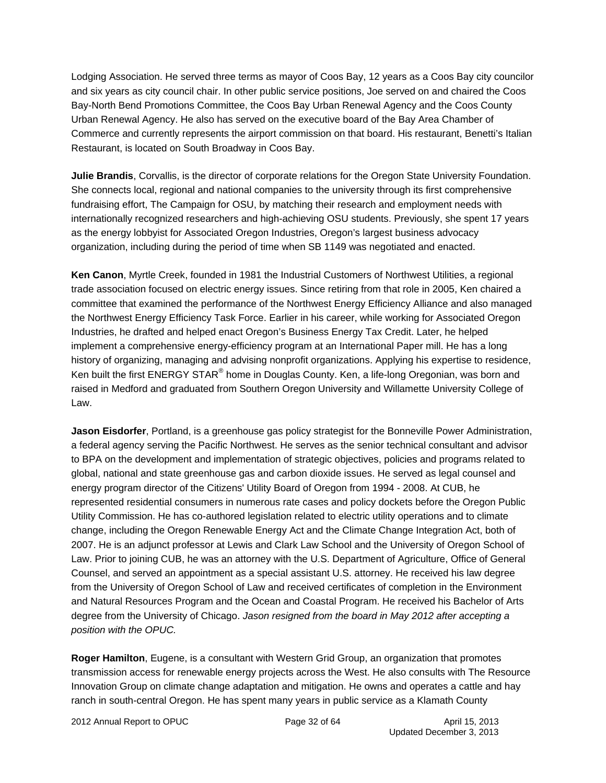Lodging Association. He served three terms as mayor of Coos Bay, 12 years as a Coos Bay city councilor and six years as city council chair. In other public service positions, Joe served on and chaired the Coos Bay-North Bend Promotions Committee, the Coos Bay Urban Renewal Agency and the Coos County Urban Renewal Agency. He also has served on the executive board of the Bay Area Chamber of Commerce and currently represents the airport commission on that board. His restaurant, Benetti's Italian Restaurant, is located on South Broadway in Coos Bay.

**Julie Brandis**, Corvallis, is the director of corporate relations for the Oregon State University Foundation. She connects local, regional and national companies to the university through its first comprehensive fundraising effort, The Campaign for OSU, by matching their research and employment needs with internationally recognized researchers and high-achieving OSU students. Previously, she spent 17 years as the energy lobbyist for Associated Oregon Industries, Oregon's largest business advocacy organization, including during the period of time when SB 1149 was negotiated and enacted.

**Ken Canon**, Myrtle Creek, founded in 1981 the Industrial Customers of Northwest Utilities, a regional trade association focused on electric energy issues. Since retiring from that role in 2005, Ken chaired a committee that examined the performance of the Northwest Energy Efficiency Alliance and also managed the Northwest Energy Efficiency Task Force. Earlier in his career, while working for Associated Oregon Industries, he drafted and helped enact Oregon's Business Energy Tax Credit. Later, he helped implement a comprehensive energy-efficiency program at an International Paper mill. He has a long history of organizing, managing and advising nonprofit organizations. Applying his expertise to residence, Ken built the first ENERGY STAR $^{\circledast}$  home in Douglas County. Ken, a life-long Oregonian, was born and raised in Medford and graduated from Southern Oregon University and Willamette University College of Law.

**Jason Eisdorfer**, Portland, is a greenhouse gas policy strategist for the Bonneville Power Administration, a federal agency serving the Pacific Northwest. He serves as the senior technical consultant and advisor to BPA on the development and implementation of strategic objectives, policies and programs related to global, national and state greenhouse gas and carbon dioxide issues. He served as legal counsel and energy program director of the Citizens' Utility Board of Oregon from 1994 - 2008. At CUB, he represented residential consumers in numerous rate cases and policy dockets before the Oregon Public Utility Commission. He has co-authored legislation related to electric utility operations and to climate change, including the Oregon Renewable Energy Act and the Climate Change Integration Act, both of 2007. He is an adjunct professor at Lewis and Clark Law School and the University of Oregon School of Law. Prior to joining CUB, he was an attorney with the U.S. Department of Agriculture, Office of General Counsel, and served an appointment as a special assistant U.S. attorney. He received his law degree from the University of Oregon School of Law and received certificates of completion in the Environment and Natural Resources Program and the Ocean and Coastal Program. He received his Bachelor of Arts degree from the University of Chicago. *Jason resigned from the board in May 2012 after accepting a position with the OPUC.*

**Roger Hamilton**, Eugene, is a consultant with Western Grid Group, an organization that promotes transmission access for renewable energy projects across the West. He also consults with The Resource Innovation Group on climate change adaptation and mitigation. He owns and operates a cattle and hay ranch in south-central Oregon. He has spent many years in public service as a Klamath County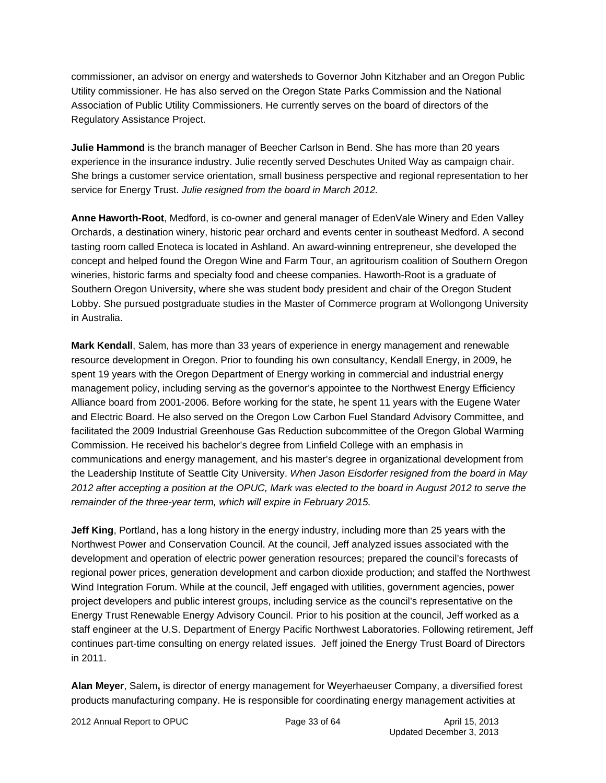commissioner, an advisor on energy and watersheds to Governor John Kitzhaber and an Oregon Public Utility commissioner. He has also served on the Oregon State Parks Commission and the National Association of Public Utility Commissioners. He currently serves on the board of directors of the Regulatory Assistance Project.

**Julie Hammond** is the branch manager of Beecher Carlson in Bend. She has more than 20 years experience in the insurance industry. Julie recently served Deschutes United Way as campaign chair. She brings a customer service orientation, small business perspective and regional representation to her service for Energy Trust. *Julie resigned from the board in March 2012.* 

**Anne Haworth-Root**, Medford, is co-owner and general manager of EdenVale Winery and Eden Valley Orchards, a destination winery, historic pear orchard and events center in southeast Medford. A second tasting room called Enoteca is located in Ashland. An award-winning entrepreneur, she developed the concept and helped found the Oregon Wine and Farm Tour, an agritourism coalition of Southern Oregon wineries, historic farms and specialty food and cheese companies. Haworth-Root is a graduate of Southern Oregon University, where she was student body president and chair of the Oregon Student Lobby. She pursued postgraduate studies in the Master of Commerce program at Wollongong University in Australia.

**Mark Kendall**, Salem, has more than 33 years of experience in energy management and renewable resource development in Oregon. Prior to founding his own consultancy, Kendall Energy, in 2009, he spent 19 years with the Oregon Department of Energy working in commercial and industrial energy management policy, including serving as the governor's appointee to the Northwest Energy Efficiency Alliance board from 2001-2006. Before working for the state, he spent 11 years with the Eugene Water and Electric Board. He also served on the Oregon Low Carbon Fuel Standard Advisory Committee, and facilitated the 2009 Industrial Greenhouse Gas Reduction subcommittee of the Oregon Global Warming Commission. He received his bachelor's degree from Linfield College with an emphasis in communications and energy management, and his master's degree in organizational development from the Leadership Institute of Seattle City University. *When Jason Eisdorfer resigned from the board in May 2012 after accepting a position at the OPUC, Mark was elected to the board in August 2012 to serve the remainder of the three-year term, which will expire in February 2015.*

**Jeff King**, Portland, has a long history in the energy industry, including more than 25 years with the Northwest Power and Conservation Council. At the council, Jeff analyzed issues associated with the development and operation of electric power generation resources; prepared the council's forecasts of regional power prices, generation development and carbon dioxide production; and staffed the Northwest Wind Integration Forum. While at the council, Jeff engaged with utilities, government agencies, power project developers and public interest groups, including service as the council's representative on the Energy Trust Renewable Energy Advisory Council. Prior to his position at the council, Jeff worked as a staff engineer at the U.S. Department of Energy Pacific Northwest Laboratories. Following retirement, Jeff continues part-time consulting on energy related issues. Jeff joined the Energy Trust Board of Directors in 2011.

**Alan Meyer**, Salem**,** is director of energy management for Weyerhaeuser Company, a diversified forest products manufacturing company. He is responsible for coordinating energy management activities at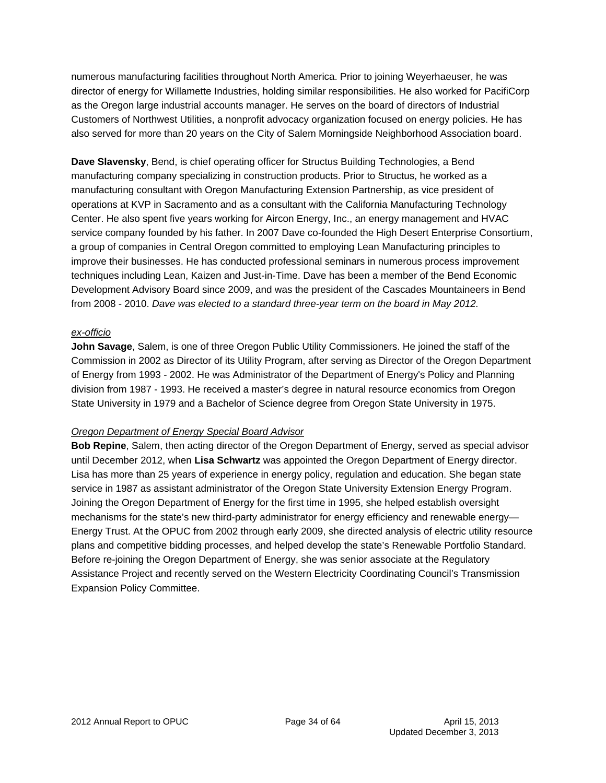numerous manufacturing facilities throughout North America. Prior to joining Weyerhaeuser, he was director of energy for Willamette Industries, holding similar responsibilities. He also worked for PacifiCorp as the Oregon large industrial accounts manager. He serves on the board of directors of Industrial Customers of Northwest Utilities, a nonprofit advocacy organization focused on energy policies. He has also served for more than 20 years on the City of Salem Morningside Neighborhood Association board.

**Dave Slavensky**, Bend, is chief operating officer for Structus Building Technologies, a Bend manufacturing company specializing in construction products. Prior to Structus, he worked as a manufacturing consultant with Oregon Manufacturing Extension Partnership, as vice president of operations at KVP in Sacramento and as a consultant with the California Manufacturing Technology Center. He also spent five years working for Aircon Energy, Inc., an energy management and HVAC service company founded by his father. In 2007 Dave co-founded the High Desert Enterprise Consortium, a group of companies in Central Oregon committed to employing Lean Manufacturing principles to improve their businesses. He has conducted professional seminars in numerous process improvement techniques including Lean, Kaizen and Just-in-Time. Dave has been a member of the Bend Economic Development Advisory Board since 2009, and was the president of the Cascades Mountaineers in Bend from 2008 - 2010. *Dave was elected to a standard three-year term on the board in May 2012.* 

#### *ex-officio*

**John Savage**, Salem, is one of three Oregon Public Utility Commissioners. He joined the staff of the Commission in 2002 as Director of its Utility Program, after serving as Director of the Oregon Department of Energy from 1993 - 2002. He was Administrator of the Department of Energy's Policy and Planning division from 1987 - 1993. He received a master's degree in natural resource economics from Oregon State University in 1979 and a Bachelor of Science degree from Oregon State University in 1975.

#### *Oregon Department of Energy Special Board Advisor*

**Bob Repine**, Salem, then acting director of the Oregon Department of Energy, served as special advisor until December 2012, when **Lisa Schwartz** was appointed the Oregon Department of Energy director. Lisa has more than 25 years of experience in energy policy, regulation and education. She began state service in 1987 as assistant administrator of the Oregon State University Extension Energy Program. Joining the Oregon Department of Energy for the first time in 1995, she helped establish oversight mechanisms for the state's new third-party administrator for energy efficiency and renewable energy— Energy Trust. At the OPUC from 2002 through early 2009, she directed analysis of electric utility resource plans and competitive bidding processes, and helped develop the state's Renewable Portfolio Standard. Before re-joining the Oregon Department of Energy, she was senior associate at the Regulatory Assistance Project and recently served on the Western Electricity Coordinating Council's Transmission Expansion Policy Committee.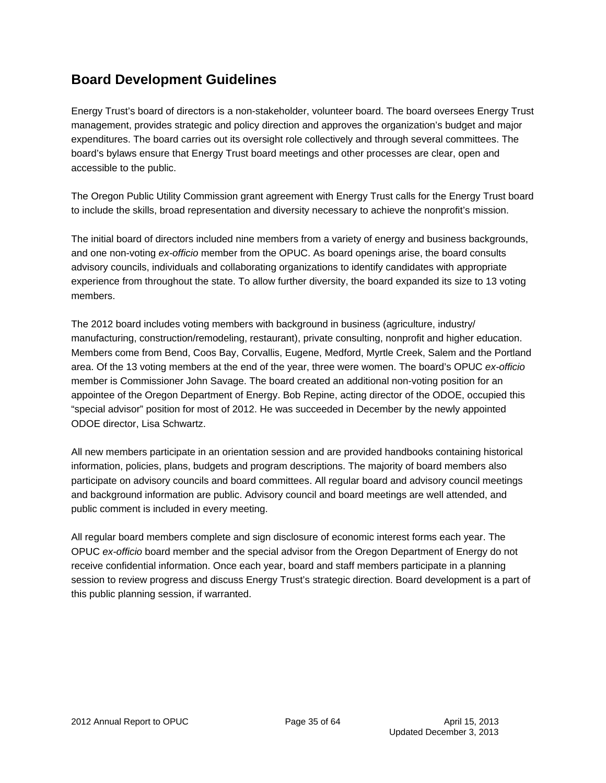## **Board Development Guidelines**

Energy Trust's board of directors is a non-stakeholder, volunteer board. The board oversees Energy Trust management, provides strategic and policy direction and approves the organization's budget and major expenditures. The board carries out its oversight role collectively and through several committees. The board's bylaws ensure that Energy Trust board meetings and other processes are clear, open and accessible to the public.

The Oregon Public Utility Commission grant agreement with Energy Trust calls for the Energy Trust board to include the skills, broad representation and diversity necessary to achieve the nonprofit's mission.

The initial board of directors included nine members from a variety of energy and business backgrounds, and one non-voting *ex-officio* member from the OPUC. As board openings arise, the board consults advisory councils, individuals and collaborating organizations to identify candidates with appropriate experience from throughout the state. To allow further diversity, the board expanded its size to 13 voting members.

The 2012 board includes voting members with background in business (agriculture, industry/ manufacturing, construction/remodeling, restaurant), private consulting, nonprofit and higher education. Members come from Bend, Coos Bay, Corvallis, Eugene, Medford, Myrtle Creek, Salem and the Portland area. Of the 13 voting members at the end of the year, three were women. The board's OPUC *ex-officio* member is Commissioner John Savage. The board created an additional non-voting position for an appointee of the Oregon Department of Energy. Bob Repine, acting director of the ODOE, occupied this "special advisor" position for most of 2012. He was succeeded in December by the newly appointed ODOE director, Lisa Schwartz.

All new members participate in an orientation session and are provided handbooks containing historical information, policies, plans, budgets and program descriptions. The majority of board members also participate on advisory councils and board committees. All regular board and advisory council meetings and background information are public. Advisory council and board meetings are well attended, and public comment is included in every meeting.

All regular board members complete and sign disclosure of economic interest forms each year. The OPUC *ex-officio* board member and the special advisor from the Oregon Department of Energy do not receive confidential information. Once each year, board and staff members participate in a planning session to review progress and discuss Energy Trust's strategic direction. Board development is a part of this public planning session, if warranted.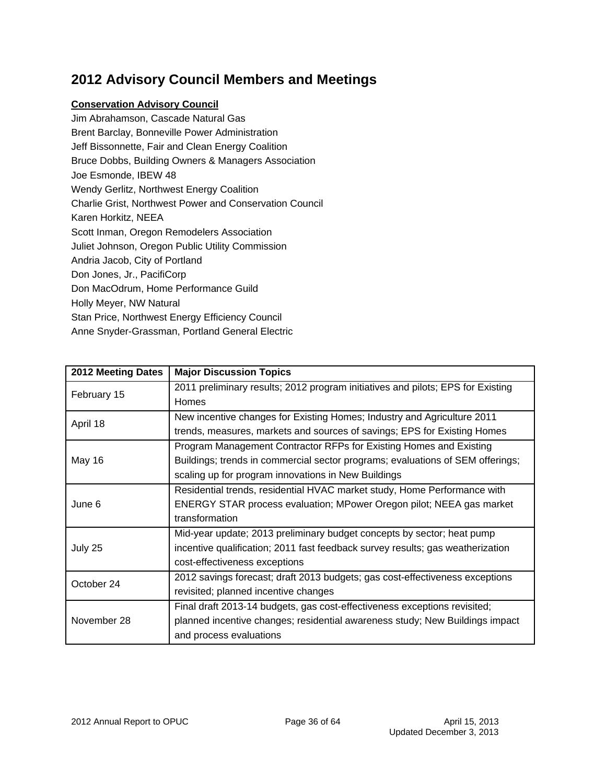## **2012 Advisory Council Members and Meetings**

#### **Conservation Advisory Council**

Jim Abrahamson, Cascade Natural Gas Brent Barclay, Bonneville Power Administration Jeff Bissonnette, Fair and Clean Energy Coalition Bruce Dobbs, Building Owners & Managers Association Joe Esmonde, IBEW 48 Wendy Gerlitz, Northwest Energy Coalition Charlie Grist, Northwest Power and Conservation Council Karen Horkitz, NEEA Scott Inman, Oregon Remodelers Association Juliet Johnson, Oregon Public Utility Commission Andria Jacob, City of Portland Don Jones, Jr., PacifiCorp Don MacOdrum, Home Performance Guild Holly Meyer, NW Natural Stan Price, Northwest Energy Efficiency Council Anne Snyder-Grassman, Portland General Electric

| 2012 Meeting Dates | <b>Major Discussion Topics</b>                                                  |
|--------------------|---------------------------------------------------------------------------------|
| February 15        | 2011 preliminary results; 2012 program initiatives and pilots; EPS for Existing |
|                    | Homes                                                                           |
| April 18           | New incentive changes for Existing Homes; Industry and Agriculture 2011         |
|                    | trends, measures, markets and sources of savings; EPS for Existing Homes        |
|                    | Program Management Contractor RFPs for Existing Homes and Existing              |
| <b>May 16</b>      | Buildings; trends in commercial sector programs; evaluations of SEM offerings;  |
|                    | scaling up for program innovations in New Buildings                             |
|                    | Residential trends, residential HVAC market study, Home Performance with        |
| June 6             | ENERGY STAR process evaluation; MPower Oregon pilot; NEEA gas market            |
|                    | transformation                                                                  |
|                    | Mid-year update; 2013 preliminary budget concepts by sector; heat pump          |
| July 25            | incentive qualification; 2011 fast feedback survey results; gas weatherization  |
|                    | cost-effectiveness exceptions                                                   |
| October 24         | 2012 savings forecast; draft 2013 budgets; gas cost-effectiveness exceptions    |
|                    | revisited; planned incentive changes                                            |
|                    | Final draft 2013-14 budgets, gas cost-effectiveness exceptions revisited;       |
| November 28        | planned incentive changes; residential awareness study; New Buildings impact    |
|                    | and process evaluations                                                         |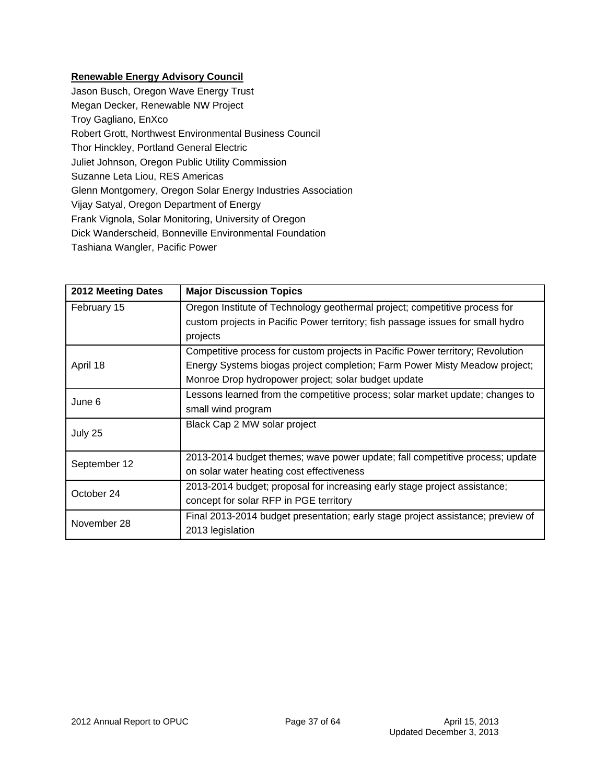### **Renewable Energy Advisory Council**

| Jason Busch, Oregon Wave Energy Trust                        |
|--------------------------------------------------------------|
| Megan Decker, Renewable NW Project                           |
| Troy Gagliano, EnXco                                         |
| Robert Grott, Northwest Environmental Business Council       |
| Thor Hinckley, Portland General Electric                     |
| Juliet Johnson, Oregon Public Utility Commission             |
| Suzanne Leta Liou, RES Americas                              |
| Glenn Montgomery, Oregon Solar Energy Industries Association |
| Vijay Satyal, Oregon Department of Energy                    |
| Frank Vignola, Solar Monitoring, University of Oregon        |
| Dick Wanderscheid, Bonneville Environmental Foundation       |
| Tashiana Wangler, Pacific Power                              |

| 2012 Meeting Dates | <b>Major Discussion Topics</b>                                                  |
|--------------------|---------------------------------------------------------------------------------|
| February 15        | Oregon Institute of Technology geothermal project; competitive process for      |
|                    | custom projects in Pacific Power territory; fish passage issues for small hydro |
|                    | projects                                                                        |
|                    | Competitive process for custom projects in Pacific Power territory; Revolution  |
| April 18           | Energy Systems biogas project completion; Farm Power Misty Meadow project;      |
|                    | Monroe Drop hydropower project; solar budget update                             |
| June 6             | Lessons learned from the competitive process; solar market update; changes to   |
|                    | small wind program                                                              |
| July 25            | Black Cap 2 MW solar project                                                    |
|                    | 2013-2014 budget themes; wave power update; fall competitive process; update    |
| September 12       | on solar water heating cost effectiveness                                       |
| October 24         | 2013-2014 budget; proposal for increasing early stage project assistance;       |
|                    | concept for solar RFP in PGE territory                                          |
| November 28        | Final 2013-2014 budget presentation; early stage project assistance; preview of |
|                    | 2013 legislation                                                                |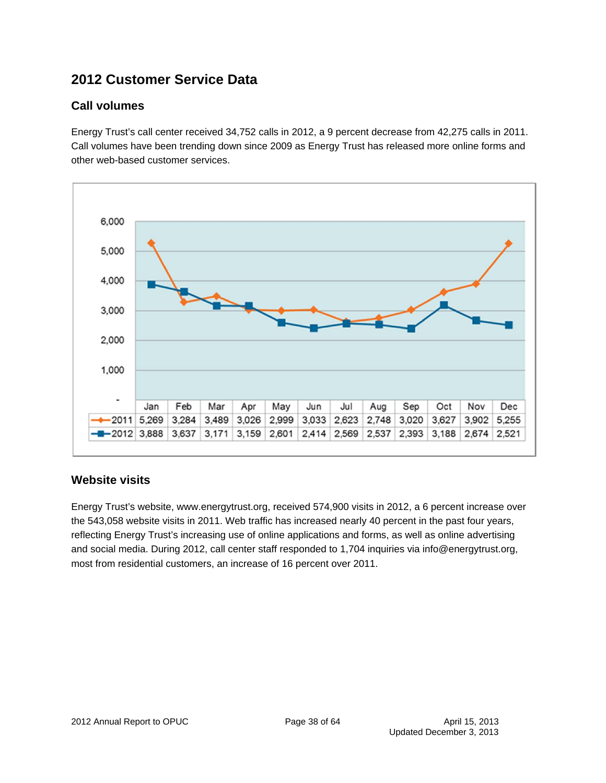## **2012 Customer Service Data**

## **Call volumes**

Energy Trust's call center received 34,752 calls in 2012, a 9 percent decrease from 42,275 calls in 2011. Call volumes have been trending down since 2009 as Energy Trust has released more online forms and other web-based customer services.



## **Website visits**

Energy Trust's website, www.energytrust.org, received 574,900 visits in 2012, a 6 percent increase over the 543,058 website visits in 2011. Web traffic has increased nearly 40 percent in the past four years, reflecting Energy Trust's increasing use of online applications and forms, as well as online advertising and social media. During 2012, call center staff responded to 1,704 inquiries via info@energytrust.org, most from residential customers, an increase of 16 percent over 2011.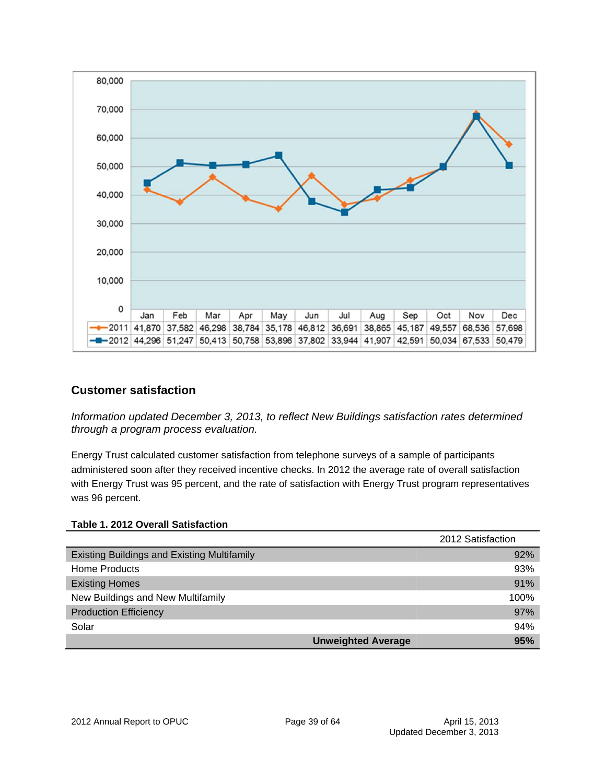

### **Customer satisfaction**

*Information updated December 3, 2013, to reflect New Buildings satisfaction rates determined through a program process evaluation.* 

Energy Trust calculated customer satisfaction from telephone surveys of a sample of participants administered soon after they received incentive checks. In 2012 the average rate of overall satisfaction with Energy Trust was 95 percent, and the rate of satisfaction with Energy Trust program representatives was 96 percent.

#### **Table 1. 2012 Overall Satisfaction**

|                                                    | 2012 Satisfaction |
|----------------------------------------------------|-------------------|
| <b>Existing Buildings and Existing Multifamily</b> | 92%               |
| Home Products                                      | 93%               |
| <b>Existing Homes</b>                              | 91%               |
| New Buildings and New Multifamily                  | 100%              |
| <b>Production Efficiency</b>                       | 97%               |
| Solar                                              | 94%               |
| <b>Unweighted Average</b>                          | 95%               |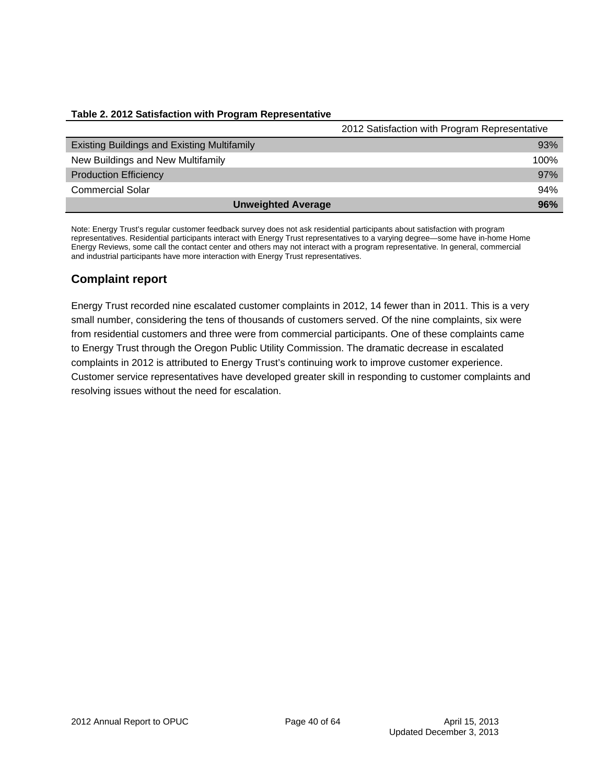#### **Table 2. 2012 Satisfaction with Program Representative**

|                                                    | 2012 Satisfaction with Program Representative |
|----------------------------------------------------|-----------------------------------------------|
| <b>Existing Buildings and Existing Multifamily</b> | 93%                                           |
| New Buildings and New Multifamily                  | 100%                                          |
| <b>Production Efficiency</b>                       | 97%                                           |
| <b>Commercial Solar</b>                            | 94%                                           |
| <b>Unweighted Average</b>                          | 96%                                           |

Note: Energy Trust's regular customer feedback survey does not ask residential participants about satisfaction with program representatives. Residential participants interact with Energy Trust representatives to a varying degree—some have in-home Home Energy Reviews, some call the contact center and others may not interact with a program representative. In general, commercial and industrial participants have more interaction with Energy Trust representatives.

### **Complaint report**

Energy Trust recorded nine escalated customer complaints in 2012, 14 fewer than in 2011. This is a very small number, considering the tens of thousands of customers served. Of the nine complaints, six were from residential customers and three were from commercial participants. One of these complaints came to Energy Trust through the Oregon Public Utility Commission. The dramatic decrease in escalated complaints in 2012 is attributed to Energy Trust's continuing work to improve customer experience. Customer service representatives have developed greater skill in responding to customer complaints and resolving issues without the need for escalation.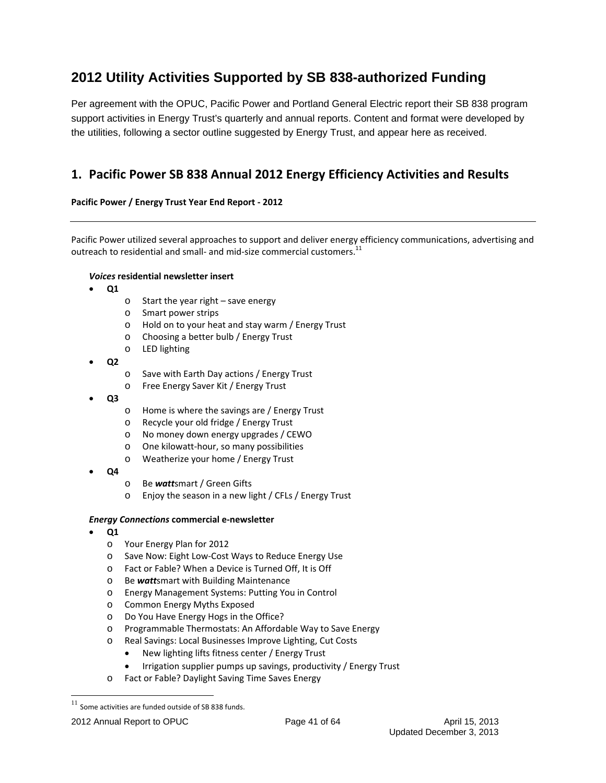## **2012 Utility Activities Supported by SB 838-authorized Funding**

Per agreement with the OPUC, Pacific Power and Portland General Electric report their SB 838 program support activities in Energy Trust's quarterly and annual reports. Content and format were developed by the utilities, following a sector outline suggested by Energy Trust, and appear here as received.

## **1. Pacific Power SB 838 Annual 2012 Energy Efficiency Activities and Results**

#### **Pacific Power / Energy Trust Year End Report ‐ 2012**

Pacific Power utilized several approaches to support and deliver energy efficiency communications, advertising and outreach to residential and small- and mid-size commercial customers.<sup>11</sup>

#### *Voices* **residential newsletter insert**

- **Q1**
- o Start the year right save energy
- o Smart power strips
- o Hold on to your heat and stay warm / Energy Trust
- o Choosing a better bulb / Energy Trust
- o LED lighting
- **Q2**
- o Save with Earth Day actions / Energy Trust
- o Free Energy Saver Kit / Energy Trust
- **Q3**
- o Home is where the savings are / Energy Trust
- o Recycle your old fridge / Energy Trust
- o No money down energy upgrades / CEWO
- o One kilowatt‐hour, so many possibilities
- o Weatherize your home / Energy Trust
- **Q4**
- o Be *watt*smart / Green Gifts
- o Enjoy the season in a new light / CFLs / Energy Trust

#### *Energy Connections* **commercial e‐newsletter**

- **Q1**
	- o Your Energy Plan for 2012
	- o Save Now: Eight Low‐Cost Ways to Reduce Energy Use
	- o Fact or Fable? When a Device is Turned Off, It is Off
	- o Be *watt*smart with Building Maintenance
	- o Energy Management Systems: Putting You in Control
	- o Common Energy Myths Exposed
	- o Do You Have Energy Hogs in the Office?
	- o Programmable Thermostats: An Affordable Way to Save Energy
	- o Real Savings: Local Businesses Improve Lighting, Cut Costs
		- New lighting lifts fitness center / Energy Trust
		- Irrigation supplier pumps up savings, productivity / Energy Trust
	- o Fact or Fable? Daylight Saving Time Saves Energy

 $11$  Some activities are funded outside of SB 838 funds.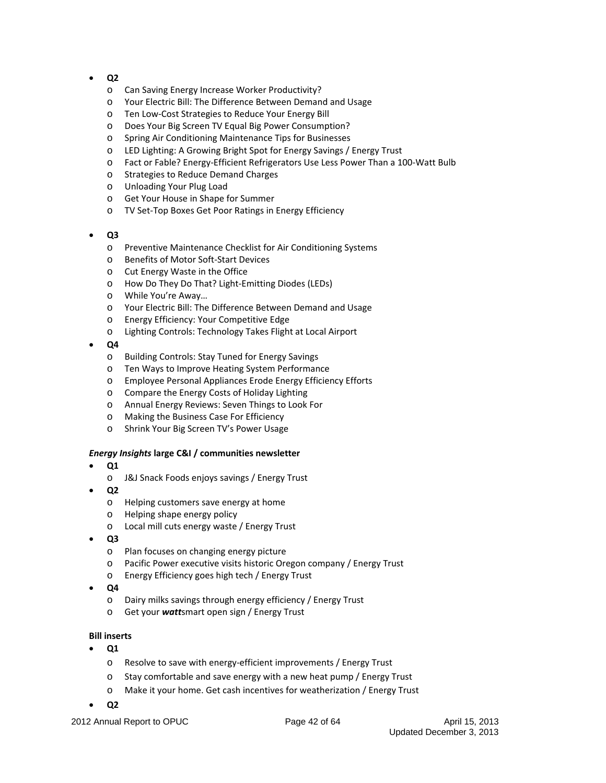- **Q2**
	- o Can Saving Energy Increase Worker Productivity?
	- o Your Electric Bill: The Difference Between Demand and Usage
	- o Ten Low‐Cost Strategies to Reduce Your Energy Bill
	- o Does Your Big Screen TV Equal Big Power Consumption?
	- o Spring Air Conditioning Maintenance Tips for Businesses
	- o LED Lighting: A Growing Bright Spot for Energy Savings / Energy Trust
	- o Fact or Fable? Energy‐Efficient Refrigerators Use Less Power Than a 100‐Watt Bulb
	- o Strategies to Reduce Demand Charges
	- o Unloading Your Plug Load
	- o Get Your House in Shape for Summer
	- o TV Set‐Top Boxes Get Poor Ratings in Energy Efficiency
- **Q3**
	- o Preventive Maintenance Checklist for Air Conditioning Systems
	- o Benefits of Motor Soft‐Start Devices
	- o Cut Energy Waste in the Office
	- o How Do They Do That? Light‐Emitting Diodes (LEDs)
	- o While You're Away…
	- o Your Electric Bill: The Difference Between Demand and Usage
	- o Energy Efficiency: Your Competitive Edge
	- o Lighting Controls: Technology Takes Flight at Local Airport
- **Q4**
	- o Building Controls: Stay Tuned for Energy Savings
	- o Ten Ways to Improve Heating System Performance
	- o Employee Personal Appliances Erode Energy Efficiency Efforts
	- o Compare the Energy Costs of Holiday Lighting
	- o Annual Energy Reviews: Seven Things to Look For
	- o Making the Business Case For Efficiency
	- o Shrink Your Big Screen TV's Power Usage

#### *Energy Insights* **large C&I / communities newsletter**

- **Q1**
	- o J&J Snack Foods enjoys savings / Energy Trust
- **Q2**
	- o Helping customers save energy at home
	- o Helping shape energy policy
	- o Local mill cuts energy waste / Energy Trust
- **Q3**
	- o Plan focuses on changing energy picture
	- o Pacific Power executive visits historic Oregon company / Energy Trust
	- o Energy Efficiency goes high tech / Energy Trust
- **Q4**
	- o Dairy milks savings through energy efficiency / Energy Trust
	- o Get your *watt*smart open sign / Energy Trust

#### **Bill inserts**

- **Q1**
	- o Resolve to save with energy‐efficient improvements / Energy Trust
	- o Stay comfortable and save energy with a new heat pump / Energy Trust
	- o Make it your home. Get cash incentives for weatherization / Energy Trust
- **Q2**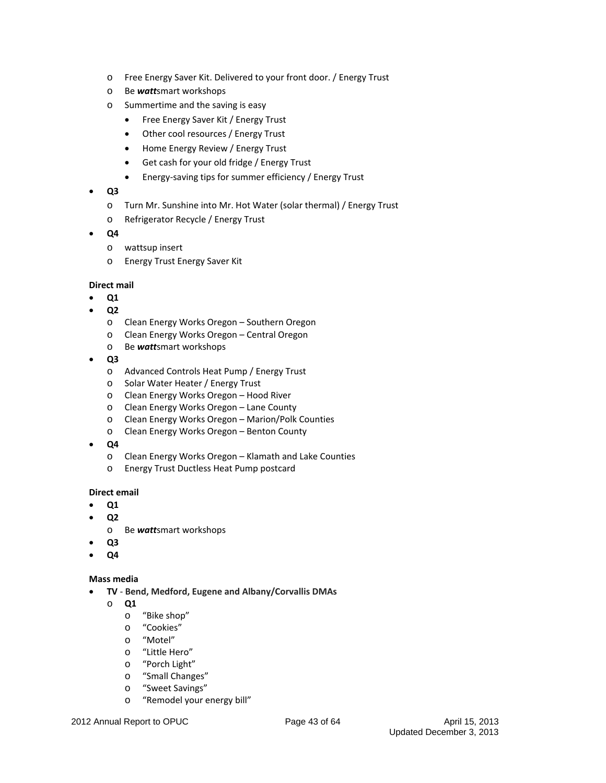- o Free Energy Saver Kit. Delivered to your front door. / Energy Trust
- o Be *watt*smart workshops
- o Summertime and the saving is easy
	- Free Energy Saver Kit / Energy Trust
	- Other cool resources / Energy Trust
	- Home Energy Review / Energy Trust
	- Get cash for your old fridge / Energy Trust
	- Energy‐saving tips for summer efficiency / Energy Trust
- **Q3**
	- o Turn Mr. Sunshine into Mr. Hot Water (solar thermal) / Energy Trust
	- o Refrigerator Recycle / Energy Trust
- **Q4**
	- o wattsup insert
	- o Energy Trust Energy Saver Kit

#### **Direct mail**

- **Q1**
- **Q2**
	- o Clean Energy Works Oregon Southern Oregon
	- o Clean Energy Works Oregon Central Oregon
	- o Be *watt*smart workshops
- **Q3**
	- o Advanced Controls Heat Pump / Energy Trust
	- o Solar Water Heater / Energy Trust
	- o Clean Energy Works Oregon Hood River
	- o Clean Energy Works Oregon Lane County
	- o Clean Energy Works Oregon Marion/Polk Counties
	- o Clean Energy Works Oregon Benton County
- **Q4**
	- o Clean Energy Works Oregon Klamath and Lake Counties
	- o Energy Trust Ductless Heat Pump postcard

#### **Direct email**

- **Q1**
- **Q2**
	- o Be *watt*smart workshops
- **Q3**
- **Q4**

#### **Mass media**

- **TV** ‐ **Bend, Medford, Eugene and Albany/Corvallis DMAs**
	- o **Q1**
		- o "Bike shop"
		- o "Cookies"
		- o "Motel"
		- o "Little Hero"
		- o "Porch Light"
		- o "Small Changes"
		- o "Sweet Savings"
		- o "Remodel your energy bill"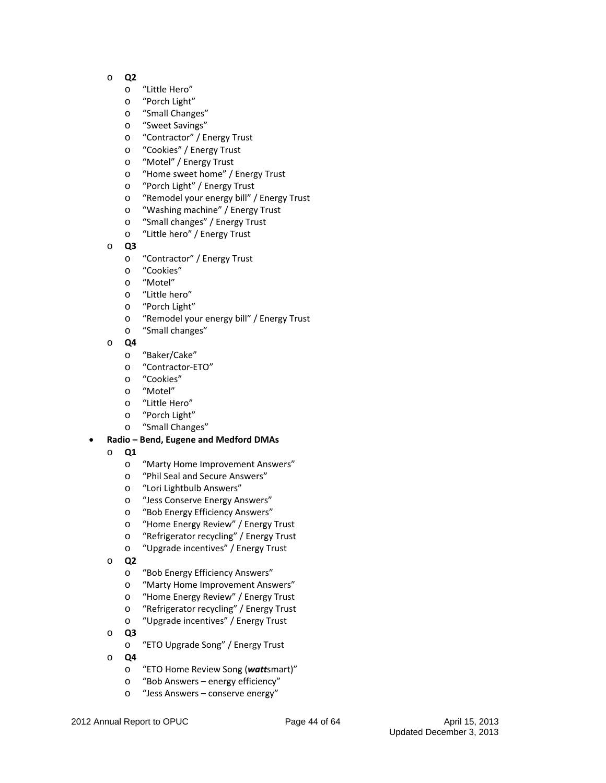- o **Q2**
	- o "Little Hero"
	- o "Porch Light"
	- o "Small Changes"
	- o "Sweet Savings"
	- o "Contractor" / Energy Trust
	- o "Cookies" / Energy Trust
	- o "Motel" / Energy Trust
	- o "Home sweet home" / Energy Trust
	- o "Porch Light" / Energy Trust
	- o "Remodel your energy bill" / Energy Trust
	- o "Washing machine" / Energy Trust
	- o "Small changes" / Energy Trust
	- o "Little hero" / Energy Trust
- o **Q3**
	- o "Contractor" / Energy Trust
	- o "Cookies"
	- o "Motel"
	- o "Little hero"
	- o "Porch Light"
	- o "Remodel your energy bill" / Energy Trust
	- o "Small changes"
- o **Q4**
	- o "Baker/Cake"
	- o "Contractor‐ETO"
	- o "Cookies"
	- o "Motel"
	- o "Little Hero"
	- o "Porch Light"
	- o "Small Changes"

#### **Radio – Bend, Eugene and Medford DMAs**

- o **Q1**
	- o "Marty Home Improvement Answers"
	- o "Phil Seal and Secure Answers"
	- o "Lori Lightbulb Answers"
	- o "Jess Conserve Energy Answers"
	- o "Bob Energy Efficiency Answers"
	- o "Home Energy Review" / Energy Trust
	- o "Refrigerator recycling" / Energy Trust
	- o "Upgrade incentives" / Energy Trust
- o **Q2**
	- o "Bob Energy Efficiency Answers"
	- o "Marty Home Improvement Answers"
	- o "Home Energy Review" / Energy Trust
	- o "Refrigerator recycling" / Energy Trust
	- o "Upgrade incentives" / Energy Trust
- o **Q3**
	- o "ETO Upgrade Song" / Energy Trust
- o **Q4**
	- o "ETO Home Review Song (*watt*smart)"
	- o "Bob Answers energy efficiency"
	- o "Jess Answers conserve energy"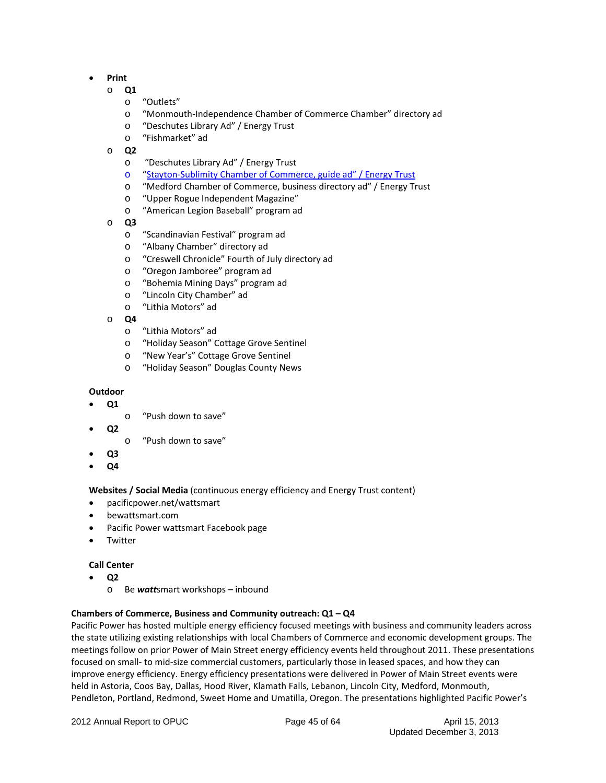- **Print**
	- o **Q1**
		- o "Outlets"
		- o "Monmouth‐Independence Chamber of Commerce Chamber" directory ad
		- o "Deschutes Library Ad" / Energy Trust
		- o "Fishmarket" ad
	- o **Q2**
		- o "Deschutes Library Ad" / Energy Trust
		- o "Stayton‐Sublimity Chamber of Commerce, guide ad" / Energy Trust
		- o "Medford Chamber of Commerce, business directory ad" / Energy Trust
		- o "Upper Rogue Independent Magazine"
		- o "American Legion Baseball" program ad
	- o **Q3**
		- o "Scandinavian Festival" program ad
		- o "Albany Chamber" directory ad
		- o "Creswell Chronicle" Fourth of July directory ad
		- o "Oregon Jamboree" program ad
		- o "Bohemia Mining Days" program ad
		- o "Lincoln City Chamber" ad
		- o "Lithia Motors" ad
	- o **Q4**
		- o "Lithia Motors" ad
		- o "Holiday Season" Cottage Grove Sentinel
		- o "New Year's" Cottage Grove Sentinel
		- o "Holiday Season" Douglas County News

#### **Outdoor**

- **Q1**
	- o "Push down to save"
- **Q2**
	- o "Push down to save"
- **Q3**
- **Q4**

#### **Websites / Social Media** (continuous energy efficiency and Energy Trust content)

- pacificpower.net/wattsmart
- bewattsmart.com
- Pacific Power wattsmart Facebook page
- Twitter

#### **Call Center**

- **Q2**
	- o Be *watt*smart workshops inbound

#### **Chambers of Commerce, Business and Community outreach: Q1 – Q4**

Pacific Power has hosted multiple energy efficiency focused meetings with business and community leaders across the state utilizing existing relationships with local Chambers of Commerce and economic development groups. The meetings follow on prior Power of Main Street energy efficiency events held throughout 2011. These presentations focused on small‐ to mid‐size commercial customers, particularly those in leased spaces, and how they can improve energy efficiency. Energy efficiency presentations were delivered in Power of Main Street events were held in Astoria, Coos Bay, Dallas, Hood River, Klamath Falls, Lebanon, Lincoln City, Medford, Monmouth, Pendleton, Portland, Redmond, Sweet Home and Umatilla, Oregon. The presentations highlighted Pacific Power's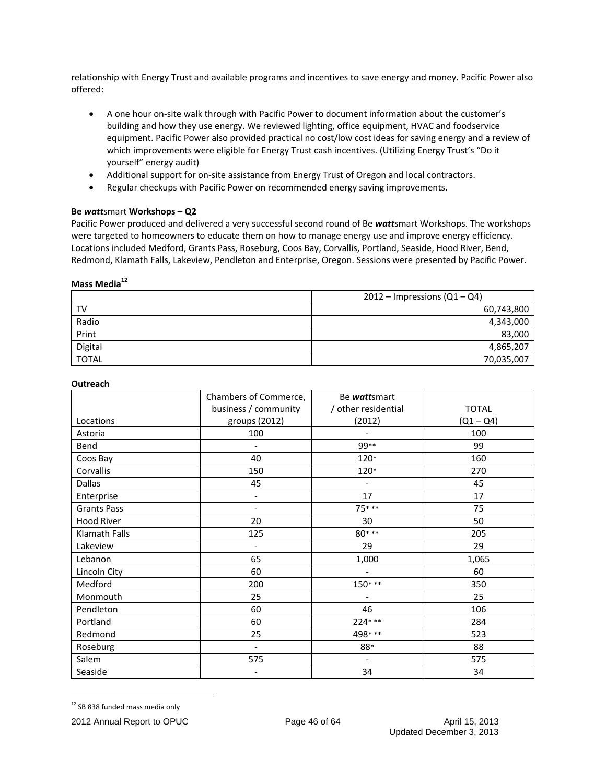relationship with Energy Trust and available programs and incentives to save energy and money. Pacific Power also offered:

- A one hour on-site walk through with Pacific Power to document information about the customer's building and how they use energy. We reviewed lighting, office equipment, HVAC and foodservice equipment. Pacific Power also provided practical no cost/low cost ideas for saving energy and a review of which improvements were eligible for Energy Trust cash incentives. (Utilizing Energy Trust's "Do it yourself" energy audit)
- Additional support for on-site assistance from Energy Trust of Oregon and local contractors.
- Regular checkups with Pacific Power on recommended energy saving improvements.

#### **Be** *watt*smart **Workshops – Q2**

Pacific Power produced and delivered a very successful second round of Be *watt*smart Workshops. The workshops were targeted to homeowners to educate them on how to manage energy use and improve energy efficiency. Locations included Medford, Grants Pass, Roseburg, Coos Bay, Corvallis, Portland, Seaside, Hood River, Bend, Redmond, Klamath Falls, Lakeview, Pendleton and Enterprise, Oregon. Sessions were presented by Pacific Power.

#### **Mass Media12**

|              | $2012$ – Impressions (Q1 – Q4) |
|--------------|--------------------------------|
| TV           | 60,743,800                     |
| Radio        | 4,343,000                      |
| Print        | 83,000                         |
| Digital      | 4,865,207                      |
| <b>TOTAL</b> | 70,035,007                     |

#### **Outreach**

|                    | Chambers of Commerce,    | Be wattsmart             |              |
|--------------------|--------------------------|--------------------------|--------------|
|                    | business / community     | / other residential      | <b>TOTAL</b> |
| Locations          | groups (2012)            | (2012)                   | $(Q1 - Q4)$  |
| Astoria            | 100                      | $\overline{\phantom{0}}$ | 100          |
| Bend               |                          | 99**                     | 99           |
| Coos Bay           | 40                       | 120*                     | 160          |
| Corvallis          | 150                      | 120*                     | 270          |
| Dallas             | 45                       | $\overline{\phantom{0}}$ | 45           |
| Enterprise         | $\overline{\phantom{0}}$ | 17                       | 17           |
| <b>Grants Pass</b> |                          | 75***                    | 75           |
| Hood River         | 20                       | 30                       | 50           |
| Klamath Falls      | 125                      | $80***$                  | 205          |
| Lakeview           | $\overline{\phantom{0}}$ | 29                       | 29           |
| Lebanon            | 65                       | 1,000                    | 1,065        |
| Lincoln City       | 60                       |                          | 60           |
| Medford            | 200                      | $150***$                 | 350          |
| Monmouth           | 25                       |                          | 25           |
| Pendleton          | 60                       | 46                       | 106          |
| Portland           | 60                       | $224***$                 | 284          |
| Redmond            | 25                       | 498 ***                  | 523          |
| Roseburg           | $\blacksquare$           | 88*                      | 88           |
| Salem              | 575                      |                          | 575          |
| Seaside            |                          | 34                       | 34           |

<sup>&</sup>lt;sup>12</sup> SB 838 funded mass media only

<sup>2012</sup> Annual Report to OPUC Page 46 of 64 April 15, 2013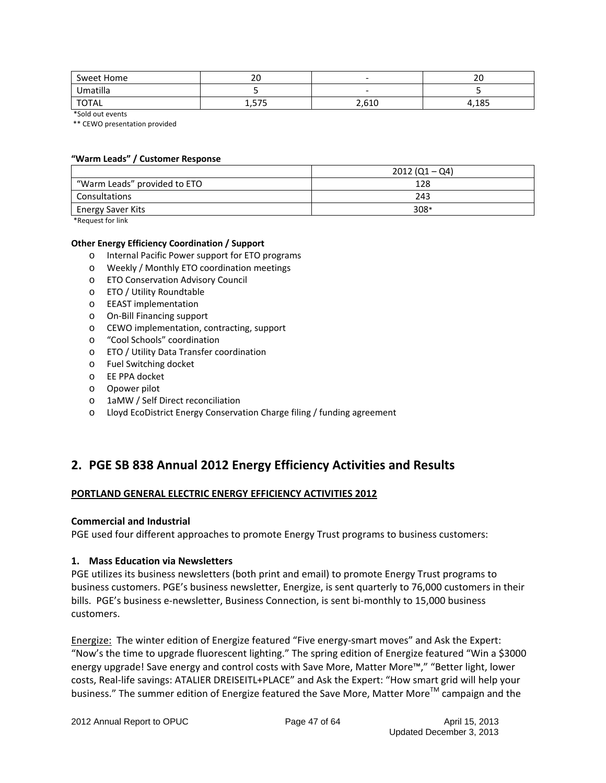| Sweet Home   | $\overline{2}$<br>∠∪ | $\overline{\phantom{a}}$ | $\sim$<br>∠∪ |
|--------------|----------------------|--------------------------|--------------|
| Umatilla     |                      | -                        |              |
| <b>TOTAL</b> | <b>FIT</b><br>ر ر _  | 2,610                    | 10C<br>دە⊥,+ |

\*Sold out events

\*\* CEWO presentation provided

#### **"Warm Leads" / Customer Response**

|                              | $2012 (Q1 - Q4)$ |
|------------------------------|------------------|
| "Warm Leads" provided to ETO | 128              |
| Consultations                | 243              |
| <b>Energy Saver Kits</b>     | 308*             |

\*Request for link

#### **Other Energy Efficiency Coordination / Support**

- o Internal Pacific Power support for ETO programs
- o Weekly / Monthly ETO coordination meetings
- o ETO Conservation Advisory Council
- o ETO / Utility Roundtable
- o EEAST implementation
- o On‐Bill Financing support
- o CEWO implementation, contracting, support
- o "Cool Schools" coordination
- o ETO / Utility Data Transfer coordination
- o Fuel Switching docket
- o EE PPA docket
- o Opower pilot
- o 1aMW / Self Direct reconciliation
- o Lloyd EcoDistrict Energy Conservation Charge filing / funding agreement

### **2. PGE SB 838 Annual 2012 Energy Efficiency Activities and Results**

#### **PORTLAND GENERAL ELECTRIC ENERGY EFFICIENCY ACTIVITIES 2012**

#### **Commercial and Industrial**

PGE used four different approaches to promote Energy Trust programs to business customers:

#### **1. Mass Education via Newsletters**

PGE utilizes its business newsletters (both print and email) to promote Energy Trust programs to business customers. PGE's business newsletter, Energize, is sent quarterly to 76,000 customers in their bills. PGE's business e‐newsletter, Business Connection, is sent bi‐monthly to 15,000 business customers.

Energize: The winter edition of Energize featured "Five energy-smart moves" and Ask the Expert: "Now's the time to upgrade fluorescent lighting." The spring edition of Energize featured "Win a \$3000 energy upgrade! Save energy and control costs with Save More, Matter More™," "Better light, lower costs, Real‐life savings: ATALIER DREISEITL+PLACE" and Ask the Expert: "How smart grid will help your business." The summer edition of Energize featured the Save More, Matter More™ campaign and the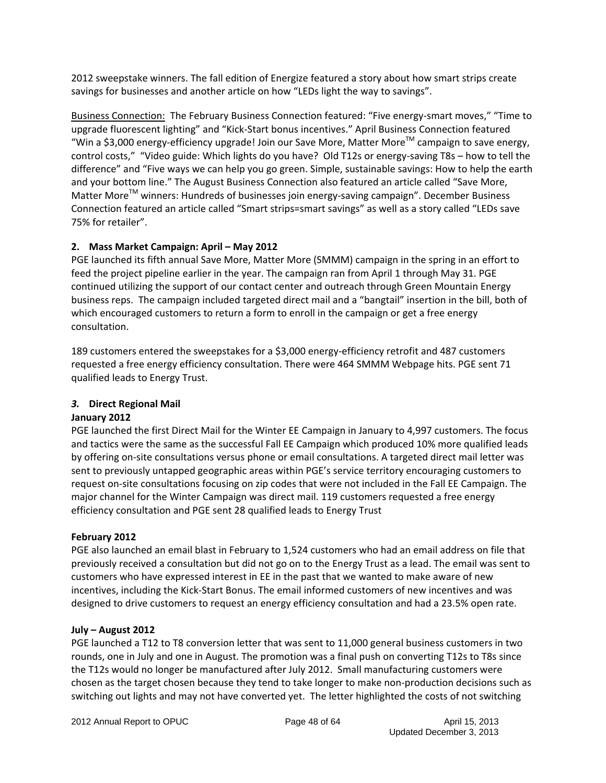2012 sweepstake winners. The fall edition of Energize featured a story about how smart strips create savings for businesses and another article on how "LEDs light the way to savings".

Business Connection: The February Business Connection featured: "Five energy‐smart moves," "Time to upgrade fluorescent lighting" and "Kick‐Start bonus incentives." April Business Connection featured "Win a \$3,000 energy-efficiency upgrade! Join our Save More, Matter More<sup>TM</sup> campaign to save energy, control costs," "Video guide: Which lights do you have? Old T12s or energy-saving T8s - how to tell the difference" and "Five ways we can help you go green. Simple, sustainable savings: How to help the earth and your bottom line." The August Business Connection also featured an article called "Save More, Matter More<sup>™</sup> winners: Hundreds of businesses join energy-saving campaign". December Business Connection featured an article called "Smart strips=smart savings" as well as a story called "LEDs save 75% for retailer".

### **2. Mass Market Campaign: April – May 2012**

PGE launched its fifth annual Save More, Matter More (SMMM) campaign in the spring in an effort to feed the project pipeline earlier in the year. The campaign ran from April 1 through May 31. PGE continued utilizing the support of our contact center and outreach through Green Mountain Energy business reps. The campaign included targeted direct mail and a "bangtail" insertion in the bill, both of which encouraged customers to return a form to enroll in the campaign or get a free energy consultation.

189 customers entered the sweepstakes for a \$3,000 energy‐efficiency retrofit and 487 customers requested a free energy efficiency consultation. There were 464 SMMM Webpage hits. PGE sent 71 qualified leads to Energy Trust.

### *3.* **Direct Regional Mail**

### **January 2012**

PGE launched the first Direct Mail for the Winter EE Campaign in January to 4,997 customers. The focus and tactics were the same as the successful Fall EE Campaign which produced 10% more qualified leads by offering on‐site consultations versus phone or email consultations. A targeted direct mail letter was sent to previously untapped geographic areas within PGE's service territory encouraging customers to request on‐site consultations focusing on zip codes that were not included in the Fall EE Campaign. The major channel for the Winter Campaign was direct mail. 119 customers requested a free energy efficiency consultation and PGE sent 28 qualified leads to Energy Trust

### **February 2012**

PGE also launched an email blast in February to 1,524 customers who had an email address on file that previously received a consultation but did not go on to the Energy Trust as a lead. The email was sent to customers who have expressed interest in EE in the past that we wanted to make aware of new incentives, including the Kick‐Start Bonus. The email informed customers of new incentives and was designed to drive customers to request an energy efficiency consultation and had a 23.5% open rate.

### **July – August 2012**

PGE launched a T12 to T8 conversion letter that was sent to 11,000 general business customers in two rounds, one in July and one in August. The promotion was a final push on converting T12s to T8s since the T12s would no longer be manufactured after July 2012. Small manufacturing customers were chosen as the target chosen because they tend to take longer to make non‐production decisions such as switching out lights and may not have converted yet. The letter highlighted the costs of not switching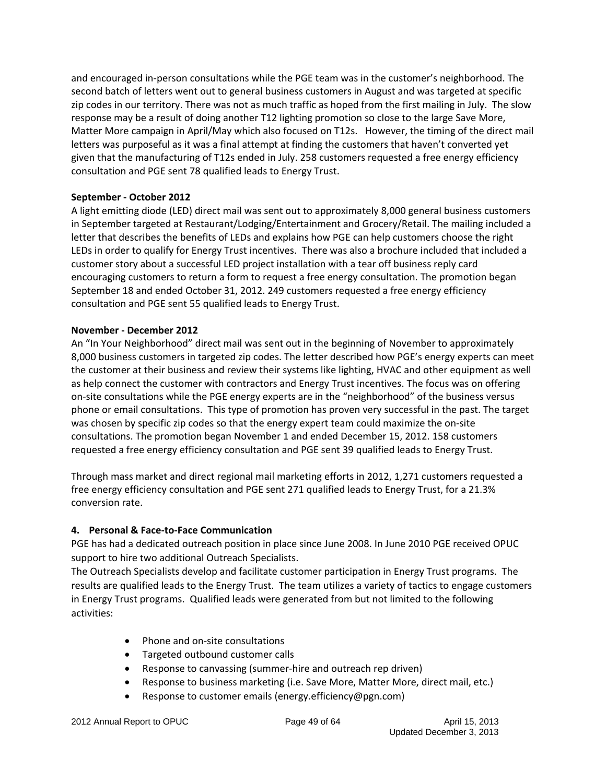and encouraged in‐person consultations while the PGE team was in the customer's neighborhood. The second batch of letters went out to general business customers in August and was targeted at specific zip codes in our territory. There was not as much traffic as hoped from the first mailing in July. The slow response may be a result of doing another T12 lighting promotion so close to the large Save More, Matter More campaign in April/May which also focused on T12s. However, the timing of the direct mail letters was purposeful as it was a final attempt at finding the customers that haven't converted yet given that the manufacturing of T12s ended in July. 258 customers requested a free energy efficiency consultation and PGE sent 78 qualified leads to Energy Trust.

#### **September ‐ October 2012**

A light emitting diode (LED) direct mail was sent out to approximately 8,000 general business customers in September targeted at Restaurant/Lodging/Entertainment and Grocery/Retail. The mailing included a letter that describes the benefits of LEDs and explains how PGE can help customers choose the right LEDs in order to qualify for Energy Trust incentives. There was also a brochure included that included a customer story about a successful LED project installation with a tear off business reply card encouraging customers to return a form to request a free energy consultation. The promotion began September 18 and ended October 31, 2012. 249 customers requested a free energy efficiency consultation and PGE sent 55 qualified leads to Energy Trust.

#### **November ‐ December 2012**

An "In Your Neighborhood" direct mail was sent out in the beginning of November to approximately 8,000 business customers in targeted zip codes. The letter described how PGE's energy experts can meet the customer at their business and review their systems like lighting, HVAC and other equipment as well as help connect the customer with contractors and Energy Trust incentives. The focus was on offering on-site consultations while the PGE energy experts are in the "neighborhood" of the business versus phone or email consultations. This type of promotion has proven very successful in the past. The target was chosen by specific zip codes so that the energy expert team could maximize the on-site consultations. The promotion began November 1 and ended December 15, 2012. 158 customers requested a free energy efficiency consultation and PGE sent 39 qualified leads to Energy Trust.

Through mass market and direct regional mail marketing efforts in 2012, 1,271 customers requested a free energy efficiency consultation and PGE sent 271 qualified leads to Energy Trust, for a 21.3% conversion rate.

### **4. Personal & Face‐to‐Face Communication**

PGE has had a dedicated outreach position in place since June 2008. In June 2010 PGE received OPUC support to hire two additional Outreach Specialists.

The Outreach Specialists develop and facilitate customer participation in Energy Trust programs. The results are qualified leads to the Energy Trust. The team utilizes a variety of tactics to engage customers in Energy Trust programs. Qualified leads were generated from but not limited to the following activities:

- Phone and on-site consultations
- Targeted outbound customer calls
- Response to canvassing (summer-hire and outreach rep driven)
- Response to business marketing (i.e. Save More, Matter More, direct mail, etc.)
- Response to customer emails (energy.efficiency@pgn.com)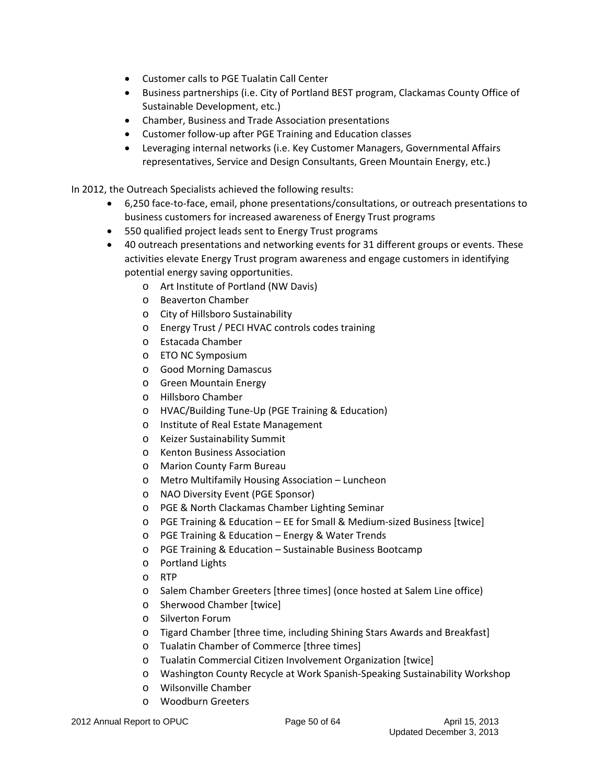- Customer calls to PGE Tualatin Call Center
- Business partnerships (i.e. City of Portland BEST program, Clackamas County Office of Sustainable Development, etc.)
- Chamber, Business and Trade Association presentations
- Customer follow-up after PGE Training and Education classes
- Leveraging internal networks (i.e. Key Customer Managers, Governmental Affairs representatives, Service and Design Consultants, Green Mountain Energy, etc.)

In 2012, the Outreach Specialists achieved the following results:

- 6,250 face‐to‐face, email, phone presentations/consultations, or outreach presentations to business customers for increased awareness of Energy Trust programs
- 550 qualified project leads sent to Energy Trust programs
- 40 outreach presentations and networking events for 31 different groups or events. These activities elevate Energy Trust program awareness and engage customers in identifying potential energy saving opportunities.
	- o Art Institute of Portland (NW Davis)
	- o Beaverton Chamber
	- o City of Hillsboro Sustainability
	- o Energy Trust / PECI HVAC controls codes training
	- o Estacada Chamber
	- o ETO NC Symposium
	- o Good Morning Damascus
	- o Green Mountain Energy
	- o Hillsboro Chamber
	- o HVAC/Building Tune‐Up (PGE Training & Education)
	- o Institute of Real Estate Management
	- o Keizer Sustainability Summit
	- o Kenton Business Association
	- o Marion County Farm Bureau
	- o Metro Multifamily Housing Association Luncheon
	- o NAO Diversity Event (PGE Sponsor)
	- o PGE & North Clackamas Chamber Lighting Seminar
	- o PGE Training & Education EE for Small & Medium‐sized Business [twice]
	- o PGE Training & Education Energy & Water Trends
	- o PGE Training & Education Sustainable Business Bootcamp
	- o Portland Lights
	- o RTP
	- o Salem Chamber Greeters [three times] (once hosted at Salem Line office)
	- o Sherwood Chamber [twice]
	- o Silverton Forum
	- o Tigard Chamber [three time, including Shining Stars Awards and Breakfast]
	- o Tualatin Chamber of Commerce [three times]
	- o Tualatin Commercial Citizen Involvement Organization [twice]
	- o Washington County Recycle at Work Spanish‐Speaking Sustainability Workshop
	- o Wilsonville Chamber
	- o Woodburn Greeters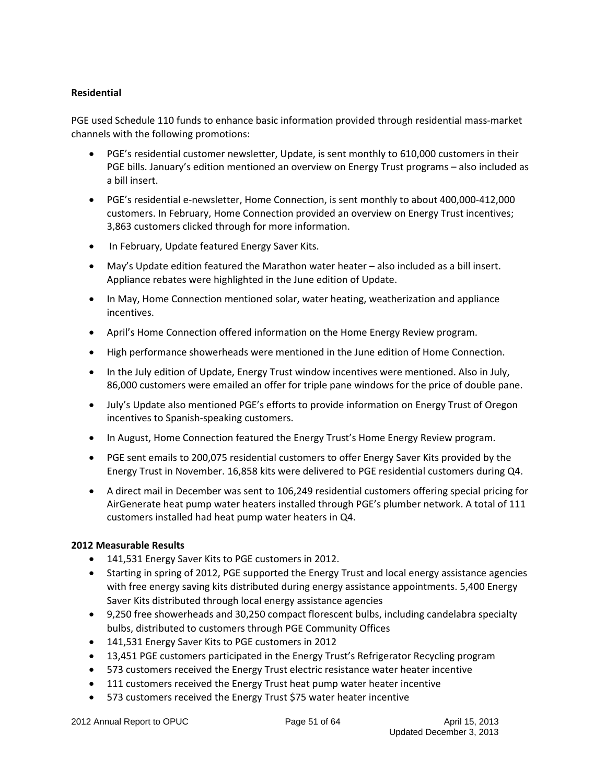### **Residential**

PGE used Schedule 110 funds to enhance basic information provided through residential mass-market channels with the following promotions:

- PGE's residential customer newsletter, Update, is sent monthly to 610,000 customers in their PGE bills. January's edition mentioned an overview on Energy Trust programs – also included as a bill insert.
- PGE's residential e-newsletter, Home Connection, is sent monthly to about 400,000-412,000 customers. In February, Home Connection provided an overview on Energy Trust incentives; 3,863 customers clicked through for more information.
- In February, Update featured Energy Saver Kits.
- May's Update edition featured the Marathon water heater also included as a bill insert. Appliance rebates were highlighted in the June edition of Update.
- In May, Home Connection mentioned solar, water heating, weatherization and appliance incentives.
- April's Home Connection offered information on the Home Energy Review program.
- High performance showerheads were mentioned in the June edition of Home Connection.
- In the July edition of Update, Energy Trust window incentives were mentioned. Also in July, 86,000 customers were emailed an offer for triple pane windows for the price of double pane.
- July's Update also mentioned PGE's efforts to provide information on Energy Trust of Oregon incentives to Spanish‐speaking customers.
- In August, Home Connection featured the Energy Trust's Home Energy Review program.
- PGE sent emails to 200,075 residential customers to offer Energy Saver Kits provided by the Energy Trust in November. 16,858 kits were delivered to PGE residential customers during Q4.
- A direct mail in December was sent to 106,249 residential customers offering special pricing for AirGenerate heat pump water heaters installed through PGE's plumber network. A total of 111 customers installed had heat pump water heaters in Q4.

#### **2012 Measurable Results**

- 141,531 Energy Saver Kits to PGE customers in 2012.
- Starting in spring of 2012, PGE supported the Energy Trust and local energy assistance agencies with free energy saving kits distributed during energy assistance appointments. 5,400 Energy Saver Kits distributed through local energy assistance agencies
- 9,250 free showerheads and 30,250 compact florescent bulbs, including candelabra specialty bulbs, distributed to customers through PGE Community Offices
- 141,531 Energy Saver Kits to PGE customers in 2012
- 13,451 PGE customers participated in the Energy Trust's Refrigerator Recycling program
- 573 customers received the Energy Trust electric resistance water heater incentive
- 111 customers received the Energy Trust heat pump water heater incentive
- 573 customers received the Energy Trust \$75 water heater incentive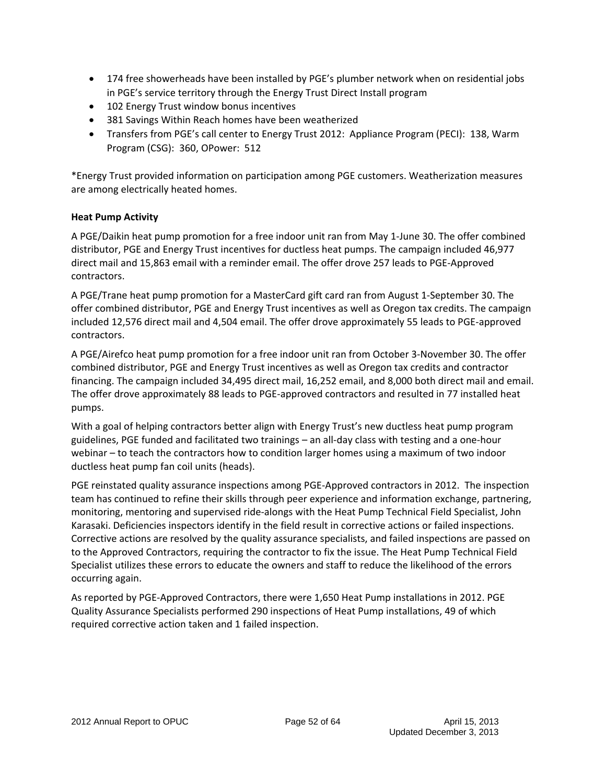- 174 free showerheads have been installed by PGE's plumber network when on residential jobs in PGE's service territory through the Energy Trust Direct Install program
- 102 Energy Trust window bonus incentives
- 381 Savings Within Reach homes have been weatherized
- Transfers from PGE's call center to Energy Trust 2012: Appliance Program (PECI): 138, Warm Program (CSG): 360, OPower: 512

\*Energy Trust provided information on participation among PGE customers. Weatherization measures are among electrically heated homes.

#### **Heat Pump Activity**

A PGE/Daikin heat pump promotion for a free indoor unit ran from May 1‐June 30. The offer combined distributor, PGE and Energy Trust incentives for ductless heat pumps. The campaign included 46,977 direct mail and 15,863 email with a reminder email. The offer drove 257 leads to PGE‐Approved contractors.

A PGE/Trane heat pump promotion for a MasterCard gift card ran from August 1‐September 30. The offer combined distributor, PGE and Energy Trust incentives as well as Oregon tax credits. The campaign included 12,576 direct mail and 4,504 email. The offer drove approximately 55 leads to PGE‐approved contractors.

A PGE/Airefco heat pump promotion for a free indoor unit ran from October 3‐November 30. The offer combined distributor, PGE and Energy Trust incentives as well as Oregon tax credits and contractor financing. The campaign included 34,495 direct mail, 16,252 email, and 8,000 both direct mail and email. The offer drove approximately 88 leads to PGE‐approved contractors and resulted in 77 installed heat pumps.

With a goal of helping contractors better align with Energy Trust's new ductless heat pump program guidelines, PGE funded and facilitated two trainings – an all‐day class with testing and a one‐hour webinar – to teach the contractors how to condition larger homes using a maximum of two indoor ductless heat pump fan coil units (heads).

PGE reinstated quality assurance inspections among PGE‐Approved contractors in 2012. The inspection team has continued to refine their skills through peer experience and information exchange, partnering, monitoring, mentoring and supervised ride‐alongs with the Heat Pump Technical Field Specialist, John Karasaki. Deficiencies inspectors identify in the field result in corrective actions or failed inspections. Corrective actions are resolved by the quality assurance specialists, and failed inspections are passed on to the Approved Contractors, requiring the contractor to fix the issue. The Heat Pump Technical Field Specialist utilizes these errors to educate the owners and staff to reduce the likelihood of the errors occurring again.

As reported by PGE‐Approved Contractors, there were 1,650 Heat Pump installations in 2012. PGE Quality Assurance Specialists performed 290 inspections of Heat Pump installations, 49 of which required corrective action taken and 1 failed inspection.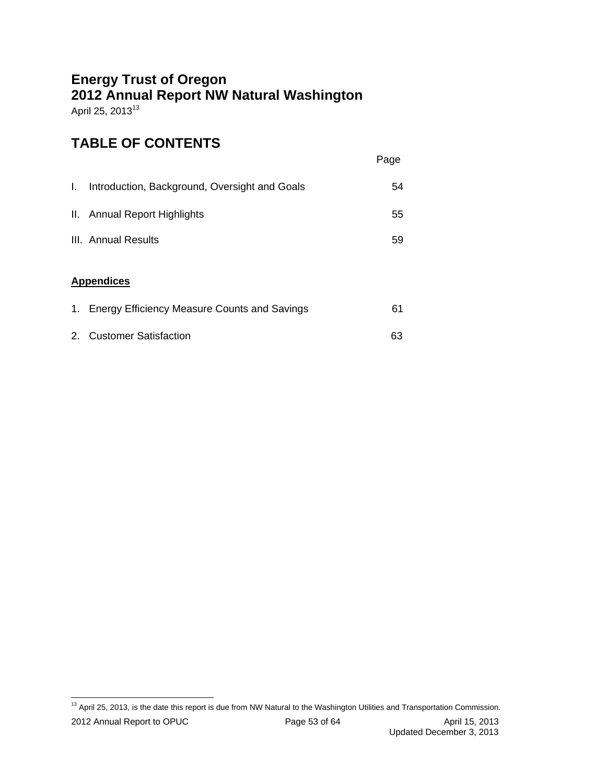## **Energy Trust of Oregon 2012 Annual Report NW Natural Washington**  April 25, 2013<sup>13</sup>

## **TABLE OF CONTENTS**

|  |  | Page |
|--|--|------|
|  |  |      |

| Introduction, Background, Oversight and Goals | 54 |
|-----------------------------------------------|----|
| II. Annual Report Highlights                  | 55 |
| III. Annual Results                           | 59 |

### **Appendices**

| 1. Energy Efficiency Measure Counts and Savings | 61 |
|-------------------------------------------------|----|
| 2. Customer Satisfaction                        | 63 |

 <sup>13</sup> April 25, 2013, is the date this report is due from NW Natural to the Washington Utilities and Transportation Commission.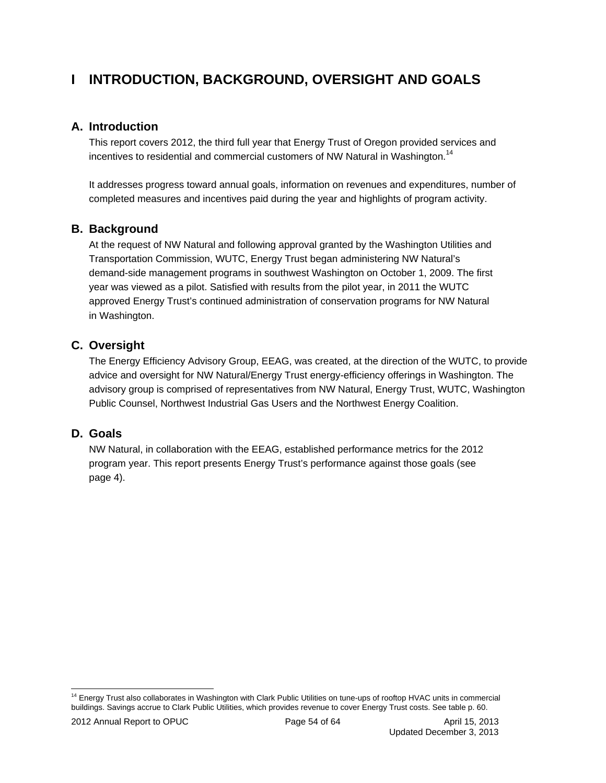## **I INTRODUCTION, BACKGROUND, OVERSIGHT AND GOALS**

### **A. Introduction**

This report covers 2012, the third full year that Energy Trust of Oregon provided services and incentives to residential and commercial customers of NW Natural in Washington.<sup>14</sup>

It addresses progress toward annual goals, information on revenues and expenditures, number of completed measures and incentives paid during the year and highlights of program activity.

### **B. Background**

At the request of NW Natural and following approval granted by the Washington Utilities and Transportation Commission, WUTC, Energy Trust began administering NW Natural's demand-side management programs in southwest Washington on October 1, 2009. The first year was viewed as a pilot. Satisfied with results from the pilot year, in 2011 the WUTC approved Energy Trust's continued administration of conservation programs for NW Natural in Washington.

### **C. Oversight**

The Energy Efficiency Advisory Group, EEAG, was created, at the direction of the WUTC, to provide advice and oversight for NW Natural/Energy Trust energy-efficiency offerings in Washington. The advisory group is comprised of representatives from NW Natural, Energy Trust, WUTC, Washington Public Counsel, Northwest Industrial Gas Users and the Northwest Energy Coalition.

### **D. Goals**

NW Natural, in collaboration with the EEAG, established performance metrics for the 2012 program year. This report presents Energy Trust's performance against those goals (see page 4).

 $\overline{a}$ <sup>14</sup> Energy Trust also collaborates in Washington with Clark Public Utilities on tune-ups of rooftop HVAC units in commercial buildings. Savings accrue to Clark Public Utilities, which provides revenue to cover Energy Trust costs. See table p. 60.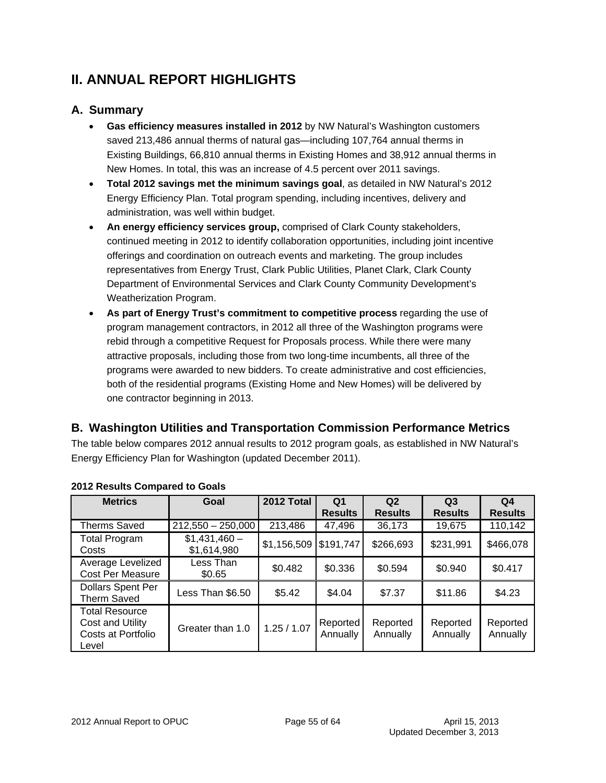## **II. ANNUAL REPORT HIGHLIGHTS**

### **A. Summary**

- **Gas efficiency measures installed in 2012** by NW Natural's Washington customers saved 213,486 annual therms of natural gas—including 107,764 annual therms in Existing Buildings, 66,810 annual therms in Existing Homes and 38,912 annual therms in New Homes. In total, this was an increase of 4.5 percent over 2011 savings.
- **Total 2012 savings met the minimum savings goal**, as detailed in NW Natural's 2012 Energy Efficiency Plan. Total program spending, including incentives, delivery and administration, was well within budget.
- **An energy efficiency services group,** comprised of Clark County stakeholders, continued meeting in 2012 to identify collaboration opportunities, including joint incentive offerings and coordination on outreach events and marketing. The group includes representatives from Energy Trust, Clark Public Utilities, Planet Clark, Clark County Department of Environmental Services and Clark County Community Development's Weatherization Program.
- **As part of Energy Trust's commitment to competitive process** regarding the use of program management contractors, in 2012 all three of the Washington programs were rebid through a competitive Request for Proposals process. While there were many attractive proposals, including those from two long-time incumbents, all three of the programs were awarded to new bidders. To create administrative and cost efficiencies, both of the residential programs (Existing Home and New Homes) will be delivered by one contractor beginning in 2013.

## **B. Washington Utilities and Transportation Commission Performance Metrics**

The table below compares 2012 annual results to 2012 program goals, as established in NW Natural's Energy Efficiency Plan for Washington (updated December 2011).

| <b>Metrics</b>                                                           | Goal                         | 2012 Total  | Q <sub>1</sub><br><b>Results</b> | Q <sub>2</sub><br><b>Results</b> | Q <sub>3</sub><br><b>Results</b> | Q <sub>4</sub><br><b>Results</b> |
|--------------------------------------------------------------------------|------------------------------|-------------|----------------------------------|----------------------------------|----------------------------------|----------------------------------|
| <b>Therms Saved</b>                                                      | $212,550 - 250,000$          | 213,486     | 47,496                           | 36,173                           | 19,675                           | 110,142                          |
| <b>Total Program</b><br>Costs                                            | $$1,431,460-$<br>\$1,614,980 | \$1,156,509 | \$191,747                        | \$266,693                        | \$231,991                        | \$466,078                        |
| Average Levelized<br><b>Cost Per Measure</b>                             | Less Than<br>\$0.65          | \$0.482     | \$0.336                          | \$0.594                          | \$0.940                          | \$0.417                          |
| <b>Dollars Spent Per</b><br>Therm Saved                                  | Less Than \$6.50             | \$5.42      | \$4.04                           | \$7.37                           | \$11.86                          | \$4.23                           |
| <b>Total Resource</b><br>Cost and Utility<br>Costs at Portfolio<br>Level | Greater than 1.0             | 1.25 / 1.07 | Reported<br>Annually             | Reported<br>Annually             | Reported<br>Annually             | Reported<br>Annually             |

### **2012 Results Compared to Goals**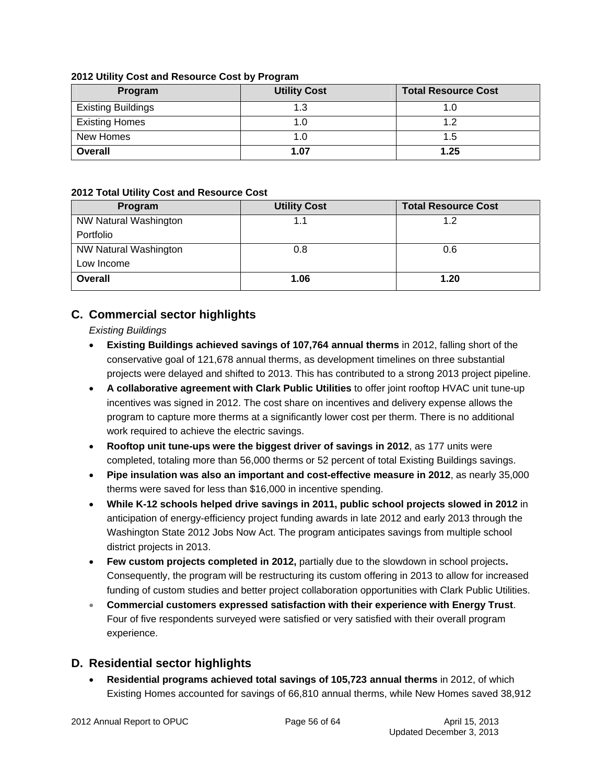#### **2012 Utility Cost and Resource Cost by Program**

| Program                   | <b>Utility Cost</b> | <b>Total Resource Cost</b> |
|---------------------------|---------------------|----------------------------|
| <b>Existing Buildings</b> | 1.3                 | 1.0                        |
| <b>Existing Homes</b>     | 1.0                 | ィっ                         |
| New Homes                 | 1.0                 | 1.5                        |
| <b>Overall</b>            | 1.07                | 1.25                       |

#### **2012 Total Utility Cost and Resource Cost**

| Program               | <b>Utility Cost</b> | <b>Total Resource Cost</b> |
|-----------------------|---------------------|----------------------------|
| NW Natural Washington | 1.1                 | 1.2                        |
| Portfolio             |                     |                            |
| NW Natural Washington | 0.8                 | 0.6                        |
| Low Income            |                     |                            |
| <b>Overall</b>        | 1.06                | 1.20                       |

## **C. Commercial sector highlights**

*Existing Buildings* 

- **Existing Buildings achieved savings of 107,764 annual therms** in 2012, falling short of the conservative goal of 121,678 annual therms, as development timelines on three substantial projects were delayed and shifted to 2013. This has contributed to a strong 2013 project pipeline.
- **A collaborative agreement with Clark Public Utilities** to offer joint rooftop HVAC unit tune-up incentives was signed in 2012. The cost share on incentives and delivery expense allows the program to capture more therms at a significantly lower cost per therm. There is no additional work required to achieve the electric savings.
- **Rooftop unit tune-ups were the biggest driver of savings in 2012**, as 177 units were completed, totaling more than 56,000 therms or 52 percent of total Existing Buildings savings.
- **Pipe insulation was also an important and cost-effective measure in 2012**, as nearly 35,000 therms were saved for less than \$16,000 in incentive spending.
- **While K-12 schools helped drive savings in 2011, public school projects slowed in 2012** in anticipation of energy-efficiency project funding awards in late 2012 and early 2013 through the Washington State 2012 Jobs Now Act. The program anticipates savings from multiple school district projects in 2013.
- **Few custom projects completed in 2012,** partially due to the slowdown in school projects**.** Consequently, the program will be restructuring its custom offering in 2013 to allow for increased funding of custom studies and better project collaboration opportunities with Clark Public Utilities.
- **Commercial customers expressed satisfaction with their experience with Energy Trust**. Four of five respondents surveyed were satisfied or very satisfied with their overall program experience.

## **D. Residential sector highlights**

 **Residential programs achieved total savings of 105,723 annual therms** in 2012, of which Existing Homes accounted for savings of 66,810 annual therms, while New Homes saved 38,912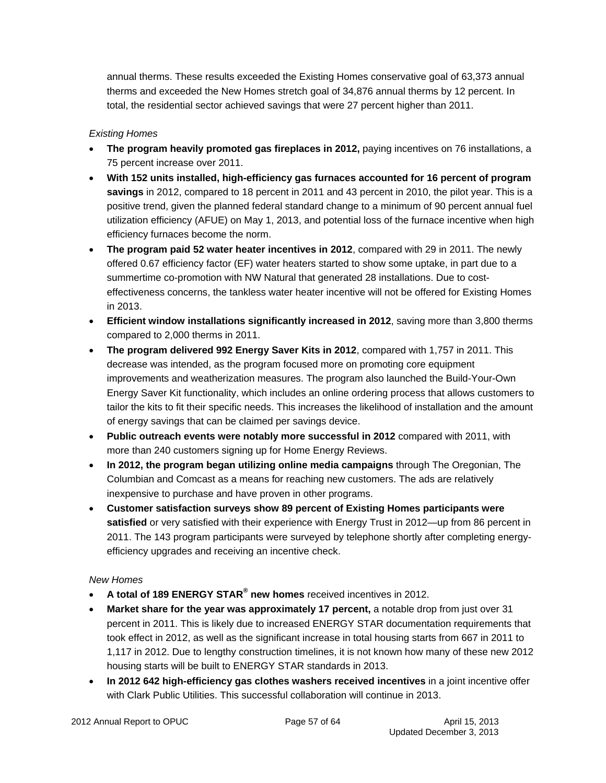annual therms. These results exceeded the Existing Homes conservative goal of 63,373 annual therms and exceeded the New Homes stretch goal of 34,876 annual therms by 12 percent. In total, the residential sector achieved savings that were 27 percent higher than 2011.

### *Existing Homes*

- **The program heavily promoted gas fireplaces in 2012,** paying incentives on 76 installations, a 75 percent increase over 2011.
- **With 152 units installed, high-efficiency gas furnaces accounted for 16 percent of program savings** in 2012, compared to 18 percent in 2011 and 43 percent in 2010, the pilot year. This is a positive trend, given the planned federal standard change to a minimum of 90 percent annual fuel utilization efficiency (AFUE) on May 1, 2013, and potential loss of the furnace incentive when high efficiency furnaces become the norm.
- **The program paid 52 water heater incentives in 2012**, compared with 29 in 2011. The newly offered 0.67 efficiency factor (EF) water heaters started to show some uptake, in part due to a summertime co-promotion with NW Natural that generated 28 installations. Due to costeffectiveness concerns, the tankless water heater incentive will not be offered for Existing Homes in 2013.
- **Efficient window installations significantly increased in 2012**, saving more than 3,800 therms compared to 2,000 therms in 2011.
- **The program delivered 992 Energy Saver Kits in 2012**, compared with 1,757 in 2011. This decrease was intended, as the program focused more on promoting core equipment improvements and weatherization measures. The program also launched the Build-Your-Own Energy Saver Kit functionality, which includes an online ordering process that allows customers to tailor the kits to fit their specific needs. This increases the likelihood of installation and the amount of energy savings that can be claimed per savings device.
- **Public outreach events were notably more successful in 2012** compared with 2011, with more than 240 customers signing up for Home Energy Reviews.
- **In 2012, the program began utilizing online media campaigns** through The Oregonian, The Columbian and Comcast as a means for reaching new customers. The ads are relatively inexpensive to purchase and have proven in other programs.
- **Customer satisfaction surveys show 89 percent of Existing Homes participants were satisfied** or very satisfied with their experience with Energy Trust in 2012—up from 86 percent in 2011. The 143 program participants were surveyed by telephone shortly after completing energyefficiency upgrades and receiving an incentive check.

### *New Homes*

- **A total of 189 ENERGY STAR<sup>®</sup> new homes** received incentives in 2012.
- **Market share for the year was approximately 17 percent,** a notable drop from just over 31 percent in 2011. This is likely due to increased ENERGY STAR documentation requirements that took effect in 2012, as well as the significant increase in total housing starts from 667 in 2011 to 1,117 in 2012. Due to lengthy construction timelines, it is not known how many of these new 2012 housing starts will be built to ENERGY STAR standards in 2013.
- **In 2012 642 high-efficiency gas clothes washers received incentives** in a joint incentive offer with Clark Public Utilities. This successful collaboration will continue in 2013.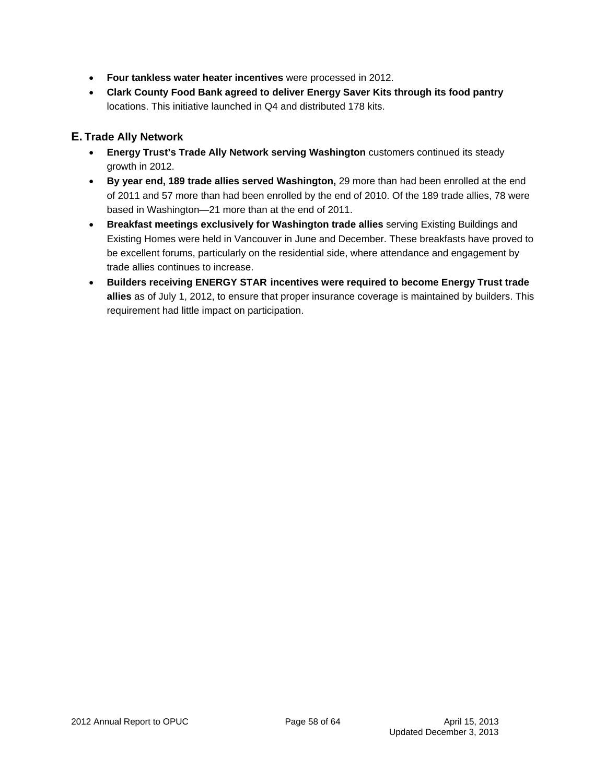- **Four tankless water heater incentives** were processed in 2012.
- **Clark County Food Bank agreed to deliver Energy Saver Kits through its food pantry**  locations. This initiative launched in Q4 and distributed 178 kits.

### **E. Trade Ally Network**

- **Energy Trust's Trade Ally Network serving Washington** customers continued its steady growth in 2012.
- **By year end, 189 trade allies served Washington,** 29 more than had been enrolled at the end of 2011 and 57 more than had been enrolled by the end of 2010. Of the 189 trade allies, 78 were based in Washington—21 more than at the end of 2011.
- **Breakfast meetings exclusively for Washington trade allies** serving Existing Buildings and Existing Homes were held in Vancouver in June and December. These breakfasts have proved to be excellent forums, particularly on the residential side, where attendance and engagement by trade allies continues to increase.
- **Builders receiving ENERGY STAR incentives were required to become Energy Trust trade allies** as of July 1, 2012, to ensure that proper insurance coverage is maintained by builders. This requirement had little impact on participation.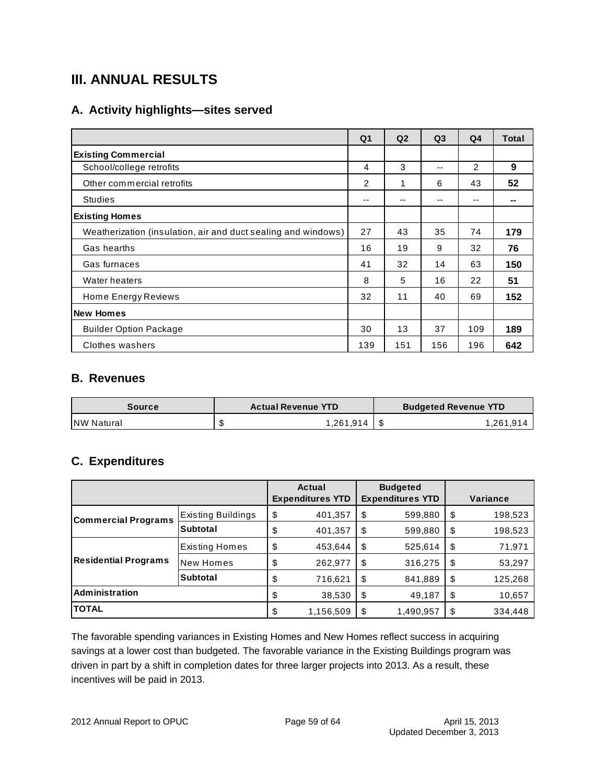## **III. ANNUAL RESULTS**

## **A. Activity highlights—sites served**

|                                                               | Q <sub>1</sub> | Q <sub>2</sub> | Q <sub>3</sub> | Q <sub>4</sub> | <b>Total</b> |
|---------------------------------------------------------------|----------------|----------------|----------------|----------------|--------------|
| <b>Existing Commercial</b>                                    |                |                |                |                |              |
| School/college retrofits                                      | 4              | 3              | --             | $\overline{2}$ | 9            |
| Other commercial retrofits                                    | 2              | 1              | 6              | 43             | 52           |
| <b>Studies</b>                                                | --             | --             | --             | --             |              |
| <b>Existing Homes</b>                                         |                |                |                |                |              |
| Weatherization (insulation, air and duct sealing and windows) | 27             | 43             | 35             | 74             | 179          |
| Gas hearths                                                   | 16             | 19             | 9              | 32             | 76           |
| Gas furnaces                                                  | 41             | 32             | 14             | 63             | 150          |
| Water heaters                                                 | 8              | 5              | 16             | 22             | 51           |
| Home Energy Reviews                                           | 32             | 11             | 40             | 69             | 152          |
| <b>New Homes</b>                                              |                |                |                |                |              |
| <b>Builder Option Package</b>                                 | 30             | 13             | 37             | 109            | 189          |
| Clothes washers                                               | 139            | 151            | 156            | 196            | 642          |

### **B. Revenues**

| <b>Source</b>     |   | <b>Actual Revenue YTD</b> | <b>Budgeted Revenue YTD</b> |
|-------------------|---|---------------------------|-----------------------------|
| <b>NW Natural</b> | จ | .261.914                  | 1,261,914                   |

### **C. Expenditures**

|                             |                    | Actual<br><b>Expenditures YTD</b> |    | <b>Budgeted</b><br><b>Expenditures YTD</b> | Variance      |
|-----------------------------|--------------------|-----------------------------------|----|--------------------------------------------|---------------|
| <b>Commercial Programs</b>  | Existing Buildings | \$<br>401,357                     | \$ | 599,880                                    | \$<br>198,523 |
|                             | <b>Subtotal</b>    | \$<br>401,357                     | \$ | 599,880                                    | \$<br>198,523 |
|                             | Existing Homes     | \$<br>453,644                     | \$ | 525,614                                    | \$<br>71,971  |
| <b>Residential Programs</b> | New Homes          | \$<br>262,977                     | \$ | 316,275                                    | \$<br>53,297  |
|                             | <b>Subtotal</b>    | \$<br>716,621                     | \$ | 841,889                                    | \$<br>125,268 |
| <b>Administration</b>       |                    | \$<br>38,530                      | \$ | 49,187                                     | \$<br>10,657  |
| <b>TOTAL</b>                |                    | \$<br>1,156,509                   | S  | 1,490,957                                  | \$<br>334,448 |

The favorable spending variances in Existing Homes and New Homes reflect success in acquiring savings at a lower cost than budgeted. The favorable variance in the Existing Buildings program was driven in part by a shift in completion dates for three larger projects into 2013. As a result, these incentives will be paid in 2013.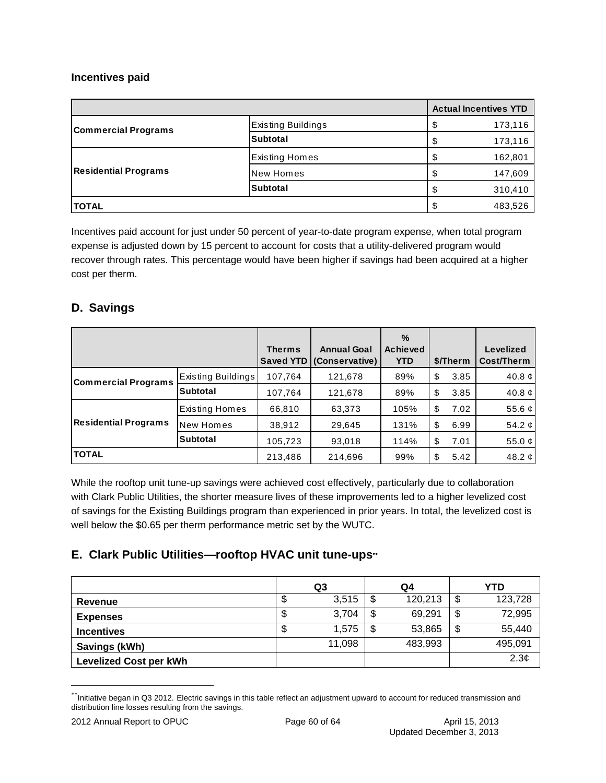#### **Incentives paid**

|                             |                       | <b>Actual Incentives YTD</b> |
|-----------------------------|-----------------------|------------------------------|
| <b>Commercial Programs</b>  | Existing Buildings    | \$<br>173,116                |
|                             | Subtotal              | \$<br>173,116                |
| <b>Residential Programs</b> | <b>Existing Homes</b> | \$<br>162,801                |
|                             | New Homes             | \$<br>147,609                |
|                             | <b>Subtotal</b>       | \$<br>310,410                |
| <b>TOTAL</b>                |                       | \$<br>483,526                |

Incentives paid account for just under 50 percent of year-to-date program expense, when total program expense is adjusted down by 15 percent to account for costs that a utility-delivered program would recover through rates. This percentage would have been higher if savings had been acquired at a higher cost per therm.

## **D. Savings**

|                             |                    |               |                          | $\%$            |            |                  |
|-----------------------------|--------------------|---------------|--------------------------|-----------------|------------|------------------|
|                             |                    | <b>Therms</b> | <b>Annual Goal</b>       | <b>Achieved</b> |            | <b>Levelized</b> |
|                             |                    |               | Saved YTD (Conservative) | <b>YTD</b>      | \$/Therm   | Cost/Therm       |
| <b>Commercial Programs</b>  | Existing Buildings | 107,764       | 121,678                  | 89%             | \$<br>3.85 | 40.8 $\phi$      |
|                             | <b>Subtotal</b>    | 107,764       | 121,678                  | 89%             | \$<br>3.85 | 40.8 $\phi$      |
| <b>Residential Programs</b> | Existing Homes     | 66,810        | 63,373                   | 105%            | \$<br>7.02 | 55.6 $ c $       |
|                             | New Homes          | 38,912        | 29,645                   | 131%            | \$<br>6.99 | 54.2 $  \phi  $  |
|                             | <b>Subtotal</b>    | 105,723       | 93,018                   | 114%            | \$<br>7.01 | 55.0 $\phi$      |
| <b>TOTAL</b>                |                    | 213,486       | 214,696                  | 99%             | \$<br>5.42 | 48.2 $  \phi  $  |

While the rooftop unit tune-up savings were achieved cost effectively, particularly due to collaboration with Clark Public Utilities, the shorter measure lives of these improvements led to a higher levelized cost of savings for the Existing Buildings program than experienced in prior years. In total, the levelized cost is well below the \$0.65 per therm performance metric set by the WUTC.

## **E. Clark Public Utilities—rooftop HVAC unit tune-ups**

|                               |   | Q3     | Q4            | YTD           |
|-------------------------------|---|--------|---------------|---------------|
| Revenue                       | Φ | 3,515  | \$<br>120,213 | \$<br>123,728 |
| <b>Expenses</b>               | Φ | 3,704  | \$<br>69,291  | \$<br>72,995  |
| <b>Incentives</b>             | Φ | 1.575  | \$<br>53,865  | \$<br>55,440  |
| Savings (kWh)                 |   | 11,098 | 483,993       | 495,091       |
| <b>Levelized Cost per kWh</b> |   |        |               | 2.3¢          |

<sup>\*\*</sup>Initiative began in Q3 2012. Electric savings in this table reflect an adjustment upward to account for reduced transmission and distribution line losses resulting from the savings.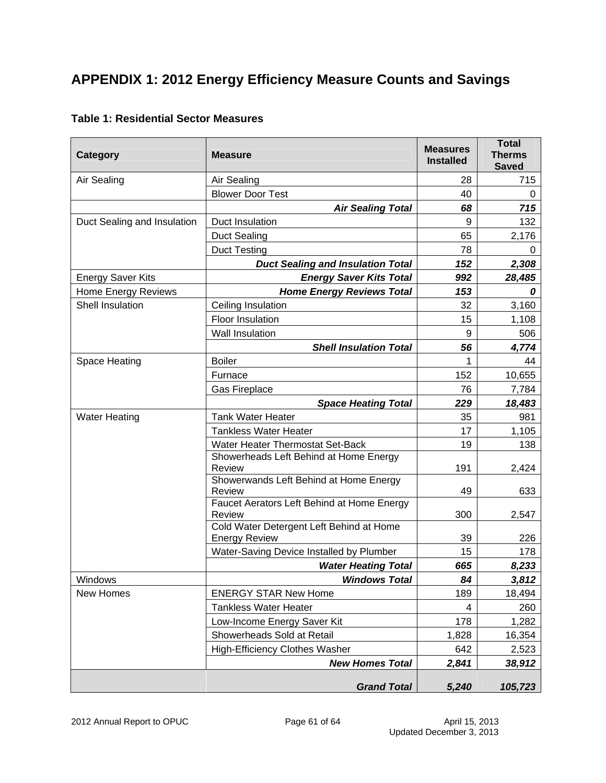## **APPENDIX 1: 2012 Energy Efficiency Measure Counts and Savings**

| Category                    | <b>Measure</b>                                                   | <b>Measures</b><br><b>Installed</b> | <b>Total</b><br><b>Therms</b><br><b>Saved</b> |
|-----------------------------|------------------------------------------------------------------|-------------------------------------|-----------------------------------------------|
| Air Sealing                 | Air Sealing                                                      | 28                                  | 715                                           |
|                             | <b>Blower Door Test</b>                                          | 40                                  | 0                                             |
|                             | <b>Air Sealing Total</b>                                         | 68                                  | 715                                           |
| Duct Sealing and Insulation | Duct Insulation                                                  | 9                                   | 132                                           |
|                             | <b>Duct Sealing</b>                                              | 65                                  | 2,176                                         |
|                             | <b>Duct Testing</b>                                              | 78                                  | 0                                             |
|                             | <b>Duct Sealing and Insulation Total</b>                         | 152                                 | 2,308                                         |
| <b>Energy Saver Kits</b>    | <b>Energy Saver Kits Total</b>                                   | 992                                 | 28,485                                        |
| Home Energy Reviews         | <b>Home Energy Reviews Total</b>                                 | 153                                 | 0                                             |
| Shell Insulation            | Ceiling Insulation                                               | 32                                  | 3,160                                         |
|                             | Floor Insulation                                                 | 15                                  | 1,108                                         |
|                             | Wall Insulation                                                  | 9                                   | 506                                           |
|                             | <b>Shell Insulation Total</b>                                    | 56                                  | 4,774                                         |
| Space Heating               | <b>Boiler</b>                                                    | 1                                   | 44                                            |
|                             | Furnace                                                          | 152                                 | 10,655                                        |
|                             | Gas Fireplace                                                    | 76                                  | 7,784                                         |
|                             | <b>Space Heating Total</b>                                       | 229                                 | 18,483                                        |
| <b>Water Heating</b>        | <b>Tank Water Heater</b>                                         | 35                                  | 981                                           |
|                             | <b>Tankless Water Heater</b>                                     | 17                                  | 1,105                                         |
|                             | Water Heater Thermostat Set-Back                                 | 19                                  | 138                                           |
|                             | Showerheads Left Behind at Home Energy<br><b>Review</b>          | 191                                 | 2,424                                         |
|                             | Showerwands Left Behind at Home Energy<br><b>Review</b>          | 49                                  | 633                                           |
|                             | Faucet Aerators Left Behind at Home Energy<br>Review             | 300                                 | 2,547                                         |
|                             | Cold Water Detergent Left Behind at Home<br><b>Energy Review</b> | 39                                  | 226                                           |
|                             | Water-Saving Device Installed by Plumber                         | 15                                  | 178                                           |
|                             | <b>Water Heating Total</b>                                       | 665                                 | 8,233                                         |
| Windows                     | <b>Windows Total</b>                                             | 84                                  | 3,812                                         |
| New Homes                   | <b>ENERGY STAR New Home</b>                                      | 189                                 | 18,494                                        |
|                             | <b>Tankless Water Heater</b>                                     | 4                                   | 260                                           |
|                             | Low-Income Energy Saver Kit                                      | 178                                 | 1,282                                         |
|                             | Showerheads Sold at Retail                                       | 1,828                               | 16,354                                        |
|                             | <b>High-Efficiency Clothes Washer</b>                            | 642                                 | 2,523                                         |
|                             | <b>New Homes Total</b>                                           | 2,841                               | 38,912                                        |
|                             | <b>Grand Total</b>                                               | 5,240                               | 105,723                                       |

#### **Table 1: Residential Sector Measures**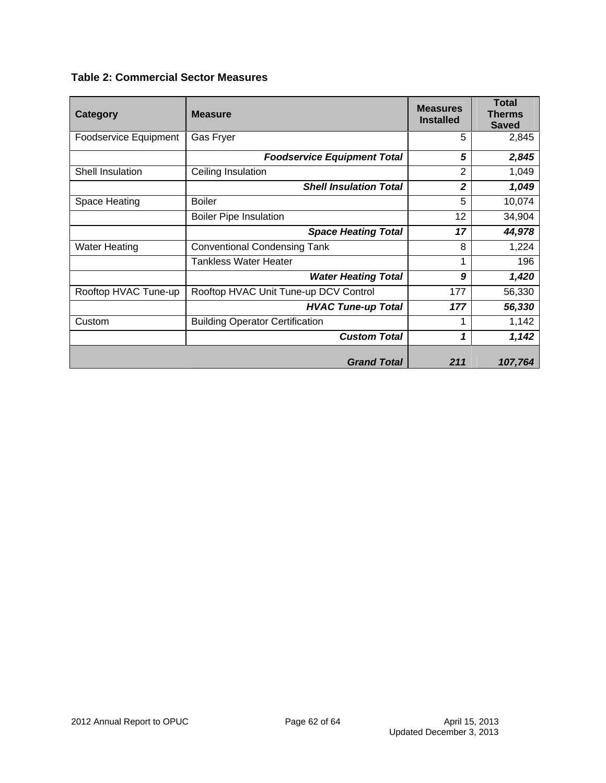| Category                     | <b>Measure</b>                         | <b>Measures</b><br><b>Installed</b> | <b>Total</b><br><b>Therms</b><br><b>Saved</b> |
|------------------------------|----------------------------------------|-------------------------------------|-----------------------------------------------|
| <b>Foodservice Equipment</b> | Gas Fryer                              | 5                                   | 2,845                                         |
|                              | <b>Foodservice Equipment Total</b>     | 5                                   | 2,845                                         |
| Shell Insulation             | Ceiling Insulation                     | 2                                   | 1,049                                         |
|                              | <b>Shell Insulation Total</b>          | $\overline{2}$                      | 1,049                                         |
| Space Heating                | <b>Boiler</b>                          | 5                                   | 10,074                                        |
|                              | <b>Boiler Pipe Insulation</b>          | 12                                  | 34,904                                        |
|                              | <b>Space Heating Total</b>             | 17                                  | 44,978                                        |
| <b>Water Heating</b>         | <b>Conventional Condensing Tank</b>    | 8                                   | 1,224                                         |
|                              | <b>Tankless Water Heater</b>           |                                     | 196                                           |
|                              | <b>Water Heating Total</b>             | 9                                   | 1,420                                         |
| Rooftop HVAC Tune-up         | Rooftop HVAC Unit Tune-up DCV Control  | 177                                 | 56,330                                        |
|                              | <b>HVAC Tune-up Total</b>              | 177                                 | 56,330                                        |
| Custom                       | <b>Building Operator Certification</b> |                                     | 1,142                                         |
|                              | <b>Custom Total</b>                    | 1                                   | 1,142                                         |
|                              | <b>Grand Total</b>                     | 211                                 | 107,764                                       |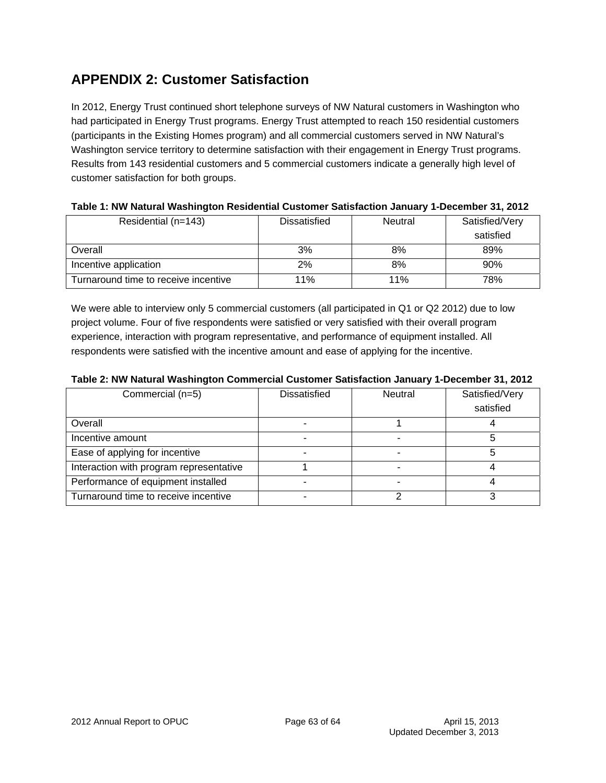## **APPENDIX 2: Customer Satisfaction**

In 2012, Energy Trust continued short telephone surveys of NW Natural customers in Washington who had participated in Energy Trust programs. Energy Trust attempted to reach 150 residential customers (participants in the Existing Homes program) and all commercial customers served in NW Natural's Washington service territory to determine satisfaction with their engagement in Energy Trust programs. Results from 143 residential customers and 5 commercial customers indicate a generally high level of customer satisfaction for both groups.

| Residential (n=143)                  | Dissatisfied | Neutral | Satisfied/Very<br>satisfied |
|--------------------------------------|--------------|---------|-----------------------------|
| Overall                              | 3%           | 8%      | 89%                         |
| Incentive application                | 2%           | 8%      | 90%                         |
| Turnaround time to receive incentive | 11%          | 11%     | 78%                         |

#### **Table 1: NW Natural Washington Residential Customer Satisfaction January 1-December 31, 2012**

We were able to interview only 5 commercial customers (all participated in Q1 or Q2 2012) due to low project volume. Four of five respondents were satisfied or very satisfied with their overall program experience, interaction with program representative, and performance of equipment installed. All respondents were satisfied with the incentive amount and ease of applying for the incentive.

#### **Table 2: NW Natural Washington Commercial Customer Satisfaction January 1-December 31, 2012**

| Commercial (n=5)                        | <b>Dissatisfied</b> | <b>Neutral</b> | Satisfied/Very |
|-----------------------------------------|---------------------|----------------|----------------|
|                                         |                     |                | satisfied      |
| Overall                                 |                     |                |                |
| Incentive amount                        |                     |                |                |
| Ease of applying for incentive          |                     |                |                |
| Interaction with program representative |                     |                |                |
| Performance of equipment installed      |                     |                |                |
| Turnaround time to receive incentive    |                     |                |                |